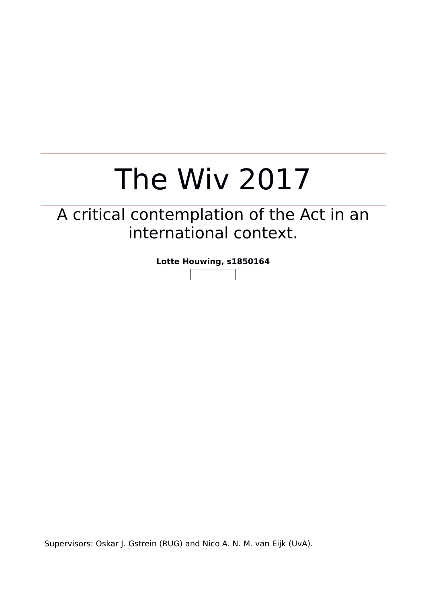# The Wiv 2017

# A critical contemplation of the Act in an international context.

**Lotte Houwing, s1850164**

Supervisors: Oskar J. Gstrein (RUG) and Nico A. N. M. van Eijk (UvA).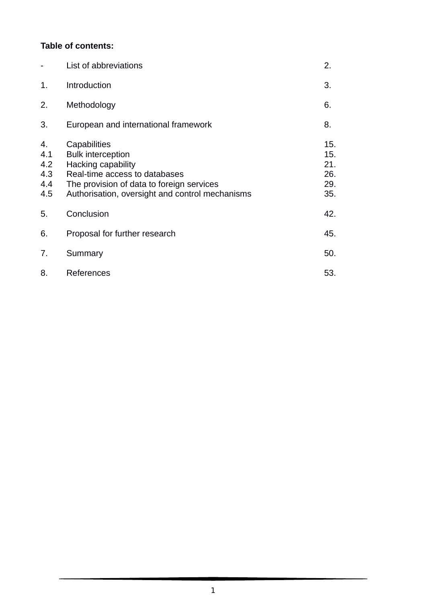### **Table of contents:**

|                                       | List of abbreviations                                                                                                                                                                                  | 2.                                     |
|---------------------------------------|--------------------------------------------------------------------------------------------------------------------------------------------------------------------------------------------------------|----------------------------------------|
| 1.                                    | Introduction                                                                                                                                                                                           | 3.                                     |
| 2.                                    | Methodology                                                                                                                                                                                            | 6.                                     |
| 3.                                    | European and international framework                                                                                                                                                                   | 8.                                     |
| 4.<br>4.1<br>4.2<br>4.3<br>4.4<br>4.5 | Capabilities<br><b>Bulk interception</b><br><b>Hacking capability</b><br>Real-time access to databases<br>The provision of data to foreign services<br>Authorisation, oversight and control mechanisms | 15.<br>15.<br>21.<br>26.<br>29.<br>35. |
| 5.                                    | Conclusion                                                                                                                                                                                             | 42.                                    |
| 6.                                    | Proposal for further research                                                                                                                                                                          | 45.                                    |
| 7.                                    | Summary                                                                                                                                                                                                | 50.                                    |
| 8.                                    | References                                                                                                                                                                                             | 53.                                    |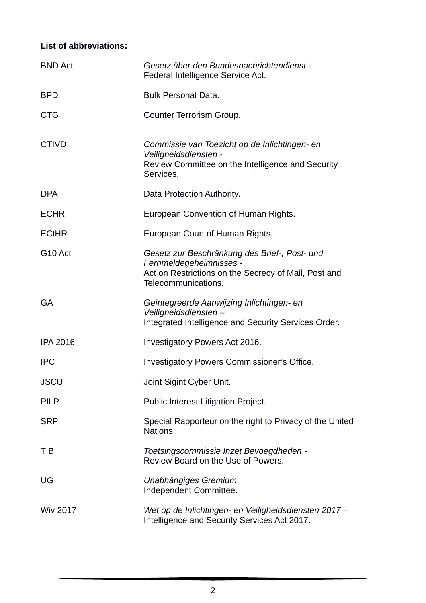# **List of abbreviations:**

| <b>BND Act</b>      | Gesetz über den Bundesnachrichtendienst -<br>Federal Intelligence Service Act.                                                                          |
|---------------------|---------------------------------------------------------------------------------------------------------------------------------------------------------|
| <b>BPD</b>          | <b>Bulk Personal Data.</b>                                                                                                                              |
| <b>CTG</b>          | Counter Terrorism Group.                                                                                                                                |
| <b>CTIVD</b>        | Commissie van Toezicht op de Inlichtingen- en<br>Veiligheidsdiensten -<br>Review Committee on the Intelligence and Security<br>Services.                |
| <b>DPA</b>          | Data Protection Authority.                                                                                                                              |
| <b>ECHR</b>         | European Convention of Human Rights.                                                                                                                    |
| <b>ECtHR</b>        | European Court of Human Rights.                                                                                                                         |
| G <sub>10</sub> Act | Gesetz zur Beschränkung des Brief-, Post- und<br>Fernmeldegeheimnisses -<br>Act on Restrictions on the Secrecy of Mail, Post and<br>Telecommunications. |
| <b>GA</b>           | Geïntegreerde Aanwijzing Inlichtingen- en<br>Veiligheidsdiensten –<br>Integrated Intelligence and Security Services Order.                              |
| <b>IPA 2016</b>     | Investigatory Powers Act 2016.                                                                                                                          |
| <b>IPC</b>          | <b>Investigatory Powers Commissioner's Office.</b>                                                                                                      |
| <b>JSCU</b>         | Joint Sigint Cyber Unit.                                                                                                                                |
| <b>PILP</b>         | Public Interest Litigation Project.                                                                                                                     |
| <b>SRP</b>          | Special Rapporteur on the right to Privacy of the United<br>Nations.                                                                                    |
| TIB                 | Toetsingscommissie Inzet Bevoegdheden -<br>Review Board on the Use of Powers.                                                                           |
| UG                  | Unabhängiges Gremium<br>Independent Committee.                                                                                                          |
| <b>Wiv 2017</b>     | Wet op de Inlichtingen- en Veiligheidsdiensten 2017 -<br>Intelligence and Security Services Act 2017.                                                   |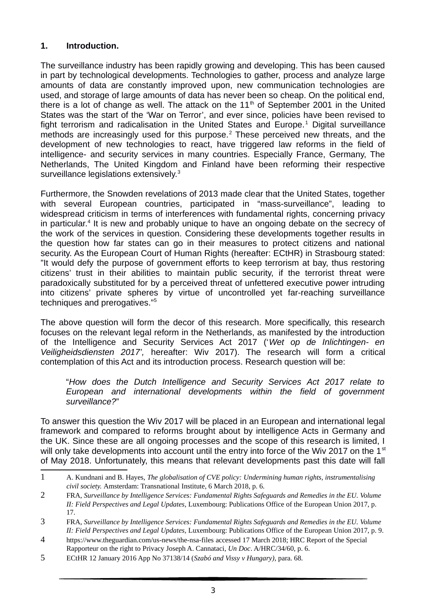## **1. Introduction.**

The surveillance industry has been rapidly growing and developing. This has been caused in part by technological developments. Technologies to gather, process and analyze large amounts of data are constantly improved upon, new communication technologies are used, and storage of large amounts of data has never been so cheap. On the political end, there is a lot of change as well. The attack on the  $11<sup>th</sup>$  of September 2001 in the United States was the start of the 'War on Terror', and ever since, policies have been revised to fight terrorism and radicalisation in the United States and Europe. $1$  Digital surveillance methods are increasingly used for this purpose.<sup>2</sup> These perceived new threats, and the development of new technologies to react, have triggered law reforms in the field of intelligence- and security services in many countries. Especially France, Germany, The Netherlands, The United Kingdom and Finland have been reforming their respective surveillance legislations extensively.<sup>3</sup>

Furthermore, the Snowden revelations of 2013 made clear that the United States, together with several European countries, participated in "mass-surveillance", leading to widespread criticism in terms of interferences with fundamental rights, concerning privacy in particular.<sup>4</sup> It is new and probably unique to have an ongoing debate on the secrecy of the work of the services in question. Considering these developments together results in the question how far states can go in their measures to protect citizens and national security. As the European Court of Human Rights (hereafter: ECtHR) in Strasbourg stated: "It would defy the purpose of government efforts to keep terrorism at bay, thus restoring citizens' trust in their abilities to maintain public security, if the terrorist threat were paradoxically substituted for by a perceived threat of unfettered executive power intruding into citizens' private spheres by virtue of uncontrolled yet far-reaching surveillance techniques and prerogatives."<sup>5</sup>

The above question will form the decor of this research. More specifically, this research focuses on the relevant legal reform in the Netherlands, as manifested by the introduction of the Intelligence and Security Services Act 2017 ('*Wet op de Inlichtingen- en Veiligheidsdiensten 2017',* hereafter: Wiv 2017). The research will form a critical contemplation of this Act and its introduction process. Research question will be:

"*How does the Dutch Intelligence and Security Services Act 2017 relate to European and international developments within the field of government surveillance?*"

To answer this question the Wiv 2017 will be placed in an European and international legal framework and compared to reforms brought about by intelligence Acts in Germany and the UK. Since these are all ongoing processes and the scope of this research is limited, I will only take developments into account until the entry into force of the Wiv 2017 on the  $1<sup>st</sup>$ of May 2018. Unfortunately, this means that relevant developments past this date will fall

<sup>1</sup> A. Kundnani and B. Hayes, *The globalisation of CVE policy: Undermining human rights, instrumentalising civil society.* Amsterdam: Transnational Institute, 6 March 2018, p. 6.

<sup>2</sup> FRA, *Surveillance by Intelligence Services: Fundamental Rights Safeguards and Remedies in the EU. Volume II: Field Perspectives and Legal Updates,* Luxembourg: Publications Office of the European Union 2017, p. 17.

<sup>3</sup> FRA, *Surveillance by Intelligence Services: Fundamental Rights Safeguards and Remedies in the EU. Volume II: Field Perspectives and Legal Updates,* Luxembourg: Publications Office of the European Union 2017, p. 9.

<sup>4</sup> https://www.theguardian.com/us-news/the-nsa-files accessed 17 March 2018; HRC Report of the Special Rapporteur on the right to Privacy Joseph A. Cannataci*, Un Doc*. A/HRC/34/60, p. 6.

<sup>5</sup> ECtHR 12 January 2016 App No 37138/14 (*Szabó and Vissy v Hungary)*, para. 68.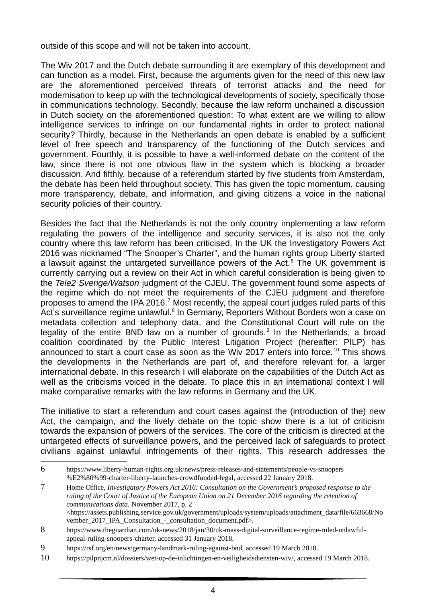outside of this scope and will not be taken into account.

The Wiv 2017 and the Dutch debate surrounding it are exemplary of this development and can function as a model. First, because the arguments given for the need of this new law are the aforementioned perceived threats of terrorist attacks and the need for modernisation to keep up with the technological developments of society, specifically those in communications technology. Secondly, because the law reform unchained a discussion in Dutch society on the aforementioned question: To what extent are we willing to allow intelligence services to infringe on our fundamental rights in order to protect national security? Thirdly, because in the Netherlands an open debate is enabled by a sufficient level of free speech and transparency of the functioning of the Dutch services and government. Fourthly, it is possible to have a well-informed debate on the content of the law, since there is not one obvious flaw in the system which is blocking a broader discussion. And fifthly, because of a referendum started by five students from Amsterdam, the debate has been held throughout society. This has given the topic momentum, causing more transparency, debate, and information, and giving citizens a voice in the national security policies of their country.

Besides the fact that the Netherlands is not the only country implementing a law reform regulating the powers of the intelligence and security services, it is also not the only country where this law reform has been criticised. In the UK the Investigatory Powers Act 2016 was nicknamed "The Snooper's Charter", and the human rights group Liberty started a lawsuit against the untargeted surveillance powers of the Act.<sup>6</sup> The UK government is currently carrying out a review on their Act in which careful consideration is being given to the *Tele2 Sverige/Watson* judgment of the CJEU. The government found some aspects of the regime which do not meet the requirements of the CJEU judgment and therefore proposes to amend the IPA 2016.<sup>7</sup> Most recently, the appeal court judges ruled parts of this Act's surveillance regime unlawful.<sup>8</sup> In Germany, Reporters Without Borders won a case on metadata collection and telephony data, and the Constitutional Court will rule on the legality of the entire BND law on a number of grounds.<sup>9</sup> In the Netherlands, a broad coalition coordinated by the Public Interest Litigation Project (hereafter: PILP) has announced to start a court case as soon as the Wiv 2017 enters into force.<sup>10</sup> This shows the developments in the Netherlands are part of, and therefore relevant for, a larger international debate. In this research I will elaborate on the capabilities of the Dutch Act as well as the criticisms voiced in the debate. To place this in an international context I will make comparative remarks with the law reforms in Germany and the UK.

The initiative to start a referendum and court cases against the (introduction of the) new Act, the campaign, and the lively debate on the topic show there is a lot of criticism towards the expansion of powers of the services. The core of the criticism is directed at the untargeted effects of surveillance powers, and the perceived lack of safeguards to protect civilians against unlawful infringements of their rights. This research addresses the

<sup>6</sup> https://www.liberty-human-rights.org.uk/news/press-releases-and-statements/people-vs-snoopers %E2%80%99-charter-liberty-launches-crowdfunded-legal, accessed 22 January 2018.

<sup>7</sup> Home Office, *Investigatory Powers Act 2016: Consultation on the Government's proposed response to the ruling of the Court of Justice of the European Union on 21 December 2016 regarding the retention of communications data.* November 2017, p. 2 <https://assets.publishing.service.gov.uk/government/uploads/system/uploads/attachment\_data/file/663668/No vember\_2017\_IPA\_Consultation\_-\_consultation\_document.pdf>.

<sup>8</sup> https://www.theguardian.com/uk-news/2018/jan/30/uk-mass-digital-surveillance-regime-ruled-unlawfulappeal-ruling-snoopers-charter, accessed 31 January 2018.

<sup>9</sup> https://rsf.org/en/news/germany-landmark-ruling-against-bnd, accessed 19 March 2018.

<sup>10</sup> https://pilpnjcm.nl/dossiers/wet-op-de-inlichtingen-en-veiligheidsdiensten-wiv/, accessed 19 March 2018.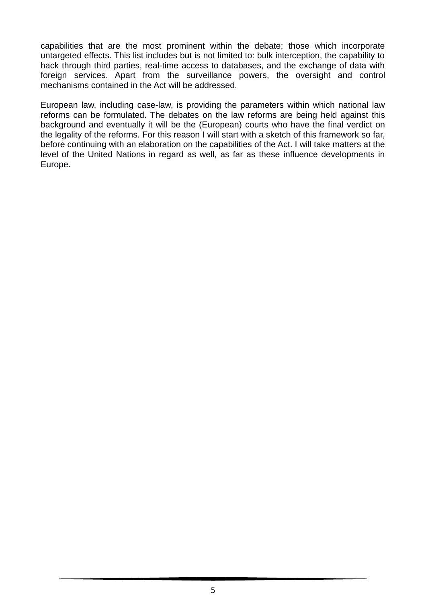capabilities that are the most prominent within the debate; those which incorporate untargeted effects. This list includes but is not limited to: bulk interception, the capability to hack through third parties, real-time access to databases, and the exchange of data with foreign services. Apart from the surveillance powers, the oversight and control mechanisms contained in the Act will be addressed.

European law, including case-law, is providing the parameters within which national law reforms can be formulated. The debates on the law reforms are being held against this background and eventually it will be the (European) courts who have the final verdict on the legality of the reforms. For this reason I will start with a sketch of this framework so far, before continuing with an elaboration on the capabilities of the Act. I will take matters at the level of the United Nations in regard as well, as far as these influence developments in Europe.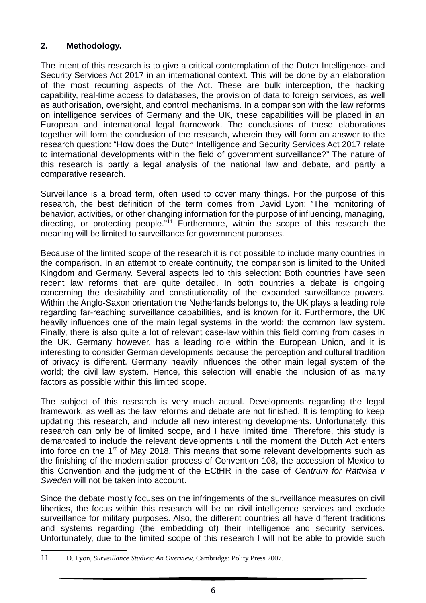## **2. Methodology.**

The intent of this research is to give a critical contemplation of the Dutch Intelligence- and Security Services Act 2017 in an international context. This will be done by an elaboration of the most recurring aspects of the Act. These are bulk interception, the hacking capability, real-time access to databases, the provision of data to foreign services, as well as authorisation, oversight, and control mechanisms. In a comparison with the law reforms on intelligence services of Germany and the UK, these capabilities will be placed in an European and international legal framework. The conclusions of these elaborations together will form the conclusion of the research, wherein they will form an answer to the research question: "How does the Dutch Intelligence and Security Services Act 2017 relate to international developments within the field of government surveillance?" The nature of this research is partly a legal analysis of the national law and debate, and partly a comparative research.

Surveillance is a broad term, often used to cover many things. For the purpose of this research, the best definition of the term comes from David Lyon: "The monitoring of behavior, activities, or other changing information for the purpose of influencing, managing, directing, or protecting people."<sup>11</sup> Furthermore, within the scope of this research the meaning will be limited to surveillance for government purposes.

Because of the limited scope of the research it is not possible to include many countries in the comparison. In an attempt to create continuity, the comparison is limited to the United Kingdom and Germany. Several aspects led to this selection: Both countries have seen recent law reforms that are quite detailed. In both countries a debate is ongoing concerning the desirability and constitutionality of the expanded surveillance powers. Within the Anglo-Saxon orientation the Netherlands belongs to, the UK plays a leading role regarding far-reaching surveillance capabilities, and is known for it. Furthermore, the UK heavily influences one of the main legal systems in the world: the common law system. Finally, there is also quite a lot of relevant case-law within this field coming from cases in the UK. Germany however, has a leading role within the European Union, and it is interesting to consider German developments because the perception and cultural tradition of privacy is different. Germany heavily influences the other main legal system of the world; the civil law system. Hence, this selection will enable the inclusion of as many factors as possible within this limited scope.

The subject of this research is very much actual. Developments regarding the legal framework, as well as the law reforms and debate are not finished. It is tempting to keep updating this research, and include all new interesting developments. Unfortunately, this research can only be of limited scope, and I have limited time. Therefore, this study is demarcated to include the relevant developments until the moment the Dutch Act enters into force on the  $1<sup>st</sup>$  of May 2018. This means that some relevant developments such as the finishing of the modernisation process of Convention 108, the accession of Mexico to this Convention and the judgment of the ECtHR in the case of *Centrum för Rättvisa v Sweden* will not be taken into account.

Since the debate mostly focuses on the infringements of the surveillance measures on civil liberties, the focus within this research will be on civil intelligence services and exclude surveillance for military purposes. Also, the different countries all have different traditions and systems regarding (the embedding of) their intelligence and security services. Unfortunately, due to the limited scope of this research I will not be able to provide such

<sup>11</sup> D. Lyon, *Surveillance Studies: An Overview,* Cambridge: Polity Press 2007.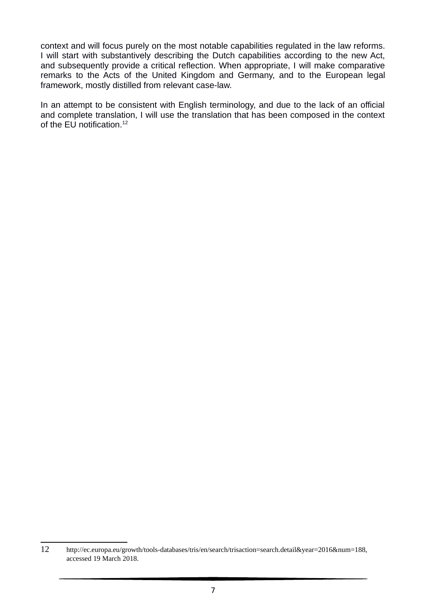context and will focus purely on the most notable capabilities regulated in the law reforms. I will start with substantively describing the Dutch capabilities according to the new Act, and subsequently provide a critical reflection. When appropriate, I will make comparative remarks to the Acts of the United Kingdom and Germany, and to the European legal framework, mostly distilled from relevant case-law.

In an attempt to be consistent with English terminology, and due to the lack of an official and complete translation, I will use the translation that has been composed in the context of the EU notification.<sup>12</sup>

<sup>12</sup> http://ec.europa.eu/growth/tools-databases/tris/en/search/trisaction=search.detail&year=2016&num=188, accessed 19 March 2018.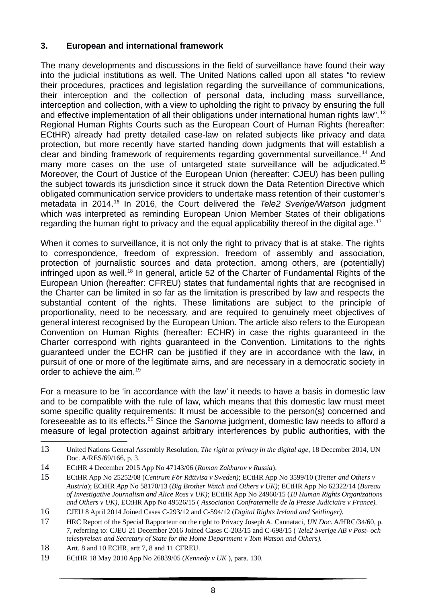## **3. European and international framework**

The many developments and discussions in the field of surveillance have found their way into the judicial institutions as well. The United Nations called upon all states "to review their procedures, practices and legislation regarding the surveillance of communications, their interception and the collection of personal data, including mass surveillance, interception and collection, with a view to upholding the right to privacy by ensuring the full and effective implementation of all their obligations under international human rights law".<sup>13</sup> Regional Human Rights Courts such as the European Court of Human Rights (hereafter: ECtHR) already had pretty detailed case-law on related subjects like privacy and data protection, but more recently have started handing down judgments that will establish a clear and binding framework of requirements regarding governmental surveillance.<sup>14</sup> And many more cases on the use of untargeted state surveillance will be adjudicated.<sup>15</sup> Moreover, the Court of Justice of the European Union (hereafter: CJEU) has been pulling the subject towards its jurisdiction since it struck down the Data Retention Directive which obligated communication service providers to undertake mass retention of their customer's metadata in 2014.<sup>16</sup> In 2016, the Court delivered the *Tele2 Sverige/Watson* judgment which was interpreted as reminding European Union Member States of their obligations regarding the human right to privacy and the equal applicability thereof in the digital age.<sup>17</sup>

When it comes to surveillance, it is not only the right to privacy that is at stake. The rights to correspondence, freedom of expression, freedom of assembly and association, protection of journalistic sources and data protection, among others, are (potentially) infringed upon as well.<sup>18</sup> In general, article 52 of the Charter of Fundamental Rights of the European Union (hereafter: CFREU) states that fundamental rights that are recognised in the Charter can be limited in so far as the limitation is prescribed by law and respects the substantial content of the rights. These limitations are subject to the principle of proportionality, need to be necessary, and are required to genuinely meet objectives of general interest recognised by the European Union. The article also refers to the European Convention on Human Rights (hereafter: ECHR) in case the rights guaranteed in the Charter correspond with rights guaranteed in the Convention. Limitations to the rights guaranteed under the ECHR can be justified if they are in accordance with the law, in pursuit of one or more of the legitimate aims, and are necessary in a democratic society in order to achieve the aim.<sup>19</sup>

For a measure to be 'in accordance with the law' it needs to have a basis in domestic law and to be compatible with the rule of law, which means that this domestic law must meet some specific quality requirements: It must be accessible to the person(s) concerned and foreseeable as to its effects.<sup>20</sup> Since the *Sanoma* judgment, domestic law needs to afford a measure of legal protection against arbitrary interferences by public authorities, with the

<sup>13</sup> United Nations General Assembly Resolution, *The right to privacy in the digital age*, 18 December 2014, UN Doc. A/RES/69/166, p. 3.

<sup>14</sup> ECtHR 4 December 2015 App No 47143/06 (*Roman Zakharov v Russia*).

<sup>15</sup> ECtHR App No 25252/08 (*Centrum För Rättvisa v Sweden)*; ECtHR App No 3599/10 (*Tretter and Others v Austria*); ECtHR *App* No 58170/13 (*Big Brother Watch and Others v UK)*; ECtHR App No 62322/14 (*Bureau of Investigative Journalism and Alice Ross v UK)*; ECtHR App No 24960/15 (*10 Human Rights Organizations and Others v UK)*, ECtHR App No 49526/15 ( *Association Confraternelle de la Presse Judiciaire v France).*

<sup>16</sup> CJEU 8 April 2014 Joined Cases C-293/12 and C-594/12 (*Digital Rights Ireland and Seitlinger).*

<sup>17</sup> HRC Report of the Special Rapporteur on the right to Privacy Joseph A. Cannataci, *UN Doc*. A/HRC/34/60, p. 7, referring to: CJEU 21 December 2016 Joined Cases C-203/15 and C-698/15 ( *Tele2 Sverige AB v Post- och telestyrelsen and Secretary of State for the Home Department v Tom Watson and Others).*

<sup>18</sup> Artt. 8 and 10 ECHR, artt 7, 8 and 11 CFREU.

<sup>19</sup> ECtHR 18 May 2010 App No 26839/05 (*Kennedy v UK* ), para. 130.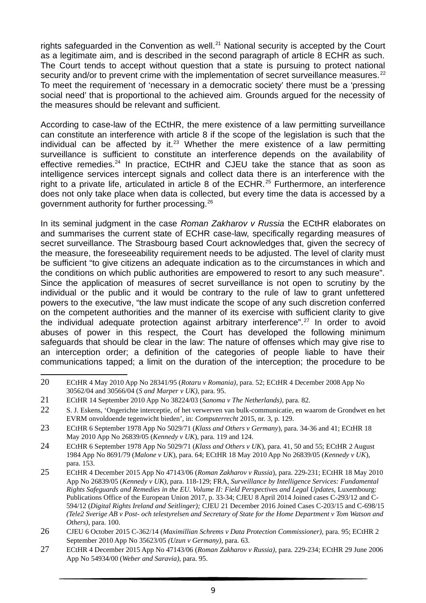rights safeguarded in the Convention as well.<sup>21</sup> National security is accepted by the Court as a legitimate aim, and is described in the second paragraph of article 8 ECHR as such. The Court tends to accept without question that a state is pursuing to protect national security and/or to prevent crime with the implementation of secret surveillance measures.<sup>22</sup> To meet the requirement of 'necessary in a democratic society' there must be a 'pressing social need' that is proportional to the achieved aim. Grounds argued for the necessity of the measures should be relevant and sufficient.

According to case-law of the ECtHR, the mere existence of a law permitting surveillance can constitute an interference with article 8 if the scope of the legislation is such that the individual can be affected by it.<sup>23</sup> Whether the mere existence of a law permitting surveillance is sufficient to constitute an interference depends on the availability of effective remedies.<sup>24</sup> In practice, ECtHR and CJEU take the stance that as soon as intelligence services intercept signals and collect data there is an interference with the right to a private life, articulated in article 8 of the ECHR.<sup>25</sup> Furthermore, an interference does not only take place when data is collected, but every time the data is accessed by a government authority for further processing.<sup>26</sup>

In its seminal judgment in the case *Roman Zakharov v Russia* the ECtHR elaborates on and summarises the current state of ECHR case-law, specifically regarding measures of secret surveillance. The Strasbourg based Court acknowledges that, given the secrecy of the measure, the foreseeability requirement needs to be adjusted. The level of clarity must be sufficient "to give citizens an adequate indication as to the circumstances in which and the conditions on which public authorities are empowered to resort to any such measure". Since the application of measures of secret surveillance is not open to scrutiny by the individual or the public and it would be contrary to the rule of law to grant unfettered powers to the executive, "the law must indicate the scope of any such discretion conferred on the competent authorities and the manner of its exercise with sufficient clarity to give the individual adequate protection against arbitrary interference".<sup>27</sup> In order to avoid abuses of power in this respect, the Court has developed the following minimum safeguards that should be clear in the law: The nature of offenses which may give rise to an interception order; a definition of the categories of people liable to have their communications tapped; a limit on the duration of the interception; the procedure to be

<sup>20</sup> ECtHR 4 May 2010 App No 28341/95 (*Rotaru v Romania)*, para. 52; ECtHR 4 December 2008 App No 30562/04 and 30566/04 (*S and Marper v UK)*, para. 95.

<sup>21</sup> ECtHR 14 September 2010 App No 38224/03 (*Sanoma v The Netherlands)*, para. 82.

<sup>22</sup> S. J. Eskens, 'Ongerichte interceptie, of het verwerven van bulk-communicatie, en waarom de Grondwet en het EVRM onvoldoende tegenwicht bieden', in: *Computerrecht* 2015, nr. 3, p. 129.

<sup>23</sup> ECtHR 6 September 1978 App No 5029/71 (*Klass and Others v Germany*), para. 34-36 and 41; ECtHR 18 May 2010 App No 26839/05 (*Kennedy v UK*), para. 119 and 124.

<sup>24</sup> ECtHR 6 September 1978 App No 5029/71 (*Klass and Others v UK*), para. 41, 50 and 55; ECtHR 2 August 1984 App No 8691/79 (*Malone v UK*), para. 64; ECtHR 18 May 2010 App No 26839/05 (*Kennedy v UK*), para. 153.

<sup>25</sup> ECtHR 4 December 2015 App No 47143/06 (*Roman Zakharov v Russia*), para. 229-231; ECtHR 18 May 2010 App No 26839/05 (*Kennedy v UK)*, para. 118-129; FRA, *Surveillance by Intelligence Services: Fundamental Rights Safeguards and Remedies in the EU. Volume II: Field Perspectives and Legal Updates, Luxembourg:* Publications Office of the European Union 2017, p. 33-34; CJEU 8 April 2014 Joined cases C-293/12 and C-594/12 (*Digital Rights Ireland and Seitlinger);* CJEU 21 December 2016 Joined Cases C-203/15 and C-698/15 *(Tele2 Sverige AB v Post- och telestyrelsen and Secretary of State for the Home Department v Tom Watson and Others),* para. 100.

<sup>26</sup> CJEU 6 October 2015 C-362/14 (*Maximillian Schrems v Data Protection Commissioner),* para. 95; ECtHR 2 September 2010 App No 35623/05 *(Uzun v Germany)*, para. 63.

<sup>27</sup> ECtHR 4 December 2015 App No 47143/06 (*Roman Zakharov v Russia)*, para. 229-234; ECtHR 29 June 2006 App No 54934/00 (*Weber and Saravia),* para. 95.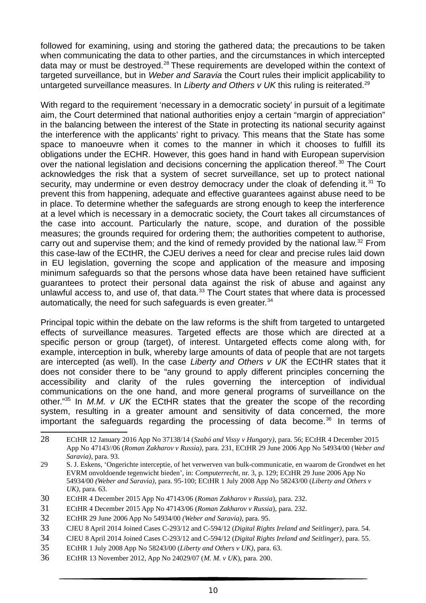followed for examining, using and storing the gathered data; the precautions to be taken when communicating the data to other parties, and the circumstances in which intercepted data may or must be destroyed.<sup>28</sup> These requirements are developed within the context of targeted surveillance, but in *Weber and Saravia* the Court rules their implicit applicability to untargeted surveillance measures. In *Liberty and Others v UK* this ruling is reiterated.<sup>29</sup>

With regard to the requirement 'necessary in a democratic society' in pursuit of a legitimate aim, the Court determined that national authorities enjoy a certain "margin of appreciation" in the balancing between the interest of the State in protecting its national security against the interference with the applicants' right to privacy. This means that the State has some space to manoeuvre when it comes to the manner in which it chooses to fulfill its obligations under the ECHR. However, this goes hand in hand with European supervision over the national legislation and decisions concerning the application thereof.<sup>30</sup> The Court acknowledges the risk that a system of secret surveillance, set up to protect national security, may undermine or even destroy democracy under the cloak of defending it.<sup>31</sup> To prevent this from happening, adequate and effective guarantees against abuse need to be in place. To determine whether the safeguards are strong enough to keep the interference at a level which is necessary in a democratic society, the Court takes all circumstances of the case into account. Particularly the nature, scope, and duration of the possible measures; the grounds required for ordering them; the authorities competent to authorise, carry out and supervise them; and the kind of remedy provided by the national law.<sup>32</sup> From this case-law of the ECtHR, the CJEU derives a need for clear and precise rules laid down in EU legislation, governing the scope and application of the measure and imposing minimum safeguards so that the persons whose data have been retained have sufficient guarantees to protect their personal data against the risk of abuse and against any unlawful access to, and use of, that data. $33$  The Court states that where data is processed automatically, the need for such safeguards is even greater.<sup>34</sup>

Principal topic within the debate on the law reforms is the shift from targeted to untargeted effects of surveillance measures. Targeted effects are those which are directed at a specific person or group (target), of interest. Untargeted effects come along with, for example, interception in bulk, whereby large amounts of data of people that are not targets are intercepted (as well). In the case *Liberty and Others v UK* the ECtHR states that it does not consider there to be "any ground to apply different principles concerning the accessibility and clarity of the rules governing the interception of individual communications on the one hand, and more general programs of surveillance on the other."<sup>35</sup> In *M.M. v UK* the ECtHR states that the greater the scope of the recording system, resulting in a greater amount and sensitivity of data concerned, the more important the safeguards regarding the processing of data become. $36$  In terms of

- 31 ECtHR 4 December 2015 App No 47143/06 (*Roman Zakharov v Russia*), para. 232.
- 32 ECtHR 29 June 2006 App No 54934/00 *(Weber and Saravia)*, para. 95.

36 ECtHR 13 November 2012, App No 24029/07 (*M. M. v UK*), para. 200.

<sup>28</sup> ECtHR 12 January 2016 App No 37138/14 (*Szabó and Vissy v Hungary)*, para. 56; ECtHR 4 December 2015 App No 47143//06 (*Roman Zakharov v Russia)*, para. 231, ECtHR 29 June 2006 App No 54934/00 (*Weber and Saravia)*, para. 93.

<sup>29</sup> S. J. Eskens, 'Ongerichte interceptie, of het verwerven van bulk-communicatie, en waarom de Grondwet en het EVRM onvoldoende tegenwicht bieden', in: *Computerrecht*, nr. 3, p. 129; ECtHR 29 June 2006 App No 54934/00 *(Weber and Saravia)*, para. 95-100; ECtHR 1 July 2008 App No 58243/00 (*Liberty and Others v UK)*, para. 63.

<sup>30</sup> ECtHR 4 December 2015 App No 47143/06 (*Roman Zakharov v Russia*), para. 232.

<sup>33</sup> CJEU 8 April 2014 Joined Cases C-293/12 and C-594/12 (*Digital Rights Ireland and Seitlinger)*, para. 54.

<sup>34</sup> CJEU 8 April 2014 Joined Cases C-293/12 and C-594/12 (*Digital Rights Ireland and Seitlinger)*, para. 55.

<sup>35</sup> ECtHR 1 July 2008 App No 58243/00 (*Liberty and Others v UK)*, para. 63.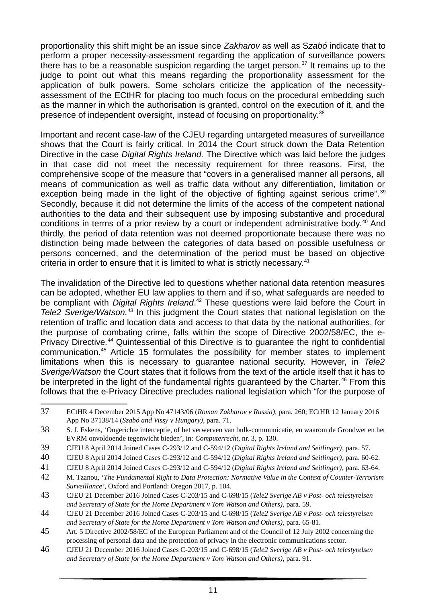proportionality this shift might be an issue since *Zakharov* as well as S*zabó* indicate that to perform a proper necessity-assessment regarding the application of surveillance powers there has to be a reasonable suspicion regarding the target person.<sup>37</sup> It remains up to the judge to point out what this means regarding the proportionality assessment for the application of bulk powers. Some scholars criticize the application of the necessityassessment of the ECtHR for placing too much focus on the procedural embedding such as the manner in which the authorisation is granted, control on the execution of it, and the presence of independent oversight, instead of focusing on proportionality.<sup>38</sup>

Important and recent case-law of the CJEU regarding untargeted measures of surveillance shows that the Court is fairly critical. In 2014 the Court struck down the Data Retention Directive in the case *Digital Rights Ireland.* The Directive which was laid before the judges in that case did not meet the necessity requirement for three reasons. First, the comprehensive scope of the measure that "covers in a generalised manner all persons, all means of communication as well as traffic data without any differentiation, limitation or exception being made in the light of the objective of fighting against serious crime".<sup>39</sup> Secondly, because it did not determine the limits of the access of the competent national authorities to the data and their subsequent use by imposing substantive and procedural conditions in terms of a prior review by a court or independent administrative body.<sup>40</sup> And thirdly, the period of data retention was not deemed proportionate because there was no distinction being made between the categories of data based on possible usefulness or persons concerned, and the determination of the period must be based on objective criteria in order to ensure that it is limited to what is strictly necessary.<sup>41</sup>

The invalidation of the Directive led to questions whether national data retention measures can be adopted, whether EU law applies to them and if so, what safeguards are needed to be compliant with *Digital Rights Ireland*. <sup>42</sup> These questions were laid before the Court in *Tele2 Sverige/Watson.<sup>43</sup>* In this judgment the Court states that national legislation on the retention of traffic and location data and access to that data by the national authorities, for the purpose of combating crime, falls within the scope of Directive 2002/58/EC, the e-Privacy Directive*. <sup>44</sup>* Quintessential of this Directive is to guarantee the right to confidential communication.<sup>45</sup> Article 15 formulates the possibility for member states to implement limitations when this is necessary to guarantee national security. However, in *Tele2 Sverige/Watson* the Court states that it follows from the text of the article itself that it has to be interpreted in the light of the fundamental rights guaranteed by the Charter.<sup>46</sup> From this follows that the e-Privacy Directive precludes national legislation which "for the purpose of

<sup>37</sup> ECtHR 4 December 2015 App No 47143/06 (*Roman Zakharov v Russia)*, para. 260; ECtHR 12 January 2016 App No 37138/14 (*Szabó and Vissy v Hungary)*, para. 71.

<sup>38</sup> S. J. Eskens, 'Ongerichte interceptie, of het verwerven van bulk-communicatie, en waarom de Grondwet en het EVRM onvoldoende tegenwicht bieden', in: *Computerrecht*, nr. 3, p. 130.

<sup>39</sup> CJEU 8 April 2014 Joined Cases C-293/12 and C-594/12 (*Digital Rights Ireland and Seitlinger)*, para. 57.

<sup>40</sup> CJEU 8 April 2014 Joined Cases C-293/12 and C-594/12 (*Digital Rights Ireland and Seitlinger)*, para. 60-62.

<sup>41</sup> CJEU 8 April 2014 Joined Cases C-293/12 and C-594/12 (*Digital Rights Ireland and Seitlinger)*, para. 63-64.

<sup>42</sup> M. Tzanou, '*The Fundamental Right to Data Protection: Normative Value in the Context of Counter-Terrorism Surveillance',* Oxford and Portland: Oregon 2017, p. 104.

<sup>43</sup> CJEU 21 December 2016 Joined Cases C-203/15 and C-698/15 (*Tele2 Sverige AB v Post- och telestyrelsen and Secretary of State for the Home Department v Tom Watson and Others)*, para. 59.

<sup>44</sup> CJEU 21 December 2016 Joined Cases C-203/15 and C-698/15 (*Tele2 Sverige AB v Post- och telestyrelsen and Secretary of State for the Home Department v Tom Watson and Others)*, para. 65-81.

<sup>45</sup> Art. 5 Directive 2002/58/EC of the European Parliament and of the Council of 12 July 2002 concerning the processing of personal data and the protection of privacy in the electronic communications sector.

<sup>46</sup> CJEU 21 December 2016 Joined Cases C-203/15 and C-698/15 (*Tele2 Sverige AB v Post- och telestyrelsen and Secretary of State for the Home Department v Tom Watson and Others)*, para. 91.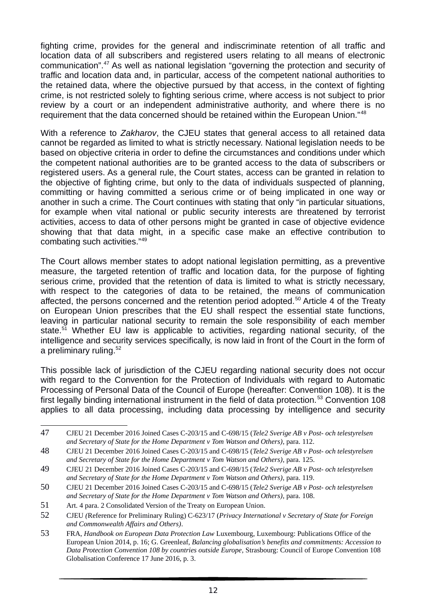fighting crime, provides for the general and indiscriminate retention of all traffic and location data of all subscribers and registered users relating to all means of electronic communication".<sup>47</sup> As well as national legislation "governing the protection and security of traffic and location data and, in particular, access of the competent national authorities to the retained data, where the objective pursued by that access, in the context of fighting crime, is not restricted solely to fighting serious crime, where access is not subject to prior review by a court or an independent administrative authority, and where there is no requirement that the data concerned should be retained within the European Union."<sup>48</sup>

With a reference to *Zakharov*, the CJEU states that general access to all retained data cannot be regarded as limited to what is strictly necessary. National legislation needs to be based on objective criteria in order to define the circumstances and conditions under which the competent national authorities are to be granted access to the data of subscribers or registered users. As a general rule, the Court states, access can be granted in relation to the objective of fighting crime, but only to the data of individuals suspected of planning, committing or having committed a serious crime or of being implicated in one way or another in such a crime. The Court continues with stating that only "in particular situations, for example when vital national or public security interests are threatened by terrorist activities, access to data of other persons might be granted in case of objective evidence showing that that data might, in a specific case make an effective contribution to combating such activities."<sup>49</sup>

The Court allows member states to adopt national legislation permitting, as a preventive measure, the targeted retention of traffic and location data, for the purpose of fighting serious crime, provided that the retention of data is limited to what is strictly necessary, with respect to the categories of data to be retained, the means of communication affected, the persons concerned and the retention period adopted.<sup>50</sup> Article 4 of the Treaty on European Union prescribes that the EU shall respect the essential state functions, leaving in particular national security to remain the sole responsibility of each member state.<sup>51</sup> Whether EU law is applicable to activities, regarding national security, of the intelligence and security services specifically, is now laid in front of the Court in the form of a preliminary ruling.<sup>52</sup>

This possible lack of jurisdiction of the CJEU regarding national security does not occur with regard to the Convention for the Protection of Individuals with regard to Automatic Processing of Personal Data of the Council of Europe (hereafter: Convention 108). It is the first legally binding international instrument in the field of data protection.<sup>53</sup> Convention 108 applies to all data processing, including data processing by intelligence and security

<sup>47</sup> CJEU 21 December 2016 Joined Cases C-203/15 and C-698/15 (*Tele2 Sverige AB v Post- och telestyrelsen and Secretary of State for the Home Department v Tom Watson and Others)*, para. 112.

<sup>48</sup> CJEU 21 December 2016 Joined Cases C-203/15 and C-698/15 (*Tele2 Sverige AB v Post- och telestyrelsen and Secretary of State for the Home Department v Tom Watson and Others)*, para. 125.

<sup>49</sup> CJEU 21 December 2016 Joined Cases C-203/15 and C-698/15 (*Tele2 Sverige AB v Post- och telestyrelsen and Secretary of State for the Home Department v Tom Watson and Others)*, para. 119.

<sup>50</sup> CJEU 21 December 2016 Joined Cases C-203/15 and C-698/15 (*Tele2 Sverige AB v Post- och telestyrelsen and Secretary of State for the Home Department v Tom Watson and Others)*, para. 108.

<sup>51</sup> Art. 4 para. 2 Consolidated Version of the Treaty on European Union.

<sup>52</sup> CJEU *(*Reference for Preliminary Ruling) C-623/17 (*Privacy International v Secretary of State for Foreign and Commonwealth Affairs and Others)*.

<sup>53</sup> FRA, *Handbook on European Data Protection Law* Luxembourg, Luxembourg: Publications Office of the European Union 2014, p. 16; G. Greenleaf, *Balancing globalisation's benefits and commitments: Accession to Data Protection Convention 108 by countries outside Europe,* Strasbourg: Council of Europe Convention 108 Globalisation Conference 17 June 2016, p. 3.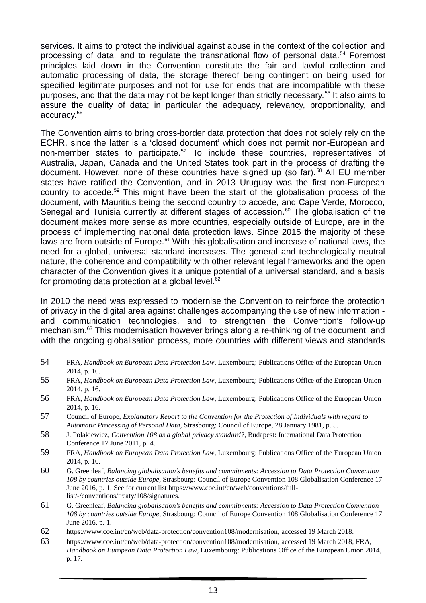services. It aims to protect the individual against abuse in the context of the collection and processing of data, and to regulate the transnational flow of personal data.<sup>54</sup> Foremost principles laid down in the Convention constitute the fair and lawful collection and automatic processing of data, the storage thereof being contingent on being used for specified legitimate purposes and not for use for ends that are incompatible with these purposes, and that the data may not be kept longer than strictly necessary.<sup>55</sup> It also aims to assure the quality of data; in particular the adequacy, relevancy, proportionality, and accuracy.<sup>56</sup>

The Convention aims to bring cross-border data protection that does not solely rely on the ECHR, since the latter is a 'closed document' which does not permit non-European and non-member states to participate.<sup>57</sup> To include these countries, representatives of Australia, Japan, Canada and the United States took part in the process of drafting the document. However, none of these countries have signed up (so far). <sup>58</sup> All EU member states have ratified the Convention, and in 2013 Uruguay was the first non-European country to accede.<sup>59</sup> This might have been the start of the globalisation process of the document, with Mauritius being the second country to accede, and Cape Verde, Morocco, Senegal and Tunisia currently at different stages of accession.<sup>60</sup> The globalisation of the document makes more sense as more countries, especially outside of Europe, are in the process of implementing national data protection laws. Since 2015 the majority of these laws are from outside of Europe. $61$  With this globalisation and increase of national laws, the need for a global, universal standard increases. The general and technologically neutral nature, the coherence and compatibility with other relevant legal frameworks and the open character of the Convention gives it a unique potential of a universal standard, and a basis for promoting data protection at a global level. $62$ 

In 2010 the need was expressed to modernise the Convention to reinforce the protection of privacy in the digital area against challenges accompanying the use of new information and communication technologies, and to strengthen the Convention's follow-up mechanism.<sup>63</sup> This modernisation however brings along a re-thinking of the document, and with the ongoing globalisation process, more countries with different views and standards

<sup>54</sup> FRA, *Handbook on European Data Protection Law*, Luxembourg: Publications Office of the European Union 2014, p. 16.

<sup>55</sup> FRA, *Handbook on European Data Protection Law*, Luxembourg: Publications Office of the European Union 2014, p. 16.

<sup>56</sup> FRA, *Handbook on European Data Protection Law*, Luxembourg: Publications Office of the European Union 2014, p. 16.

<sup>57</sup> Council of Europe, *Explanatory Report to the Convention for the Protection of Individuals with regard to Automatic Processing of Personal Data,* Strasbourg: Council of Europe, 28 January 1981, p. 5.

<sup>58</sup> J. Polakiewicz, *Convention 108 as a global privacy standard?,* Budapest: International Data Protection Conference 17 June 2011, p. 4.

<sup>59</sup> FRA, *Handbook on European Data Protection Law*, Luxembourg: Publications Office of the European Union 2014, p. 16.

<sup>60</sup> G. Greenleaf, *Balancing globalisation's benefits and commitments: Accession to Data Protection Convention 108 by countries outside Europe,* Strasbourg: Council of Europe Convention 108 Globalisation Conference 17 June 2016, p. 1; See for current list https://www.coe.int/en/web/conventions/fulllist/-/conventions/treaty/108/signatures.

<sup>61</sup> G. Greenleaf, *Balancing globalisation's benefits and commitments: Accession to Data Protection Convention 108 by countries outside Europe,* Strasbourg: Council of Europe Convention 108 Globalisation Conference 17 June 2016, p. 1.

<sup>62</sup> https://www.coe.int/en/web/data-protection/convention108/modernisation, accessed 19 March 2018.

<sup>63</sup> https://www.coe.int/en/web/data-protection/convention108/modernisation, accessed 19 March 2018; FRA, *Handbook on European Data Protection Law*, Luxembourg: Publications Office of the European Union 2014, p. 17.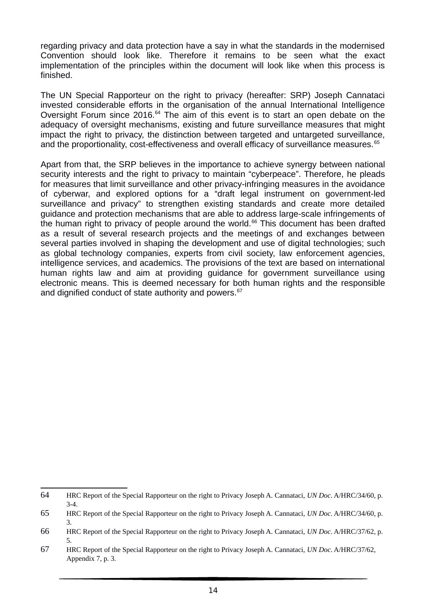regarding privacy and data protection have a say in what the standards in the modernised Convention should look like. Therefore it remains to be seen what the exact implementation of the principles within the document will look like when this process is finished.

The UN Special Rapporteur on the right to privacy (hereafter: SRP) Joseph Cannataci invested considerable efforts in the organisation of the annual International Intelligence Oversight Forum since 2016.<sup>64</sup> The aim of this event is to start an open debate on the adequacy of oversight mechanisms, existing and future surveillance measures that might impact the right to privacy, the distinction between targeted and untargeted surveillance, and the proportionality, cost-effectiveness and overall efficacy of surveillance measures.<sup>65</sup>

Apart from that, the SRP believes in the importance to achieve synergy between national security interests and the right to privacy to maintain "cyberpeace". Therefore, he pleads for measures that limit surveillance and other privacy-infringing measures in the avoidance of cyberwar, and explored options for a "draft legal instrument on government-led surveillance and privacy" to strengthen existing standards and create more detailed guidance and protection mechanisms that are able to address large-scale infringements of the human right to privacy of people around the world. $66$  This document has been drafted as a result of several research projects and the meetings of and exchanges between several parties involved in shaping the development and use of digital technologies: such as global technology companies, experts from civil society, law enforcement agencies, intelligence services, and academics. The provisions of the text are based on international human rights law and aim at providing guidance for government surveillance using electronic means. This is deemed necessary for both human rights and the responsible and dignified conduct of state authority and powers.<sup>67</sup>

<sup>64</sup> HRC Report of the Special Rapporteur on the right to Privacy Joseph A. Cannataci, *UN Doc*. A/HRC/34/60, p. 3-4.

<sup>65</sup> HRC Report of the Special Rapporteur on the right to Privacy Joseph A. Cannataci, *UN Doc*. A/HRC/34/60, p. 3.

<sup>66</sup> HRC Report of the Special Rapporteur on the right to Privacy Joseph A. Cannataci, *UN Doc*. A/HRC/37/62, p. 5.

<sup>67</sup> HRC Report of the Special Rapporteur on the right to Privacy Joseph A. Cannataci, *UN Doc*. A/HRC/37/62, Appendix 7, p. 3.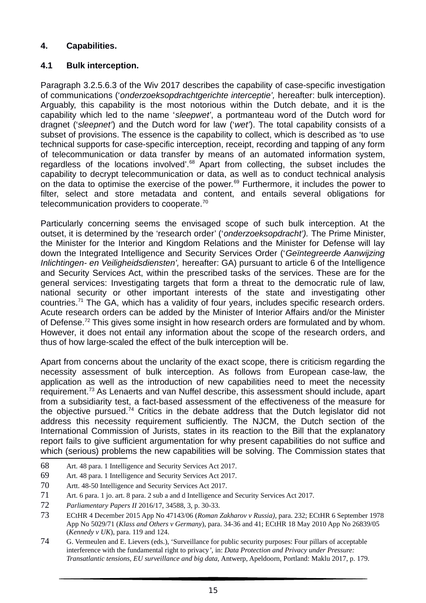### **4. Capabilities.**

## **4.1 Bulk interception.**

Paragraph 3.2.5.6.3 of the Wiv 2017 describes the capability of case-specific investigation of communications ('*onderzoeksopdrachtgerichte interceptie',* hereafter: bulk interception). Arguably, this capability is the most notorious within the Dutch debate, and it is the capability which led to the name '*sleepwet'*, a portmanteau word of the Dutch word for dragnet ('*sleepnet'*) and the Dutch word for law ('*wet'*). The total capability consists of a subset of provisions. The essence is the capability to collect, which is described as 'to use technical supports for case-specific interception, receipt, recording and tapping of any form of telecommunication or data transfer by means of an automated information system, regardless of the locations involved'.<sup>68</sup> Apart from collecting, the subset includes the capability to decrypt telecommunication or data, as well as to conduct technical analysis on the data to optimise the exercise of the power.<sup>69</sup> Furthermore, it includes the power to filter, select and store metadata and content, and entails several obligations for telecommunication providers to cooperate.<sup>70</sup>

Particularly concerning seems the envisaged scope of such bulk interception. At the outset, it is determined by the 'research order' ('*onderzoeksopdracht').* The Prime Minister, the Minister for the Interior and Kingdom Relations and the Minister for Defense will lay down the Integrated Intelligence and Security Services Order ('*Geïntegreerde Aanwijzing Inlichtingen- en Veiligheidsdiensten',* hereafter: GA) pursuant to article 6 of the Intelligence and Security Services Act, within the prescribed tasks of the services. These are for the general services: Investigating targets that form a threat to the democratic rule of law, national security or other important interests of the state and investigating other countries.<sup>71</sup> The GA, which has a validity of four years, includes specific research orders. Acute research orders can be added by the Minister of Interior Affairs and/or the Minister of Defense.<sup>72</sup> This gives some insight in how research orders are formulated and by whom. However, it does not entail any information about the scope of the research orders, and thus of how large-scaled the effect of the bulk interception will be.

Apart from concerns about the unclarity of the exact scope, there is criticism regarding the necessity assessment of bulk interception. As follows from European case-law, the application as well as the introduction of new capabilities need to meet the necessity requirement.<sup>73</sup> As Lenaerts and van Nuffel describe, this assessment should include, apart from a subsidiarity test, a fact-based assessment of the effectiveness of the measure for the objective pursued.<sup>74</sup> Critics in the debate address that the Dutch legislator did not address this necessity requirement sufficiently. The NJCM, the Dutch section of the International Commission of Jurists, states in its reaction to the Bill that the explanatory report fails to give sufficient argumentation for why present capabilities do not suffice and which (serious) problems the new capabilities will be solving. The Commission states that

- 68 Art. 48 para. 1 Intelligence and Security Services Act 2017.
- 69 Art. 48 para. 1 Intelligence and Security Services Act 2017.
- 70 Artt. 48-50 Intelligence and Security Services Act 2017.
- 71 Art. 6 para. 1 jo. art. 8 para. 2 sub a and d Intelligence and Security Services Act 2017.
- 72 *Parliamentary Papers II* 2016/17, 34588, 3, p. 30-33.
- 73 ECtHR 4 December 2015 App No 47143/06 (*Roman Zakharov v Russia)*, para. 232; ECtHR 6 September 1978 App No 5029/71 (*Klass and Others v Germany*), para. 34-36 and 41; ECtHR 18 May 2010 App No 26839/05 (*Kennedy v UK*), para. 119 and 124.
- 74 G. Vermeulen and E. Lievers (eds.), 'Surveillance for public security purposes: Four pillars of acceptable interference with the fundamental right to privacy*',* in: *Data Protection and Privacy under Pressure: Transatlantic tensions, EU surveillance and big data,* Antwerp, Apeldoorn, Portland: Maklu 2017, p. 179.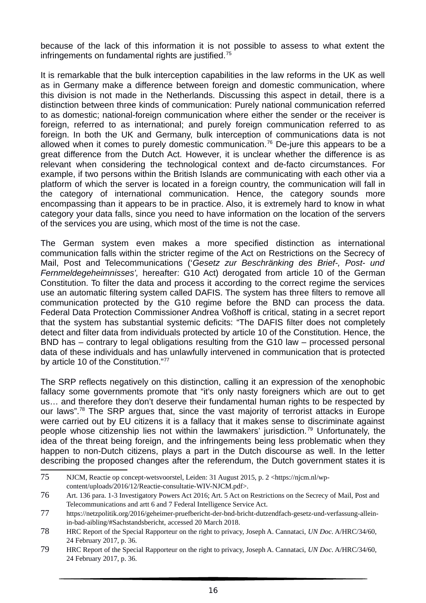because of the lack of this information it is not possible to assess to what extent the infringements on fundamental rights are justified.<sup>75</sup>

It is remarkable that the bulk interception capabilities in the law reforms in the UK as well as in Germany make a difference between foreign and domestic communication, where this division is not made in the Netherlands. Discussing this aspect in detail, there is a distinction between three kinds of communication: Purely national communication referred to as domestic; national-foreign communication where either the sender or the receiver is foreign, referred to as international; and purely foreign communication referred to as foreign. In both the UK and Germany, bulk interception of communications data is not allowed when it comes to purely domestic communication.<sup>76</sup> De-jure this appears to be a great difference from the Dutch Act. However, it is unclear whether the difference is as relevant when considering the technological context and de-facto circumstances. For example, if two persons within the British Islands are communicating with each other via a platform of which the server is located in a foreign country, the communication will fall in the category of international communication. Hence, the category sounds more encompassing than it appears to be in practice. Also, it is extremely hard to know in what category your data falls, since you need to have information on the location of the servers of the services you are using, which most of the time is not the case.

The German system even makes a more specified distinction as international communication falls within the stricter regime of the Act on Restrictions on the Secrecy of Mail, Post and Telecommunications ('*Gesetz zur Beschränking des Brief-, Post- und Fernmeldegeheimnisses',* hereafter: G10 Act) derogated from article 10 of the German Constitution. To filter the data and process it according to the correct regime the services use an automatic filtering system called DAFIS. The system has three filters to remove all communication protected by the G10 regime before the BND can process the data. Federal Data Protection Commissioner Andrea Voßhoff is critical, stating in a secret report that the system has substantial systemic deficits: "The DAFIS filter does not completely detect and filter data from individuals protected by article 10 of the Constitution. Hence, the BND has – contrary to legal obligations resulting from the G10 law – processed personal data of these individuals and has unlawfully intervened in communication that is protected by article 10 of the Constitution."77

The SRP reflects negatively on this distinction, calling it an expression of the xenophobic fallacy some governments promote that "it's only nasty foreigners which are out to get us… and therefore they don't deserve their fundamental human rights to be respected by our laws".<sup>78</sup> The SRP argues that, since the vast majority of terrorist attacks in Europe were carried out by EU citizens it is a fallacy that it makes sense to discriminate against people whose citizenship lies not within the lawmakers' jurisdiction.<sup>79</sup> Unfortunately, the idea of the threat being foreign, and the infringements being less problematic when they happen to non-Dutch citizens, plays a part in the Dutch discourse as well. In the letter describing the proposed changes after the referendum, the Dutch government states it is

<sup>75</sup> NJCM, Reactie op concept-wetsvoorstel, Leiden: 31 August 2015, p. 2 <https://njcm.nl/wpcontent/uploads/2016/12/Reactie-consultatie-WIV-NJCM.pdf>.

<sup>76</sup> Art. 136 para. 1-3 Investigatory Powers Act 2016; Art. 5 Act on Restrictions on the Secrecy of Mail, Post and Telecommunications and artt 6 and 7 Federal Intelligence Service Act.

<sup>77</sup> https://netzpolitik.org/2016/geheimer-pruefbericht-der-bnd-bricht-dutzendfach-gesetz-und-verfassung-alleinin-bad-aibling/#Sachstandsbericht, accessed 20 March 2018.

<sup>78</sup> HRC Report of the Special Rapporteur on the right to privacy, Joseph A. Cannataci, *UN Doc*. A/HRC/34/60, 24 February 2017, p. 36.

<sup>79</sup> HRC Report of the Special Rapporteur on the right to privacy, Joseph A. Cannataci, *UN Doc*. A/HRC/34/60, 24 February 2017, p. 36.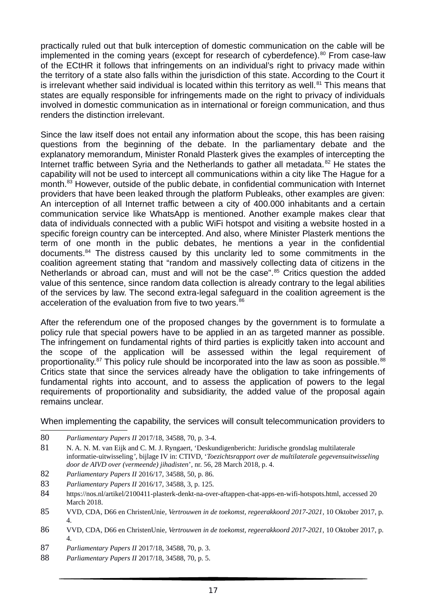practically ruled out that bulk interception of domestic communication on the cable will be implemented in the coming years (except for research of cyberdefence).<sup>80</sup> From case-law of the ECtHR it follows that infringements on an individual's right to privacy made within the territory of a state also falls within the jurisdiction of this state. According to the Court it is irrelevant whether said individual is located within this territory as well.<sup>81</sup> This means that states are equally responsible for infringements made on the right to privacy of individuals involved in domestic communication as in international or foreign communication, and thus renders the distinction irrelevant.

Since the law itself does not entail any information about the scope, this has been raising questions from the beginning of the debate. In the parliamentary debate and the explanatory memorandum, Minister Ronald Plasterk gives the examples of intercepting the Internet traffic between Syria and the Netherlands to gather all metadata.<sup>82</sup> He states the capability will not be used to intercept all communications within a city like The Hague for a month.<sup>83</sup> However, outside of the public debate, in confidential communication with Internet providers that have been leaked through the platform Publeaks, other examples are given: An interception of all Internet traffic between a city of 400.000 inhabitants and a certain communication service like WhatsApp is mentioned. Another example makes clear that data of individuals connected with a public WiFi hotspot and visiting a website hosted in a specific foreign country can be intercepted. And also, where Minister Plasterk mentions the term of one month in the public debates, he mentions a year in the confidential documents.<sup>84</sup> The distress caused by this unclarity led to some commitments in the coalition agreement stating that "random and massively collecting data of citizens in the Netherlands or abroad can, must and will not be the case".<sup>85</sup> Critics question the added value of this sentence, since random data collection is already contrary to the legal abilities of the services by law. The second extra-legal safeguard in the coalition agreement is the acceleration of the evaluation from five to two years.<sup>86</sup>

After the referendum one of the proposed changes by the government is to formulate a policy rule that special powers have to be applied in an as targeted manner as possible. The infringement on fundamental rights of third parties is explicitly taken into account and the scope of the application will be assessed within the legal requirement of proportionality. $87$  This policy rule should be incorporated into the law as soon as possible. $88$ Critics state that since the services already have the obligation to take infringements of fundamental rights into account, and to assess the application of powers to the legal requirements of proportionality and subsidiarity, the added value of the proposal again remains unclear.

When implementing the capability, the services will consult telecommunication providers to

- 82 *Parliamentary Papers II* 2016/17, 34588, 50, p. 86.
- 83 *Parliamentary Papers II* 2016/17, 34588, 3, p. 125.
- 84 https://nos.nl/artikel/2100411-plasterk-denkt-na-over-aftappen-chat-apps-en-wifi-hotspots.html, accessed 20 March 2018.
- 85 VVD, CDA, D66 en ChristenUnie, *Vertrouwen in de toekomst, regeerakkoord 2017-2021,* 10 Oktober 2017, p. 4.
- 86 VVD, CDA, D66 en ChristenUnie, *Vertrouwen in de toekomst, regeerakkoord 2017-2021,* 10 Oktober 2017, p. 4.
- 87 *Parliamentary Papers II* 2017/18, 34588, 70, p. 3.
- 88 *Parliamentary Papers II* 2017/18, 34588, 70, p. 5.

<sup>80</sup> *Parliamentary Papers II* 2017/18, 34588, 70, p. 3-4.

<sup>81</sup> N. A. N. M. van Eijk and C. M. J. Ryngaert, 'Deskundigenbericht: Juridische grondslag multilaterale informatie-uitwisseling*'*, bijlage IV in: CTIVD, '*Toezichtsrapport over de multilaterale gegevensuitwisseling door de AIVD over (vermeende) jihadisten*', nr. 56, 28 March 2018, p. 4.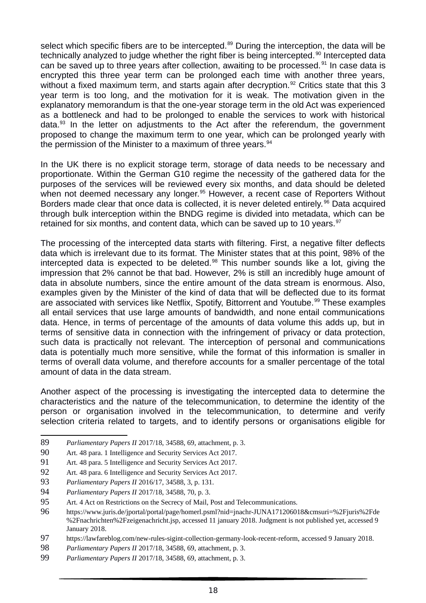select which specific fibers are to be intercepted.<sup>89</sup> During the interception, the data will be technically analyzed to judge whether the right fiber is being intercepted.<sup>90</sup> Intercepted data can be saved up to three years after collection, awaiting to be processed.  $91$  In case data is encrypted this three year term can be prolonged each time with another three years, without a fixed maximum term, and starts again after decryption.<sup>92</sup> Critics state that this 3 year term is too long, and the motivation for it is weak. The motivation given in the explanatory memorandum is that the one-year storage term in the old Act was experienced as a bottleneck and had to be prolonged to enable the services to work with historical data. $93$  In the letter on adjustments to the Act after the referendum, the government proposed to change the maximum term to one year, which can be prolonged yearly with the permission of the Minister to a maximum of three years.<sup>94</sup>

In the UK there is no explicit storage term, storage of data needs to be necessary and proportionate. Within the German G10 regime the necessity of the gathered data for the purposes of the services will be reviewed every six months, and data should be deleted when not deemed necessary any longer.<sup>95</sup> However, a recent case of Reporters Without Borders made clear that once data is collected, it is never deleted entirely.<sup>96</sup> Data acquired through bulk interception within the BNDG regime is divided into metadata, which can be retained for six months, and content data, which can be saved up to 10 years. $97$ 

The processing of the intercepted data starts with filtering. First, a negative filter deflects data which is irrelevant due to its format. The Minister states that at this point, 98% of the intercepted data is expected to be deleted.<sup>98</sup> This number sounds like a lot, giving the impression that 2% cannot be that bad. However, 2% is still an incredibly huge amount of data in absolute numbers, since the entire amount of the data stream is enormous. Also, examples given by the Minister of the kind of data that will be deflected due to its format are associated with services like Netflix, Spotify, Bittorrent and Youtube.<sup>99</sup> These examples all entail services that use large amounts of bandwidth, and none entail communications data. Hence, in terms of percentage of the amounts of data volume this adds up, but in terms of sensitive data in connection with the infringement of privacy or data protection, such data is practically not relevant. The interception of personal and communications data is potentially much more sensitive, while the format of this information is smaller in terms of overall data volume, and therefore accounts for a smaller percentage of the total amount of data in the data stream.

Another aspect of the processing is investigating the intercepted data to determine the characteristics and the nature of the telecommunication, to determine the identity of the person or organisation involved in the telecommunication, to determine and verify selection criteria related to targets, and to identify persons or organisations eligible for

89 *Parliamentary Papers II* 2017/18, 34588, 69, attachment, p. 3.

- 92 Art. 48 para. 6 Intelligence and Security Services Act 2017.
- 93 *Parliamentary Papers II* 2016/17, 34588, 3, p. 131.

<sup>90</sup> Art. 48 para. 1 Intelligence and Security Services Act 2017.

<sup>91</sup> Art. 48 para. 5 Intelligence and Security Services Act 2017.

<sup>94</sup> *Parliamentary Papers II* 2017/18, 34588, 70, p. 3.

<sup>95</sup> Art. 4 Act on Restrictions on the Secrecy of Mail, Post and Telecommunications.

<sup>96</sup> https://www.juris.de/jportal/portal/page/homerl.psml?nid=jnachr-JUNA171206018&cmsuri=%2Fjuris%2Fde %2Fnachrichten%2Fzeigenachricht.jsp, accessed 11 january 2018. Judgment is not published yet, accessed 9 January 2018.

<sup>97</sup> https://lawfareblog.com/new-rules-sigint-collection-germany-look-recent-reform, accessed 9 January 2018.

<sup>98</sup> *Parliamentary Papers II* 2017/18, 34588, 69, attachment, p. 3.

<sup>99</sup> *Parliamentary Papers II* 2017/18, 34588, 69, attachment, p. 3.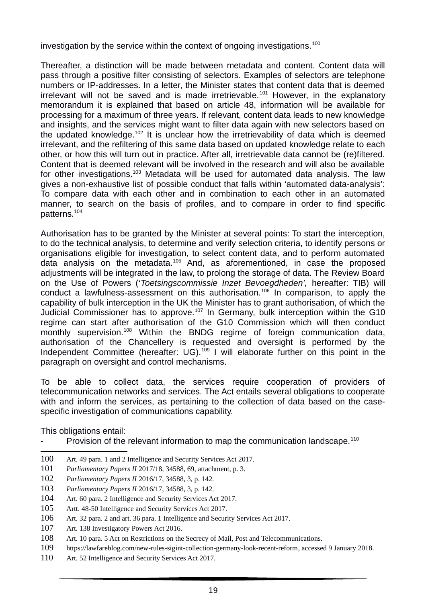investigation by the service within the context of ongoing investigations.<sup>100</sup>

Thereafter, a distinction will be made between metadata and content. Content data will pass through a positive filter consisting of selectors. Examples of selectors are telephone numbers or IP-addresses. In a letter, the Minister states that content data that is deemed  $i$ rrelevant will not be saved and is made irretrievable.<sup>101</sup> However, in the explanatory memorandum it is explained that based on article 48, information will be available for processing for a maximum of three years. If relevant, content data leads to new knowledge and insights, and the services might want to filter data again with new selectors based on the updated knowledge.<sup>102</sup> It is unclear how the irretrievability of data which is deemed irrelevant, and the refiltering of this same data based on updated knowledge relate to each other, or how this will turn out in practice. After all, irretrievable data cannot be (re)filtered. Content that is deemed relevant will be involved in the research and will also be available for other investigations.<sup>103</sup> Metadata will be used for automated data analysis. The law gives a non-exhaustive list of possible conduct that falls within 'automated data-analysis': To compare data with each other and in combination to each other in an automated manner, to search on the basis of profiles, and to compare in order to find specific patterns.<sup>104</sup>

Authorisation has to be granted by the Minister at several points: To start the interception, to do the technical analysis, to determine and verify selection criteria, to identify persons or organisations eligible for investigation, to select content data, and to perform automated data analysis on the metadata.<sup>105</sup> And, as aforementioned, in case the proposed adjustments will be integrated in the law, to prolong the storage of data. The Review Board on the Use of Powers ('*Toetsingscommissie Inzet Bevoegdheden',* hereafter: TIB) will conduct a lawfulness-assessment on this authorisation.<sup>106</sup> In comparison, to apply the capability of bulk interception in the UK the Minister has to grant authorisation, of which the Judicial Commissioner has to approve.<sup>107</sup> In Germany, bulk interception within the G10 regime can start after authorisation of the G10 Commission which will then conduct monthly supervision.<sup>108</sup> Within the BNDG regime of foreign communication data, authorisation of the Chancellery is requested and oversight is performed by the Independent Committee (hereafter: UG).<sup>109</sup> I will elaborate further on this point in the paragraph on oversight and control mechanisms.

To be able to collect data, the services require cooperation of providers of telecommunication networks and services. The Act entails several obligations to cooperate with and inform the services, as pertaining to the collection of data based on the casespecific investigation of communications capability.

This obligations entail:

- Provision of the relevant information to map the communication landscape.<sup>110</sup>
- 100 Art. 49 para. 1 and 2 Intelligence and Security Services Act 2017.
- 101 *Parliamentary Papers II* 2017/18, 34588, 69, attachment, p. 3.
- 102 *Parliamentary Papers II* 2016/17, 34588, 3, p. 142.
- 103 *Parliamentary Papers II* 2016/17, 34588, 3, p. 142.
- 104 Art. 60 para. 2 Intelligence and Security Services Act 2017.
- 105 Artt. 48-50 Intelligence and Security Services Act 2017.
- 106 Art. 32 para. 2 and art. 36 para. 1 Intelligence and Security Services Act 2017.
- 107 Art. 138 Investigatory Powers Act 2016.
- 108 Art. 10 para. 5 Act on Restrictions on the Secrecy of Mail, Post and Telecommunications.
- 109 https://lawfareblog.com/new-rules-sigint-collection-germany-look-recent-reform, accessed 9 January 2018.
- 110 Art. 52 Intelligence and Security Services Act 2017.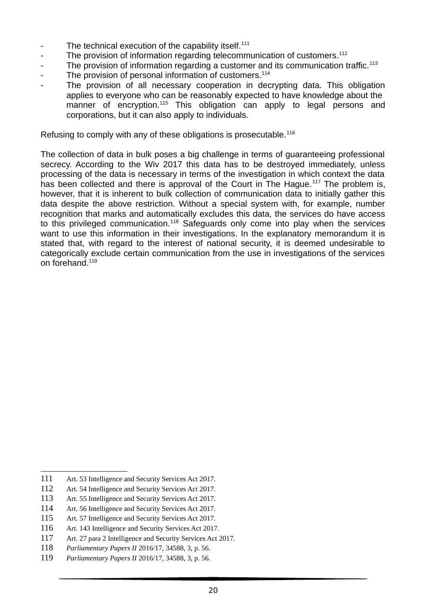- The technical execution of the capability itself. $111$
- The provision of information regarding telecommunication of customers.<sup>112</sup>
- The provision of information regarding a customer and its communication traffic.<sup>113</sup>
- The provision of personal information of customers.<sup>114</sup>
- The provision of all necessary cooperation in decrypting data. This obligation applies to everyone who can be reasonably expected to have knowledge about the manner of encryption.<sup>115</sup> This obligation can apply to legal persons and corporations, but it can also apply to individuals.

Refusing to comply with any of these obligations is prosecutable.<sup>116</sup>

The collection of data in bulk poses a big challenge in terms of guaranteeing professional secrecy. According to the Wiv 2017 this data has to be destroyed immediately, unless processing of the data is necessary in terms of the investigation in which context the data has been collected and there is approval of the Court in The Hague.<sup>117</sup> The problem is, however, that it is inherent to bulk collection of communication data to initially gather this data despite the above restriction. Without a special system with, for example, number recognition that marks and automatically excludes this data, the services do have access to this privileged communication.<sup>118</sup> Safeguards only come into play when the services want to use this information in their investigations. In the explanatory memorandum it is stated that, with regard to the interest of national security, it is deemed undesirable to categorically exclude certain communication from the use in investigations of the services on forehand.<sup>119</sup>

<sup>111</sup> Art. 53 Intelligence and Security Services Act 2017.

<sup>112</sup> Art. 54 Intelligence and Security Services Act 2017.

<sup>113</sup> Art. 55 Intelligence and Security Services Act 2017.

<sup>114</sup> Art. 56 Intelligence and Security Services Act 2017.

<sup>115</sup> Art. 57 Intelligence and Security Services Act 2017.

<sup>116</sup> Art. 143 Intelligence and Security Services Act 2017.

<sup>117</sup> Art. 27 para 2 Intelligence and Security Services Act 2017.

<sup>118</sup> *Parliamentary Papers II* 2016/17, 34588, 3, p. 56.

<sup>119</sup> *Parliamentary Papers II* 2016/17, 34588, 3, p. 56.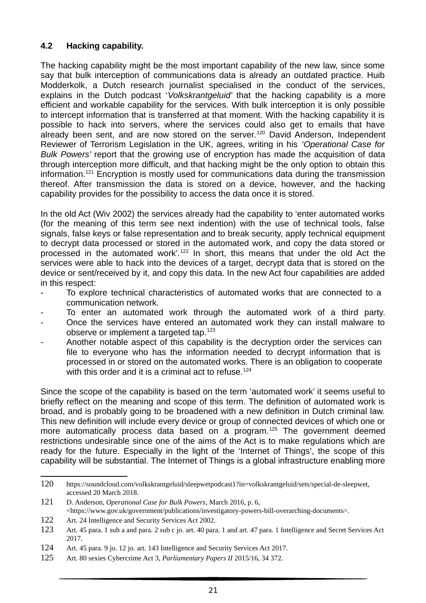# **4.2 Hacking capability.**

The hacking capability might be the most important capability of the new law, since some say that bulk interception of communications data is already an outdated practice. Huib Modderkolk, a Dutch research journalist specialised in the conduct of the services, explains in the Dutch podcast '*Volkskrantgeluid'* that the hacking capability is a more efficient and workable capability for the services. With bulk interception it is only possible to intercept information that is transferred at that moment. With the hacking capability it is possible to hack into servers, where the services could also get to emails that have already been sent, and are now stored on the server.<sup>120</sup> David Anderson, Independent Reviewer of Terrorism Legislation in the UK, agrees, writing in his *'Operational Case for Bulk Powers'* report that the growing use of encryption has made the acquisition of data through interception more difficult, and that hacking might be the only option to obtain this information.<sup>121</sup> Encryption is mostly used for communications data during the transmission thereof. After transmission the data is stored on a device, however, and the hacking capability provides for the possibility to access the data once it is stored.

In the old Act (Wiv 2002) the services already had the capability to 'enter automated works (for the meaning of this term see next indention) with the use of technical tools, false signals, false keys or false representation and to break security, apply technical equipment to decrypt data processed or stored in the automated work, and copy the data stored or processed in the automated work'.<sup>122</sup> In short, this means that under the old Act the services were able to hack into the devices of a target, decrypt data that is stored on the device or sent/received by it, and copy this data. In the new Act four capabilities are added in this respect:

- To explore technical characteristics of automated works that are connected to a communication network.
- To enter an automated work through the automated work of a third party.
- Once the services have entered an automated work they can install malware to observe or implement a targeted tap.<sup>123</sup>
- Another notable aspect of this capability is the decryption order the services can file to everyone who has the information needed to decrypt information that is processed in or stored on the automated works. There is an obligation to cooperate with this order and it is a criminal act to refuse.<sup>124</sup>

Since the scope of the capability is based on the term 'automated work' it seems useful to briefly reflect on the meaning and scope of this term. The definition of automated work is broad, and is probably going to be broadened with a new definition in Dutch criminal law. This new definition will include every device or group of connected devices of which one or more automatically process data based on a program.<sup>125</sup> The government deemed restrictions undesirable since one of the aims of the Act is to make regulations which are ready for the future. Especially in the light of the 'Internet of Things', the scope of this capability will be substantial. The Internet of Things is a global infrastructure enabling more

<sup>120</sup> https://soundcloud.com/volkskrantgeluid/sleepwetpodcast1?in=volkskrantgeluid/sets/special-de-sleepwet, accessed 20 March 2018.

<sup>121</sup> D. Anderson, *Operational Case for Bulk Powers*, March 2016, p. 6, <https://www.gov.uk/government/publications/investigatory-powers-bill-overarching-documents>.

<sup>122</sup> Art. 24 Intelligence and Security Services Act 2002.

<sup>123</sup> Art. 45 para. 1 sub a and para. 2 sub c jo. art. 40 para. 1 and art. 47 para. 1 Intelligence and Secret Services Act 2017.

<sup>124</sup> Art. 45 para. 9 jo. 12 jo. art. 143 Intelligence and Security Services Act 2017.

<sup>125</sup> Art. 80 sexies Cybercrime Act 3, *Parliamentary Papers II* 2015/16, 34 372.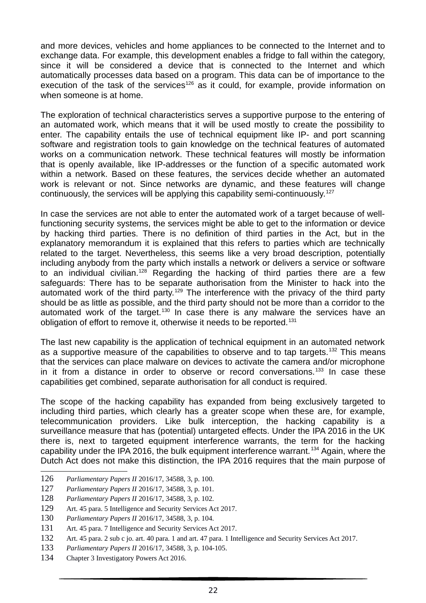and more devices, vehicles and home appliances to be connected to the Internet and to exchange data. For example, this development enables a fridge to fall within the category, since it will be considered a device that is connected to the Internet and which automatically processes data based on a program. This data can be of importance to the execution of the task of the services<sup>126</sup> as it could, for example, provide information on when someone is at home.

The exploration of technical characteristics serves a supportive purpose to the entering of an automated work, which means that it will be used mostly to create the possibility to enter. The capability entails the use of technical equipment like IP- and port scanning software and registration tools to gain knowledge on the technical features of automated works on a communication network. These technical features will mostly be information that is openly available, like IP-addresses or the function of a specific automated work within a network. Based on these features, the services decide whether an automated work is relevant or not. Since networks are dynamic, and these features will change continuously, the services will be applying this capability semi-continuously.<sup>127</sup>

In case the services are not able to enter the automated work of a target because of wellfunctioning security systems, the services might be able to get to the information or device by hacking third parties. There is no definition of third parties in the Act, but in the explanatory memorandum it is explained that this refers to parties which are technically related to the target. Nevertheless, this seems like a very broad description, potentially including anybody from the party which installs a network or delivers a service or software to an individual civilian.<sup>128</sup> Regarding the hacking of third parties there are a few safeguards: There has to be separate authorisation from the Minister to hack into the automated work of the third party.<sup>129</sup> The interference with the privacy of the third party should be as little as possible, and the third party should not be more than a corridor to the automated work of the target.<sup>130</sup> In case there is any malware the services have an obligation of effort to remove it, otherwise it needs to be reported.<sup>131</sup>

The last new capability is the application of technical equipment in an automated network as a supportive measure of the capabilities to observe and to tap targets.<sup>132</sup> This means that the services can place malware on devices to activate the camera and/or microphone in it from a distance in order to observe or record conversations.<sup>133</sup> In case these capabilities get combined, separate authorisation for all conduct is required.

The scope of the hacking capability has expanded from being exclusively targeted to including third parties, which clearly has a greater scope when these are, for example, telecommunication providers. Like bulk interception, the hacking capability is a surveillance measure that has (potential) untargeted effects. Under the IPA 2016 in the UK there is, next to targeted equipment interference warrants, the term for the hacking capability under the IPA 2016, the bulk equipment interference warrant.<sup>134</sup> Again, where the Dutch Act does not make this distinction, the IPA 2016 requires that the main purpose of

<sup>126</sup> *Parliamentary Papers II* 2016/17, 34588, 3, p. 100.

<sup>127</sup> *Parliamentary Papers II* 2016/17, 34588, 3, p. 101.

<sup>128</sup> *Parliamentary Papers II* 2016/17, 34588, 3, p. 102.

<sup>129</sup> Art. 45 para. 5 Intelligence and Security Services Act 2017.

<sup>130</sup> *Parliamentary Papers II* 2016/17, 34588, 3, p. 104.

<sup>131</sup> Art. 45 para. 7 Intelligence and Security Services Act 2017.

<sup>132</sup> Art. 45 para. 2 sub c jo. art. 40 para. 1 and art. 47 para. 1 Intelligence and Security Services Act 2017.

<sup>133</sup> *Parliamentary Papers II* 2016/17, 34588, 3, p. 104-105.

<sup>134</sup> Chapter 3 Investigatory Powers Act 2016.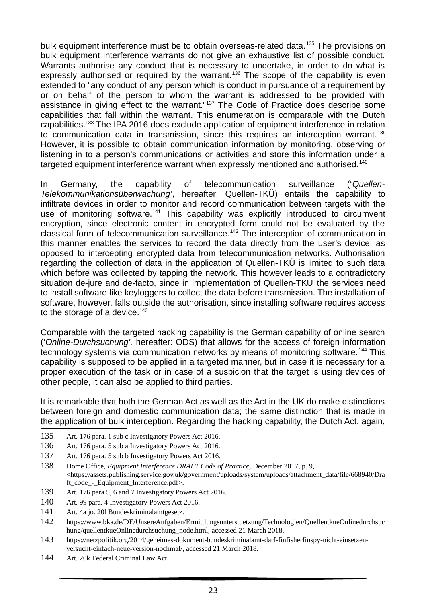bulk equipment interference must be to obtain overseas-related data.<sup>135</sup> The provisions on bulk equipment interference warrants do not give an exhaustive list of possible conduct. Warrants authorise any conduct that is necessary to undertake, in order to do what is expressly authorised or required by the warrant.<sup>136</sup> The scope of the capability is even extended to "any conduct of any person which is conduct in pursuance of a requirement by or on behalf of the person to whom the warrant is addressed to be provided with assistance in giving effect to the warrant."<sup>137</sup> The Code of Practice does describe some capabilities that fall within the warrant. This enumeration is comparable with the Dutch capabilities.<sup>138</sup> The IPA 2016 does exclude application of equipment interference in relation to communication data in transmission, since this requires an interception warrant.<sup>139</sup> However, it is possible to obtain communication information by monitoring, observing or listening in to a person's communications or activities and store this information under a targeted equipment interference warrant when expressly mentioned and authorised.<sup>140</sup>

In Germany, the capability of telecommunication surveillance ('*Quellen-Telekommunikationsüberwachung'*, hereafter: Quellen-TKÜ) entails the capability to infiltrate devices in order to monitor and record communication between targets with the use of monitoring software.<sup>141</sup> This capability was explicitly introduced to circumvent encryption, since electronic content in encrypted form could not be evaluated by the classical form of telecommunication surveillance.<sup>142</sup> The interception of communication in this manner enables the services to record the data directly from the user's device, as opposed to intercepting encrypted data from telecommunication networks. Authorisation regarding the collection of data in the application of Quellen-TKÜ is limited to such data which before was collected by tapping the network. This however leads to a contradictory situation de-jure and de-facto, since in implementation of Quellen-TKÜ the services need to install software like keyloggers to collect the data before transmission. The installation of software, however, falls outside the authorisation, since installing software requires access to the storage of a device. $143$ 

Comparable with the targeted hacking capability is the German capability of online search ('*Online-Durchsuchung',* hereafter: ODS) that allows for the access of foreign information technology systems via communication networks by means of monitoring software.<sup>144</sup> This capability is supposed to be applied in a targeted manner, but in case it is necessary for a proper execution of the task or in case of a suspicion that the target is using devices of other people, it can also be applied to third parties.

It is remarkable that both the German Act as well as the Act in the UK do make distinctions between foreign and domestic communication data; the same distinction that is made in the application of bulk interception. Regarding the hacking capability, the Dutch Act, again,

- 135 Art. 176 para. 1 sub c Investigatory Powers Act 2016.
- 136 Art. 176 para. 5 sub a Investigatory Powers Act 2016.
- 137 Art. 176 para. 5 sub b Investigatory Powers Act 2016.
- 138 Home Office, *Equipment Interference DRAFT Code of Practice*, December 2017, p. 9, <https://assets.publishing.service.gov.uk/government/uploads/system/uploads/attachment\_data/file/668940/Dra ft\_code - Equipment\_Interference.pdf>.
- 139 Art. 176 para 5, 6 and 7 Investigatory Powers Act 2016.
- 140 Art. 99 para. 4 Investigatory Powers Act 2016.
- 141 Art. 4a jo. 20l Bundeskriminalamtgesetz.
- 142 https://www.bka.de/DE/UnsereAufgaben/Ermittlungsunterstuetzung/Technologien/QuellentkueOnlinedurchsuc hung/quellentkueOnlinedurchsuchung\_node.html, accessed 21 March 2018.
- 143 https://netzpolitik.org/2014/geheimes-dokument-bundeskriminalamt-darf-finfisherfinspy-nicht-einsetzenversucht-einfach-neue-version-nochmal/, accessed 21 March 2018.
- 144 Art. 20k Federal Criminal Law Act.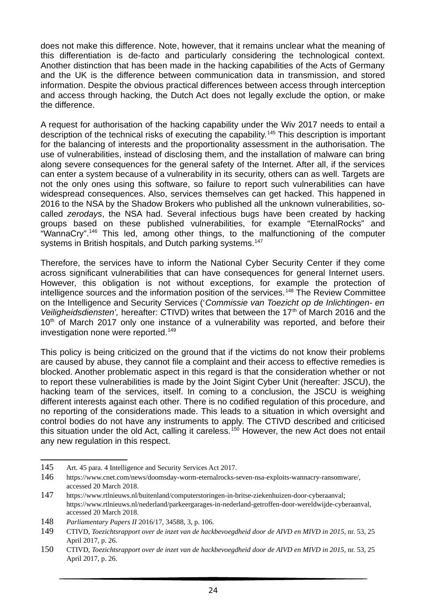does not make this difference. Note, however, that it remains unclear what the meaning of this differentiation is de-facto and particularly considering the technological context. Another distinction that has been made in the hacking capabilities of the Acts of Germany and the UK is the difference between communication data in transmission, and stored information. Despite the obvious practical differences between access through interception and access through hacking, the Dutch Act does not legally exclude the option, or make the difference.

A request for authorisation of the hacking capability under the Wiv 2017 needs to entail a description of the technical risks of executing the capability.<sup>145</sup> This description is important for the balancing of interests and the proportionality assessment in the authorisation. The use of vulnerabilities, instead of disclosing them, and the installation of malware can bring along severe consequences for the general safety of the Internet. After all, if the services can enter a system because of a vulnerability in its security, others can as well. Targets are not the only ones using this software, so failure to report such vulnerabilities can have widespread consequences. Also, services themselves can get hacked. This happened in 2016 to the NSA by the Shadow Brokers who published all the unknown vulnerabilities, socalled *zerodays*, the NSA had. Several infectious bugs have been created by hacking groups based on these published vulnerabilities, for example "EternalRocks" and "WannaCry".<sup>146</sup> This led, among other things, to the malfunctioning of the computer systems in British hospitals, and Dutch parking systems.<sup>147</sup>

Therefore, the services have to inform the National Cyber Security Center if they come across significant vulnerabilities that can have consequences for general Internet users. However, this obligation is not without exceptions, for example the protection of  $int$ intelligence sources and the information position of the services.<sup>148</sup> The Review Committee on the Intelligence and Security Services ('*Commissie van Toezicht op de Inlichtingen- en Veiligheidsdiensten',* hereafter: CTIVD) writes that between the 17<sup>th</sup> of March 2016 and the  $10<sup>th</sup>$  of March 2017 only one instance of a vulnerability was reported, and before their investigation none were reported.<sup>149</sup>

This policy is being criticized on the ground that if the victims do not know their problems are caused by abuse, they cannot file a complaint and their access to effective remedies is blocked. Another problematic aspect in this regard is that the consideration whether or not to report these vulnerabilities is made by the Joint Sigint Cyber Unit (hereafter: JSCU), the hacking team of the services, itself. In coming to a conclusion, the JSCU is weighing different interests against each other. There is no codified regulation of this procedure, and no reporting of the considerations made. This leads to a situation in which oversight and control bodies do not have any instruments to apply. The CTIVD described and criticised this situation under the old Act, calling it careless.<sup>150</sup> However, the new Act does not entail any new regulation in this respect.

<sup>145</sup> Art. 45 para. 4 Intelligence and Security Services Act 2017.

<sup>146</sup> https://www.cnet.com/news/doomsday-worm-eternalrocks-seven-nsa-exploits-wannacry-ransomware/, accessed 20 March 2018.

<sup>147</sup> https://www.rtlnieuws.nl/buitenland/computerstoringen-in-britse-ziekenhuizen-door-cyberaanval; https://www.rtlnieuws.nl/nederland/parkeergarages-in-nederland-getroffen-door-wereldwijde-cyberaanval, accessed 20 March 2018.

<sup>148</sup> *Parliamentary Papers II* 2016/17, 34588, 3, p. 106.

<sup>149</sup> CTIVD, *Toezichtsrapport over de inzet van de hackbevoegdheid door de AIVD en MIVD in 2015*, nr. 53, 25 April 2017, p. 26.

<sup>150</sup> CTIVD, *Toezichtsrapport over de inzet van de hackbevoegdheid door de AIVD en MIVD in 2015*, nr. 53, 25 April 2017, p. 26.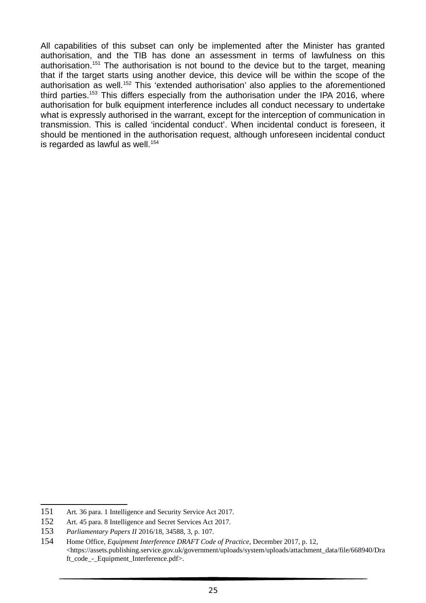All capabilities of this subset can only be implemented after the Minister has granted authorisation, and the TIB has done an assessment in terms of lawfulness on this authorisation.<sup>151</sup> The authorisation is not bound to the device but to the target, meaning that if the target starts using another device, this device will be within the scope of the authorisation as well.<sup>152</sup> This 'extended authorisation' also applies to the aforementioned third parties.<sup>153</sup> This differs especially from the authorisation under the IPA 2016, where authorisation for bulk equipment interference includes all conduct necessary to undertake what is expressly authorised in the warrant, except for the interception of communication in transmission. This is called 'incidental conduct'. When incidental conduct is foreseen, it should be mentioned in the authorisation request, although unforeseen incidental conduct is regarded as lawful as well. $154$ 

<sup>151</sup> Art. 36 para. 1 Intelligence and Security Service Act 2017.

<sup>152</sup> Art. 45 para. 8 Intelligence and Secret Services Act 2017.

<sup>153</sup> *Parliamentary Papers II* 2016/18, 34588, 3, p. 107.

<sup>154</sup> Home Office, *Equipment Interference DRAFT Code of Practice*, December 2017, p. 12, <https://assets.publishing.service.gov.uk/government/uploads/system/uploads/attachment\_data/file/668940/Dra ft\_code - Equipment\_Interference.pdf>.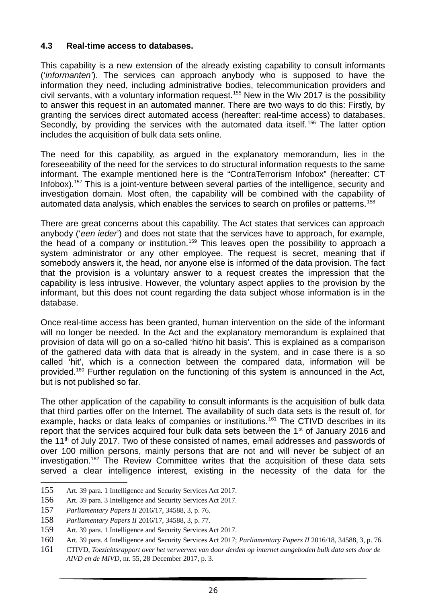#### **4.3 Real-time access to databases.**

This capability is a new extension of the already existing capability to consult informants ('*informanten'*). The services can approach anybody who is supposed to have the information they need, including administrative bodies, telecommunication providers and civil servants, with a voluntary information request.<sup>155</sup> New in the Wiv 2017 is the possibility to answer this request in an automated manner. There are two ways to do this: Firstly, by granting the services direct automated access (hereafter: real-time access) to databases. Secondly, by providing the services with the automated data itself.<sup>156</sup> The latter option includes the acquisition of bulk data sets online.

The need for this capability, as argued in the explanatory memorandum, lies in the foreseeability of the need for the services to do structural information requests to the same informant. The example mentioned here is the "ContraTerrorism Infobox" (hereafter: CT Infobox).<sup>157</sup> This is a joint-venture between several parties of the intelligence, security and investigation domain. Most often, the capability will be combined with the capability of automated data analysis, which enables the services to search on profiles or patterns.<sup>158</sup>

There are great concerns about this capability. The Act states that services can approach anybody ('*een ieder*') and does not state that the services have to approach, for example, the head of a company or institution.<sup>159</sup> This leaves open the possibility to approach a system administrator or any other employee. The request is secret, meaning that if somebody answers it, the head, nor anyone else is informed of the data provision. The fact that the provision is a voluntary answer to a request creates the impression that the capability is less intrusive. However, the voluntary aspect applies to the provision by the informant, but this does not count regarding the data subject whose information is in the database.

Once real-time access has been granted, human intervention on the side of the informant will no longer be needed. In the Act and the explanatory memorandum is explained that provision of data will go on a so-called 'hit/no hit basis'. This is explained as a comparison of the gathered data with data that is already in the system, and in case there is a so called 'hit', which is a connection between the compared data, information will be provided.<sup>160</sup> Further regulation on the functioning of this system is announced in the Act, but is not published so far.

The other application of the capability to consult informants is the acquisition of bulk data that third parties offer on the Internet. The availability of such data sets is the result of, for example, hacks or data leaks of companies or institutions.<sup>161</sup> The CTIVD describes in its report that the services acquired four bulk data sets between the  $1<sup>st</sup>$  of January 2016 and the  $11<sup>th</sup>$  of July 2017. Two of these consisted of names, email addresses and passwords of over 100 million persons, mainly persons that are not and will never be subject of an investigation.<sup>162</sup> The Review Committee writes that the acquisition of these data sets served a clear intelligence interest, existing in the necessity of the data for the

<sup>155</sup> Art. 39 para. 1 Intelligence and Security Services Act 2017.

<sup>156</sup> Art. 39 para. 3 Intelligence and Security Services Act 2017.

<sup>157</sup> *Parliamentary Papers II* 2016/17, 34588, 3, p. 76.

<sup>158</sup> *Parliamentary Papers II* 2016/17, 34588, 3, p. 77.

<sup>159</sup> Art. 39 para. 1 Intelligence and Security Services Act 2017.

<sup>160</sup> Art. 39 para. 4 Intelligence and Security Services Act 2017; *Parliamentary Papers II* 2016/18, 34588, 3, p. 76.

<sup>161</sup> CTIVD, *Toezichtsrapport over het verwerven van door derden op internet aangeboden bulk data sets door de AIVD en de MIVD,* nr. 55, 28 December 2017, p. 3.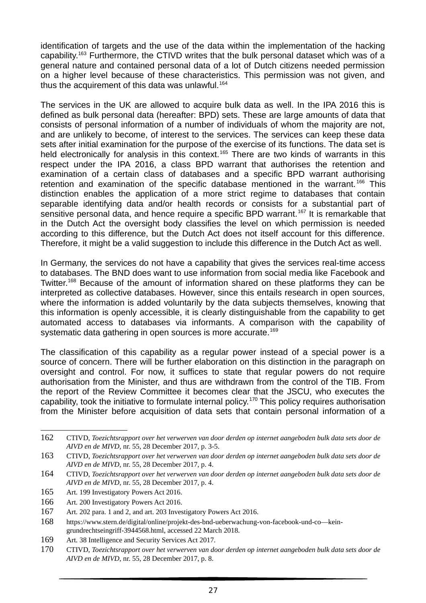identification of targets and the use of the data within the implementation of the hacking capability.<sup>163</sup> Furthermore, the CTIVD writes that the bulk personal dataset which was of a general nature and contained personal data of a lot of Dutch citizens needed permission on a higher level because of these characteristics. This permission was not given, and thus the acquirement of this data was unlawful. $164$ 

The services in the UK are allowed to acquire bulk data as well. In the IPA 2016 this is defined as bulk personal data (hereafter: BPD) sets. These are large amounts of data that consists of personal information of a number of individuals of whom the majority are not, and are unlikely to become, of interest to the services. The services can keep these data sets after initial examination for the purpose of the exercise of its functions. The data set is held electronically for analysis in this context.<sup>165</sup> There are two kinds of warrants in this respect under the IPA 2016, a class BPD warrant that authorises the retention and examination of a certain class of databases and a specific BPD warrant authorising retention and examination of the specific database mentioned in the warrant.<sup>166</sup> This distinction enables the application of a more strict regime to databases that contain separable identifying data and/or health records or consists for a substantial part of sensitive personal data, and hence require a specific BPD warrant.<sup>167</sup> It is remarkable that in the Dutch Act the oversight body classifies the level on which permission is needed according to this difference, but the Dutch Act does not itself account for this difference. Therefore, it might be a valid suggestion to include this difference in the Dutch Act as well.

In Germany, the services do not have a capability that gives the services real-time access to databases. The BND does want to use information from social media like Facebook and Twitter.<sup>168</sup> Because of the amount of information shared on these platforms they can be interpreted as collective databases. However, since this entails research in open sources, where the information is added voluntarily by the data subjects themselves, knowing that this information is openly accessible, it is clearly distinguishable from the capability to get automated access to databases via informants. A comparison with the capability of systematic data gathering in open sources is more accurate.<sup>169</sup>

The classification of this capability as a regular power instead of a special power is a source of concern. There will be further elaboration on this distinction in the paragraph on oversight and control. For now, it suffices to state that regular powers do not require authorisation from the Minister, and thus are withdrawn from the control of the TIB. From the report of the Review Committee it becomes clear that the JSCU, who executes the capability, took the initiative to formulate internal policy.<sup>170</sup> This policy requires authorisation from the Minister before acquisition of data sets that contain personal information of a

<sup>162</sup> CTIVD, *Toezichtsrapport over het verwerven van door derden op internet aangeboden bulk data sets door de AIVD en de MIVD,* nr. 55, 28 December 2017, p. 3-5.

<sup>163</sup> CTIVD, *Toezichtsrapport over het verwerven van door derden op internet aangeboden bulk data sets door de AIVD en de MIVD,* nr. 55, 28 December 2017, p. 4.

<sup>164</sup> CTIVD, *Toezichtsrapport over het verwerven van door derden op internet aangeboden bulk data sets door de AIVD en de MIVD,* nr. 55, 28 December 2017, p. 4.

<sup>165</sup> Art. 199 Investigatory Powers Act 2016.

<sup>166</sup> Art. 200 Investigatory Powers Act 2016.

<sup>167</sup> Art. 202 para. 1 and 2, and art. 203 Investigatory Powers Act 2016.

<sup>168</sup> https://www.stern.de/digital/online/projekt-des-bnd-ueberwachung-von-facebook-und-co—keingrundrechtseingriff-3944568.html, accessed 22 March 2018.

<sup>169</sup> Art. 38 Intelligence and Security Services Act 2017.

<sup>170</sup> CTIVD, *Toezichtsrapport over het verwerven van door derden op internet aangeboden bulk data sets door de AIVD en de MIVD,* nr. 55, 28 December 2017, p. 8.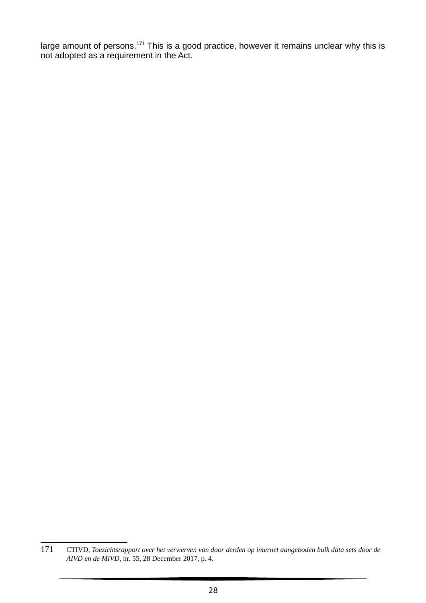large amount of persons.<sup>171</sup> This is a good practice, however it remains unclear why this is not adopted as a requirement in the Act.

<sup>171</sup> CTIVD, *Toezichtsrapport over het verwerven van door derden op internet aangeboden bulk data sets door de AIVD en de MIVD,* nr. 55, 28 December 2017, p. 4.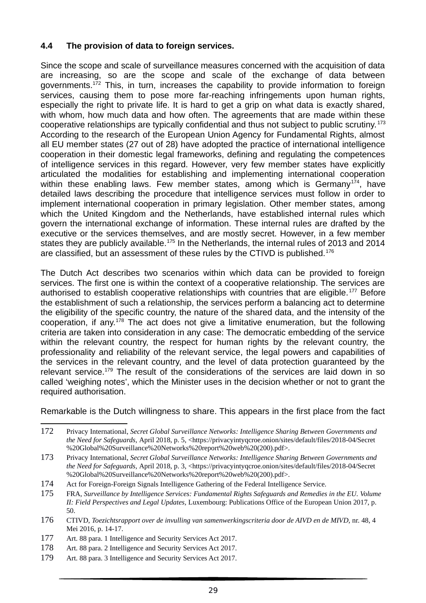# **4.4 The provision of data to foreign services.**

Since the scope and scale of surveillance measures concerned with the acquisition of data are increasing, so are the scope and scale of the exchange of data between governments.<sup>172</sup> This, in turn, increases the capability to provide information to foreign services, causing them to pose more far-reaching infringements upon human rights, especially the right to private life. It is hard to get a grip on what data is exactly shared, with whom, how much data and how often. The agreements that are made within these cooperative relationships are typically confidential and thus not subject to public scrutiny. <sup>173</sup> According to the research of the European Union Agency for Fundamental Rights, almost all EU member states (27 out of 28) have adopted the practice of international intelligence cooperation in their domestic legal frameworks, defining and regulating the competences of intelligence services in this regard. However, very few member states have explicitly articulated the modalities for establishing and implementing international cooperation within these enabling laws. Few member states, among which is Germany<sup>174</sup>, have detailed laws describing the procedure that intelligence services must follow in order to implement international cooperation in primary legislation. Other member states, among which the United Kingdom and the Netherlands, have established internal rules which govern the international exchange of information. These internal rules are drafted by the executive or the services themselves, and are mostly secret. However, in a few member states they are publicly available.<sup>175</sup> In the Netherlands, the internal rules of 2013 and 2014 are classified, but an assessment of these rules by the CTIVD is published.<sup>176</sup>

The Dutch Act describes two scenarios within which data can be provided to foreign services. The first one is within the context of a cooperative relationship. The services are authorised to establish cooperative relationships with countries that are eligible.<sup>177</sup> Before the establishment of such a relationship, the services perform a balancing act to determine the eligibility of the specific country, the nature of the shared data, and the intensity of the cooperation, if any.<sup>178</sup> The act does not give a limitative enumeration, but the following criteria are taken into consideration in any case: The democratic embedding of the service within the relevant country, the respect for human rights by the relevant country, the professionality and reliability of the relevant service, the legal powers and capabilities of the services in the relevant country, and the level of data protection guaranteed by the relevant service.<sup>179</sup> The result of the considerations of the services are laid down in so called 'weighing notes', which the Minister uses in the decision whether or not to grant the required authorisation.

Remarkable is the Dutch willingness to share. This appears in the first place from the fact

<sup>172</sup> Privacy International, *Secret Global Surveillance Networks: Intelligence Sharing Between Governments and the Need for Safeguards,* April 2018, p. 5, <https://privacyintyqcroe.onion/sites/default/files/2018-04/Secret %20Global%20Surveillance%20Networks%20report%20web%20(200).pdf>.

<sup>173</sup> Privacy International, *Secret Global Surveillance Networks: Intelligence Sharing Between Governments and the Need for Safeguards,* April 2018, p. 3, <https://privacyintyqcroe.onion/sites/default/files/2018-04/Secret %20Global%20Surveillance%20Networks%20report%20web%20(200).pdf>.

<sup>174</sup> Act for Foreign-Foreign Signals Intelligence Gathering of the Federal Intelligence Service.

<sup>175</sup> FRA, *Surveillance by Intelligence Services: Fundamental Rights Safeguards and Remedies in the EU. Volume II: Field Perspectives and Legal Updates,* Luxembourg: Publications Office of the European Union 2017, p. 50.

<sup>176</sup> CTIVD, *Toezichtsrapport over de invulling van samenwerkingscriteria door de AIVD en de MIVD,* nr. 48, 4 Mei 2016, p. 14-17.

<sup>177</sup> Art. 88 para. 1 Intelligence and Security Services Act 2017.

<sup>178</sup> Art. 88 para. 2 Intelligence and Security Services Act 2017.

<sup>179</sup> Art. 88 para. 3 Intelligence and Security Services Act 2017.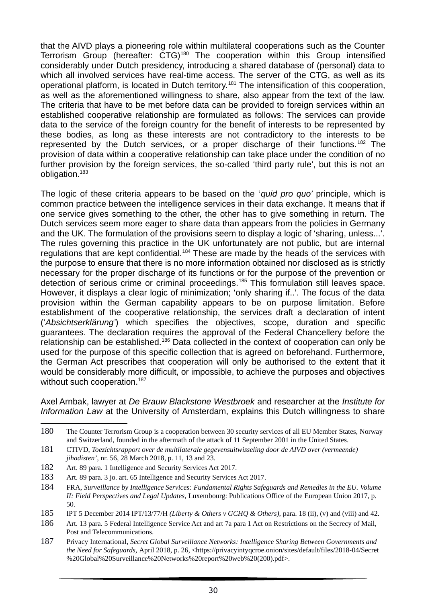that the AIVD plays a pioneering role within multilateral cooperations such as the Counter Terrorism Group (hereafter: CTG)<sup>180</sup> The cooperation within this Group intensified considerably under Dutch presidency, introducing a shared database of (personal) data to which all involved services have real-time access. The server of the CTG, as well as its operational platform, is located in Dutch territory.<sup>181</sup> The intensification of this cooperation, as well as the aforementioned willingness to share, also appear from the text of the law. The criteria that have to be met before data can be provided to foreign services within an established cooperative relationship are formulated as follows: The services can provide data to the service of the foreign country for the benefit of interests to be represented by these bodies, as long as these interests are not contradictory to the interests to be represented by the Dutch services, or a proper discharge of their functions.<sup>182</sup> The provision of data within a cooperative relationship can take place under the condition of no further provision by the foreign services, the so-called 'third party rule', but this is not an obligation.<sup>183</sup>

The logic of these criteria appears to be based on the '*quid pro quo'* principle, which is common practice between the intelligence services in their data exchange. It means that if one service gives something to the other, the other has to give something in return. The Dutch services seem more eager to share data than appears from the policies in Germany and the UK. The formulation of the provisions seem to display a logic of 'sharing, unless...'. The rules governing this practice in the UK unfortunately are not public, but are internal regulations that are kept confidential.<sup>184</sup> These are made by the heads of the services with the purpose to ensure that there is no more information obtained nor disclosed as is strictly necessary for the proper discharge of its functions or for the purpose of the prevention or detection of serious crime or criminal proceedings.<sup>185</sup> This formulation still leaves space. However, it displays a clear logic of minimization; 'only sharing if..'. The focus of the data provision within the German capability appears to be on purpose limitation. Before establishment of the cooperative relationship, the services draft a declaration of intent ('*Absichtserklärung'*) which specifies the objectives, scope, duration and specific guarantees. The declaration requires the approval of the Federal Chancellery before the relationship can be established.<sup>186</sup> Data collected in the context of cooperation can only be used for the purpose of this specific collection that is agreed on beforehand. Furthermore, the German Act prescribes that cooperation will only be authorised to the extent that it would be considerably more difficult, or impossible, to achieve the purposes and objectives without such cooperation.<sup>187</sup>

Axel Arnbak, lawyer at *De Brauw Blackstone Westbroek* and researcher at the *Institute for Information Law* at the University of Amsterdam, explains this Dutch willingness to share

- 182 Art. 89 para. 1 Intelligence and Security Services Act 2017.
- 183 Art. 89 para. 3 jo. art. 65 Intelligence and Security Services Act 2017.
- 184 FRA, *Surveillance by Intelligence Services: Fundamental Rights Safeguards and Remedies in the EU. Volume II: Field Perspectives and Legal Updates,* Luxembourg: Publications Office of the European Union 2017, p. 50.

187 Privacy International, *Secret Global Surveillance Networks: Intelligence Sharing Between Governments and the Need for Safeguards,* April 2018, p. 26, <https://privacyintyqcroe.onion/sites/default/files/2018-04/Secret %20Global%20Surveillance%20Networks%20report%20web%20(200).pdf>.

<sup>180</sup> The Counter Terrorism Group is a cooperation between 30 security services of all EU Member States, Norway and Switzerland, founded in the aftermath of the attack of 11 September 2001 in the United States.

<sup>181</sup> CTIVD, *Toezichtsrapport over de multilaterale gegevensuitwisseling door de AIVD over (vermeende) jihadisten',* nr. 56, 28 March 2018, p. 11, 13 and 23.

<sup>185</sup> IPT 5 December 2014 IPT/13/77/H *(Liberty & Others v GCHQ & Others),* para. 18 (ii), (v) and (viii) and 42.

<sup>186</sup> Art. 13 para. 5 Federal Intelligence Service Act and art 7a para 1 Act on Restrictions on the Secrecy of Mail, Post and Telecommunications.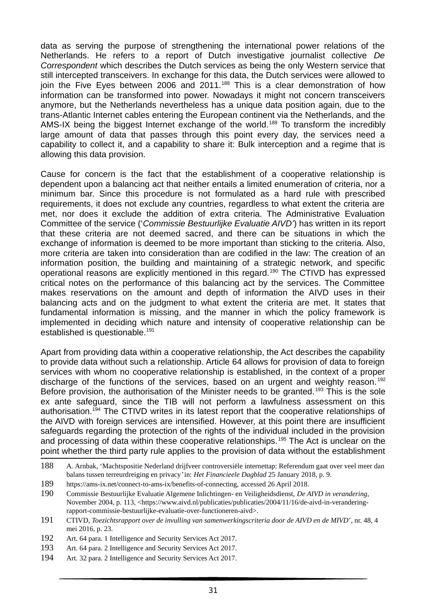data as serving the purpose of strengthening the international power relations of the Netherlands. He refers to a report of Dutch investigative journalist collective *De Correspondent* which describes the Dutch services as being the only Western service that still intercepted transceivers. In exchange for this data, the Dutch services were allowed to join the Five Eyes between 2006 and 2011. $188$  This is a clear demonstration of how information can be transformed into power. Nowadays it might not concern transceivers anymore, but the Netherlands nevertheless has a unique data position again, due to the trans-Atlantic Internet cables entering the European continent via the Netherlands, and the AMS-IX being the biggest Internet exchange of the world.<sup>189</sup> To transform the incredibly large amount of data that passes through this point every day, the services need a capability to collect it, and a capability to share it: Bulk interception and a regime that is allowing this data provision.

Cause for concern is the fact that the establishment of a cooperative relationship is dependent upon a balancing act that neither entails a limited enumeration of criteria, nor a minimum bar. Since this procedure is not formulated as a hard rule with prescribed requirements, it does not exclude any countries, regardless to what extent the criteria are met, nor does it exclude the addition of extra criteria. The Administrative Evaluation Committee of the service ('*Commissie Bestuurlijke Evaluatie AIVD'*) has written in its report that these criteria are not deemed sacred, and there can be situations in which the exchange of information is deemed to be more important than sticking to the criteria. Also, more criteria are taken into consideration than are codified in the law: The creation of an information position, the building and maintaining of a strategic network, and specific operational reasons are explicitly mentioned in this regard.<sup>190</sup> The CTIVD has expressed critical notes on the performance of this balancing act by the services. The Committee makes reservations on the amount and depth of information the AIVD uses in their balancing acts and on the judgment to what extent the criteria are met. It states that fundamental information is missing, and the manner in which the policy framework is implemented in deciding which nature and intensity of cooperative relationship can be established is questionable.<sup>191</sup>

Apart from providing data within a cooperative relationship, the Act describes the capability to provide data without such a relationship. Article 64 allows for provision of data to foreign services with whom no cooperative relationship is established, in the context of a proper discharge of the functions of the services, based on an urgent and weighty reason.<sup>192</sup> Before provision, the authorisation of the Minister needs to be granted.<sup>193</sup> This is the sole ex ante safeguard, since the TIB will not perform a lawfulness assessment on this authorisation.<sup>194</sup> The CTIVD writes in its latest report that the cooperative relationships of the AIVD with foreign services are intensified. However, at this point there are insufficient safeguards regarding the protection of the rights of the individual included in the provision and processing of data within these cooperative relationships.<sup>195</sup> The Act is unclear on the point whether the third party rule applies to the provision of data without the establishment

189 https://ams-ix.net/connect-to-ams-ix/benefits-of-connecting, accessed 26 April 2018.

- 191 CTIVD, *Toezichtsrapport* o*ver de invulling van samenwerkingscriteria door de AIVD en de MIVD*', nr. 48, 4 mei 2016, p. 23.
- 192 Art. 64 para. 1 Intelligence and Security Services Act 2017.
- 193 Art. 64 para. 2 Intelligence and Security Services Act 2017.
- 194 Art. 32 para. 2 Intelligence and Security Services Act 2017.

<sup>188</sup> A. Arnbak, 'Machtspositie Nederland drijfveer controversiële internettap: Referendum gaat over veel meer dan balans tussen terreurdreiging en privacy*'* in: *Het Financieele Dagblad* 25 January 2018, p. 9.

<sup>190</sup> Commissie Bestuurlijke Evaluatie Algemene Inlichtingen- en Veiligheidsdienst, *De AIVD in verandering,*  November 2004, p. 113, <https://www.aivd.nl/publicaties/publicaties/2004/11/16/de-aivd-in-veranderingrapport-commissie-bestuurlijke-evaluatie-over-functioneren-aivd>.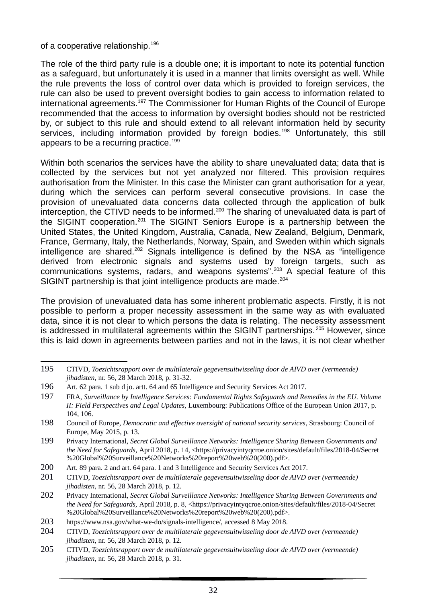of a cooperative relationship.<sup>196</sup>

The role of the third party rule is a double one; it is important to note its potential function as a safeguard, but unfortunately it is used in a manner that limits oversight as well. While the rule prevents the loss of control over data which is provided to foreign services, the rule can also be used to prevent oversight bodies to gain access to information related to international agreements.<sup>197</sup> The Commissioner for Human Rights of the Council of Europe recommended that the access to information by oversight bodies should not be restricted by, or subject to this rule and should extend to all relevant information held by security services, including information provided by foreign bodies.<sup>198</sup> Unfortunately, this still appears to be a recurring practice.<sup>199</sup>

Within both scenarios the services have the ability to share unevaluated data; data that is collected by the services but not yet analyzed nor filtered. This provision requires authorisation from the Minister. In this case the Minister can grant authorisation for a year, during which the services can perform several consecutive provisions. In case the provision of unevaluated data concerns data collected through the application of bulk interception, the CTIVD needs to be informed.<sup>200</sup> The sharing of unevaluated data is part of the SIGINT cooperation.<sup>201</sup> The SIGINT Seniors Europe is a partnership between the United States, the United Kingdom, Australia, Canada, New Zealand, Belgium, Denmark, France, Germany, Italy, the Netherlands, Norway, Spain, and Sweden within which signals intelligence are shared.<sup>202</sup> Signals intelligence is defined by the NSA as "intelligence derived from electronic signals and systems used by foreign targets, such as communications systems, radars, and weapons systems".<sup>203</sup> A special feature of this SIGINT partnership is that joint intelligence products are made.<sup>204</sup>

The provision of unevaluated data has some inherent problematic aspects. Firstly, it is not possible to perform a proper necessity assessment in the same way as with evaluated data, since it is not clear to which persons the data is relating. The necessity assessment is addressed in multilateral agreements within the SIGINT partnerships.<sup>205</sup> However, since this is laid down in agreements between parties and not in the laws, it is not clear whether

<sup>195</sup> CTIVD, *Toezichtsrapport over de multilaterale gegevensuitwisseling door de AIVD over (vermeende) jihadisten*, nr. 56, 28 March 2018, p. 31-32.

<sup>196</sup> Art. 62 para. 1 sub d jo. artt. 64 and 65 Intelligence and Security Services Act 2017.

<sup>197</sup> FRA, *Surveillance by Intelligence Services: Fundamental Rights Safeguards and Remedies in the EU. Volume II: Field Perspectives and Legal Updates,* Luxembourg: Publications Office of the European Union 2017, p. 104, 106.

<sup>198</sup> Council of Europe, *Democratic and effective oversight of national security services*, Strasbourg: Council of Europe, May 2015, p. 13.

<sup>199</sup> Privacy International, *Secret Global Surveillance Networks: Intelligence Sharing Between Governments and the Need for Safeguards,* April 2018, p. 14, <https://privacyintyqcroe.onion/sites/default/files/2018-04/Secret %20Global%20Surveillance%20Networks%20report%20web%20(200).pdf>.

<sup>200</sup> Art. 89 para. 2 and art. 64 para. 1 and 3 Intelligence and Security Services Act 2017.

<sup>201</sup> CTIVD, *Toezichtsrapport over de multilaterale gegevensuitwisseling door de AIVD over (vermeende) jihadisten*, nr. 56, 28 March 2018, p. 12.

<sup>202</sup> Privacy International, *Secret Global Surveillance Networks: Intelligence Sharing Between Governments and the Need for Safeguards,* April 2018, p. 8, <https://privacyintyqcroe.onion/sites/default/files/2018-04/Secret %20Global%20Surveillance%20Networks%20report%20web%20(200).pdf>.

<sup>203</sup> https://www.nsa.gov/what-we-do/signals-intelligence/, accessed 8 May 2018.

<sup>204</sup> CTIVD, *Toezichtsrapport over de multilaterale gegevensuitwisseling door de AIVD over (vermeende) jihadisten*, nr. 56, 28 March 2018, p. 12.

<sup>205</sup> CTIVD, *Toezichtsrapport over de multilaterale gegevensuitwisseling door de AIVD over (vermeende) jihadisten*, nr. 56, 28 March 2018, p. 31.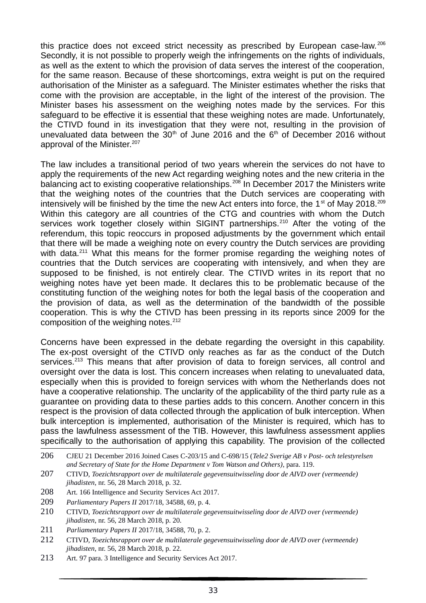this practice does not exceed strict necessity as prescribed by European case-law.<sup>206</sup> Secondly, it is not possible to properly weigh the infringements on the rights of individuals, as well as the extent to which the provision of data serves the interest of the cooperation, for the same reason. Because of these shortcomings, extra weight is put on the required authorisation of the Minister as a safeguard. The Minister estimates whether the risks that come with the provision are acceptable, in the light of the interest of the provision. The Minister bases his assessment on the weighing notes made by the services. For this safeguard to be effective it is essential that these weighing notes are made. Unfortunately, the CTIVD found in its investigation that they were not, resulting in the provision of unevaluated data between the 30<sup>th</sup> of June 2016 and the  $6<sup>th</sup>$  of December 2016 without approval of the Minister.<sup>207</sup>

The law includes a transitional period of two years wherein the services do not have to apply the requirements of the new Act regarding weighing notes and the new criteria in the balancing act to existing cooperative relationships.<sup>208</sup> In December 2017 the Ministers write that the weighing notes of the countries that the Dutch services are cooperating with intensively will be finished by the time the new Act enters into force, the  $1<sup>st</sup>$  of May 2018.<sup>209</sup> Within this category are all countries of the CTG and countries with whom the Dutch services work together closely within SIGINT partnerships.<sup>210</sup> After the voting of the referendum, this topic reoccurs in proposed adjustments by the government which entail that there will be made a weighing note on every country the Dutch services are providing with data.<sup>211</sup> What this means for the former promise regarding the weighing notes of countries that the Dutch services are cooperating with intensively, and when they are supposed to be finished, is not entirely clear. The CTIVD writes in its report that no weighing notes have yet been made. It declares this to be problematic because of the constituting function of the weighing notes for both the legal basis of the cooperation and the provision of data, as well as the determination of the bandwidth of the possible cooperation. This is why the CTIVD has been pressing in its reports since 2009 for the composition of the weighing notes.<sup>212</sup>

Concerns have been expressed in the debate regarding the oversight in this capability. The ex-post oversight of the CTIVD only reaches as far as the conduct of the Dutch services.<sup>213</sup> This means that after provision of data to foreign services, all control and oversight over the data is lost. This concern increases when relating to unevaluated data, especially when this is provided to foreign services with whom the Netherlands does not have a cooperative relationship. The unclarity of the applicability of the third party rule as a guarantee on providing data to these parties adds to this concern. Another concern in this respect is the provision of data collected through the application of bulk interception. When bulk interception is implemented, authorisation of the Minister is required, which has to pass the lawfulness assessment of the TIB. However, this lawfulness assessment applies specifically to the authorisation of applying this capability. The provision of the collected

- 208 Art. 166 Intelligence and Security Services Act 2017.
- 209 *Parliamentary Papers II* 2017/18, 34588, 69, p. 4.
- 210 CTIVD, *Toezichtsrapport over de multilaterale gegevensuitwisseling door de AIVD over (vermeende) jihadisten*, nr. 56, 28 March 2018, p. 20.
- 211 *Parliamentary Papers II* 2017/18, 34588, 70, p. 2.
- 212 CTIVD, *Toezichtsrapport over de multilaterale gegevensuitwisseling door de AIVD over (vermeende) jihadisten*, nr. 56, 28 March 2018, p. 22.
- 213 Art. 97 para. 3 Intelligence and Security Services Act 2017.

<sup>206</sup> CJEU 21 December 2016 Joined Cases C-203/15 and C-698/15 (*Tele2 Sverige AB v Post- och telestyrelsen and Secretary of State for the Home Department v Tom Watson and Others)*, para. 119.

<sup>207</sup> CTIVD, *Toezichtsrapport over de multilaterale gegevensuitwisseling door de AIVD over (vermeende) jihadisten*, nr. 56, 28 March 2018, p. 32.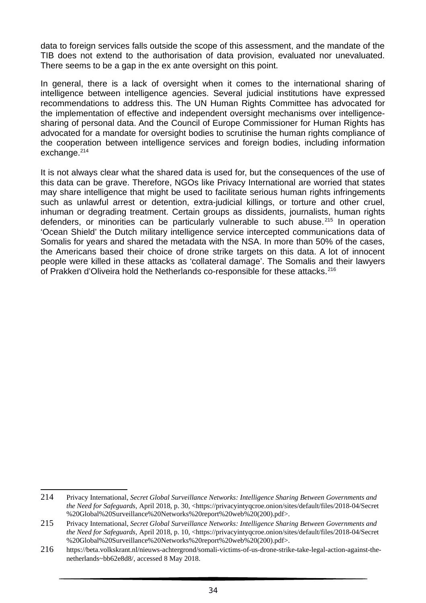data to foreign services falls outside the scope of this assessment, and the mandate of the TIB does not extend to the authorisation of data provision, evaluated nor unevaluated. There seems to be a gap in the ex ante oversight on this point.

In general, there is a lack of oversight when it comes to the international sharing of intelligence between intelligence agencies. Several judicial institutions have expressed recommendations to address this. The UN Human Rights Committee has advocated for the implementation of effective and independent oversight mechanisms over intelligencesharing of personal data. And the Council of Europe Commissioner for Human Rights has advocated for a mandate for oversight bodies to scrutinise the human rights compliance of the cooperation between intelligence services and foreign bodies, including information exchange.<sup>214</sup>

It is not always clear what the shared data is used for, but the consequences of the use of this data can be grave. Therefore, NGOs like Privacy International are worried that states may share intelligence that might be used to facilitate serious human rights infringements such as unlawful arrest or detention, extra-judicial killings, or torture and other cruel, inhuman or degrading treatment. Certain groups as dissidents, journalists, human rights defenders, or minorities can be particularly vulnerable to such abuse.<sup>215</sup> In operation 'Ocean Shield' the Dutch military intelligence service intercepted communications data of Somalis for years and shared the metadata with the NSA. In more than 50% of the cases, the Americans based their choice of drone strike targets on this data. A lot of innocent people were killed in these attacks as 'collateral damage'. The Somalis and their lawyers of Prakken d'Oliveira hold the Netherlands co-responsible for these attacks.<sup>216</sup>

<sup>214</sup> Privacy International, *Secret Global Surveillance Networks: Intelligence Sharing Between Governments and the Need for Safeguards,* April 2018, p. 30, <https://privacyintyqcroe.onion/sites/default/files/2018-04/Secret %20Global%20Surveillance%20Networks%20report%20web%20(200).pdf>.

<sup>215</sup> Privacy International, *Secret Global Surveillance Networks: Intelligence Sharing Between Governments and the Need for Safeguards,* April 2018, p. 10, <https://privacyintyqcroe.onion/sites/default/files/2018-04/Secret %20Global%20Surveillance%20Networks%20report%20web%20(200).pdf>.

<sup>216</sup> https://beta.volkskrant.nl/nieuws-achtergrond/somali-victims-of-us-drone-strike-take-legal-action-against-thenetherlands~bb62e8d8/, accessed 8 May 2018.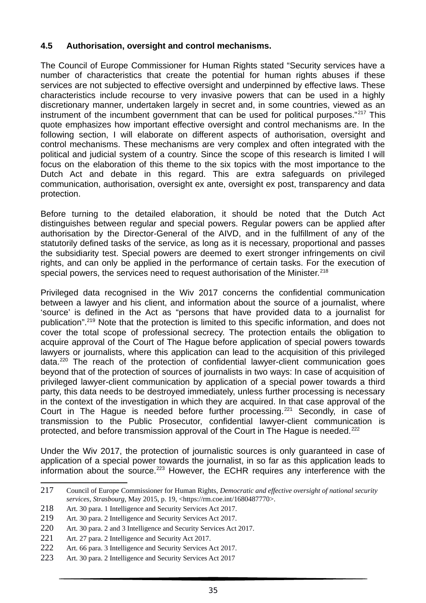#### **4.5 Authorisation, oversight and control mechanisms.**

The Council of Europe Commissioner for Human Rights stated "Security services have a number of characteristics that create the potential for human rights abuses if these services are not subjected to effective oversight and underpinned by effective laws. These characteristics include recourse to very invasive powers that can be used in a highly discretionary manner, undertaken largely in secret and, in some countries, viewed as an instrument of the incumbent government that can be used for political purposes." $217$  This quote emphasizes how important effective oversight and control mechanisms are. In the following section, I will elaborate on different aspects of authorisation, oversight and control mechanisms. These mechanisms are very complex and often integrated with the political and judicial system of a country. Since the scope of this research is limited I will focus on the elaboration of this theme to the six topics with the most importance to the Dutch Act and debate in this regard. This are extra safeguards on privileged communication, authorisation, oversight ex ante, oversight ex post, transparency and data protection.

Before turning to the detailed elaboration, it should be noted that the Dutch Act distinguishes between regular and special powers. Regular powers can be applied after authorisation by the Director-General of the AIVD, and in the fulfillment of any of the statutorily defined tasks of the service, as long as it is necessary, proportional and passes the subsidiarity test. Special powers are deemed to exert stronger infringements on civil rights, and can only be applied in the performance of certain tasks. For the execution of special powers, the services need to request authorisation of the Minister.<sup>218</sup>

Privileged data recognised in the Wiv 2017 concerns the confidential communication between a lawyer and his client, and information about the source of a journalist, where 'source' is defined in the Act as "persons that have provided data to a journalist for publication".<sup>219</sup> Note that the protection is limited to this specific information, and does not cover the total scope of professional secrecy. The protection entails the obligation to acquire approval of the Court of The Hague before application of special powers towards lawyers or journalists, where this application can lead to the acquisition of this privileged data.<sup>220</sup> The reach of the protection of confidential lawyer-client communication goes beyond that of the protection of sources of journalists in two ways: In case of acquisition of privileged lawyer-client communication by application of a special power towards a third party, this data needs to be destroyed immediately, unless further processing is necessary in the context of the investigation in which they are acquired. In that case approval of the Court in The Hague is needed before further processing.<sup>221</sup> Secondly, in case of transmission to the Public Prosecutor, confidential lawyer-client communication is protected, and before transmission approval of the Court in The Hague is needed.<sup>222</sup>

Under the Wiv 2017, the protection of journalistic sources is only guaranteed in case of application of a special power towards the journalist, in so far as this application leads to information about the source.<sup>223</sup> However, the ECHR requires any interference with the

<sup>217</sup> Council of Europe Commissioner for Human Rights, *Democratic and effective oversight of national security services, Strasbourg,* May 2015, p. 19, <https://rm.coe.int/1680487770>.

<sup>218</sup> Art. 30 para. 1 Intelligence and Security Services Act 2017.

<sup>219</sup> Art. 30 para. 2 Intelligence and Security Services Act 2017.

<sup>220</sup> Art. 30 para. 2 and 3 Intelligence and Security Services Act 2017.

<sup>221</sup> Art. 27 para. 2 Intelligence and Security Act 2017.

<sup>222</sup> Art. 66 para. 3 Intelligence and Security Services Act 2017.

<sup>223</sup> Art. 30 para. 2 Intelligence and Security Services Act 2017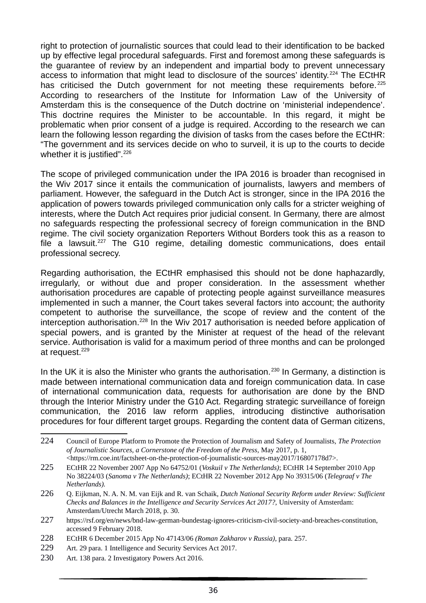right to protection of journalistic sources that could lead to their identification to be backed up by effective legal procedural safeguards. First and foremost among these safeguards is the guarantee of review by an independent and impartial body to prevent unnecessary access to information that might lead to disclosure of the sources' identity.<sup>224</sup> The ECtHR has criticised the Dutch government for not meeting these requirements before.<sup>225</sup> According to researchers of the Institute for Information Law of the University of Amsterdam this is the consequence of the Dutch doctrine on 'ministerial independence'. This doctrine requires the Minister to be accountable. In this regard, it might be problematic when prior consent of a judge is required. According to the research we can learn the following lesson regarding the division of tasks from the cases before the ECtHR: "The government and its services decide on who to surveil, it is up to the courts to decide whether it is justified".<sup>226</sup>

The scope of privileged communication under the IPA 2016 is broader than recognised in the Wiv 2017 since it entails the communication of journalists, lawyers and members of parliament. However, the safeguard in the Dutch Act is stronger, since in the IPA 2016 the application of powers towards privileged communication only calls for a stricter weighing of interests, where the Dutch Act requires prior judicial consent. In Germany, there are almost no safeguards respecting the professional secrecy of foreign communication in the BND regime. The civil society organization Reporters Without Borders took this as a reason to file a lawsuit.<sup>227</sup> The G10 regime, detailing domestic communications, does entail professional secrecy.

Regarding authorisation, the ECtHR emphasised this should not be done haphazardly, irregularly, or without due and proper consideration. In the assessment whether authorisation procedures are capable of protecting people against surveillance measures implemented in such a manner, the Court takes several factors into account; the authority competent to authorise the surveillance, the scope of review and the content of the interception authorisation.<sup>228</sup> In the Wiv 2017 authorisation is needed before application of special powers, and is granted by the Minister at request of the head of the relevant service. Authorisation is valid for a maximum period of three months and can be prolonged at request.<sup>229</sup>

In the UK it is also the Minister who grants the authorisation.<sup>230</sup> In Germany, a distinction is made between international communication data and foreign communication data. In case of international communication data, requests for authorisation are done by the BND through the Interior Ministry under the G10 Act. Regarding strategic surveillance of foreign communication, the 2016 law reform applies, introducing distinctive authorisation procedures for four different target groups. Regarding the content data of German citizens,

<sup>224</sup> Council of Europe Platform to Promote the Protection of Journalism and Safety of Journalists, *The Protection of Journalistic Sources, a Cornerstone of the Freedom of the Press,* May 2017, p. 1, <https://rm.coe.int/factsheet-on-the-protection-of-journalistic-sources-may2017/16807178d7>.

<sup>225</sup> ECtHR 22 November 2007 App No 64752/01 (*Voskuil v The Netherlands)*; ECtHR 14 September 2010 App No 38224/03 (*Sanoma v The Netherlands)*; ECtHR 22 November 2012 App No 39315/06 (*Telegraaf v The Netherlands).* 

<sup>226</sup> Q. Eijkman, N. A. N. M. van Eijk and R. van Schaik, *Dutch National Security Reform under Review: Sufficient Checks and Balances in the Intelligence and Security Services Act 2017?,* University of Amsterdam: Amsterdam/Utrecht March 2018, p. 30.

<sup>227</sup> https://rsf.org/en/news/bnd-law-german-bundestag-ignores-criticism-civil-society-and-breaches-constitution, accessed 9 February 2018.

<sup>228</sup> ECtHR 6 December 2015 App No 47143/06 *(Roman Zakharov v Russia)*, para. 257.

<sup>229</sup> Art. 29 para. 1 Intelligence and Security Services Act 2017.

<sup>230</sup> Art. 138 para. 2 Investigatory Powers Act 2016.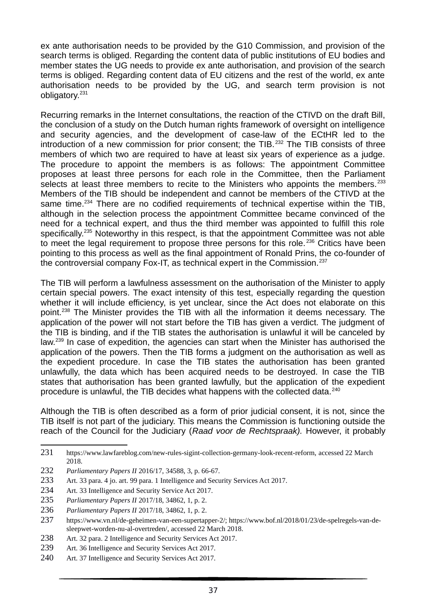ex ante authorisation needs to be provided by the G10 Commission, and provision of the search terms is obliged. Regarding the content data of public institutions of EU bodies and member states the UG needs to provide ex ante authorisation, and provision of the search terms is obliged. Regarding content data of EU citizens and the rest of the world, ex ante authorisation needs to be provided by the UG, and search term provision is not obligatory.<sup>231</sup>

Recurring remarks in the Internet consultations, the reaction of the CTIVD on the draft Bill, the conclusion of a study on the Dutch human rights framework of oversight on intelligence and security agencies, and the development of case-law of the ECtHR led to the introduction of a new commission for prior consent; the TIB.<sup>232</sup> The TIB consists of three members of which two are required to have at least six years of experience as a judge. The procedure to appoint the members is as follows: The appointment Committee proposes at least three persons for each role in the Committee, then the Parliament selects at least three members to recite to the Ministers who appoints the members.  $233$ Members of the TIB should be independent and cannot be members of the CTIVD at the same time.<sup>234</sup> There are no codified requirements of technical expertise within the TIB, although in the selection process the appointment Committee became convinced of the need for a technical expert, and thus the third member was appointed to fulfill this role specifically.<sup>235</sup> Noteworthy in this respect, is that the appointment Committee was not able to meet the legal requirement to propose three persons for this role.<sup>236</sup> Critics have been pointing to this process as well as the final appointment of Ronald Prins, the co-founder of the controversial company Fox-IT, as technical expert in the Commission.<sup>237</sup>

The TIB will perform a lawfulness assessment on the authorisation of the Minister to apply certain special powers. The exact intensity of this test, especially regarding the question whether it will include efficiency, is yet unclear, since the Act does not elaborate on this point.<sup>238</sup> The Minister provides the TIB with all the information it deems necessary. The application of the power will not start before the TIB has given a verdict. The judgment of the TIB is binding, and if the TIB states the authorisation is unlawful it will be canceled by law.<sup>239</sup> In case of expedition, the agencies can start when the Minister has authorised the application of the powers. Then the TIB forms a judgment on the authorisation as well as the expedient procedure. In case the TIB states the authorisation has been granted unlawfully, the data which has been acquired needs to be destroyed. In case the TIB states that authorisation has been granted lawfully, but the application of the expedient procedure is unlawful, the TIB decides what happens with the collected data.<sup>240</sup>

Although the TIB is often described as a form of prior judicial consent, it is not, since the TIB itself is not part of the judiciary. This means the Commission is functioning outside the reach of the Council for the Judiciary (*Raad voor de Rechtspraak).* However, it probably

238 Art. 32 para. 2 Intelligence and Security Services Act 2017.

<sup>231</sup> https://www.lawfareblog.com/new-rules-sigint-collection-germany-look-recent-reform, accessed 22 March 2018.

<sup>232</sup> *Parliamentary Papers II* 2016/17, 34588, 3, p. 66-67.

<sup>233</sup> Art. 33 para. 4 jo. art. 99 para. 1 Intelligence and Security Services Act 2017.

<sup>234</sup> Art. 33 Intelligence and Security Service Act 2017.

<sup>235</sup> *Parliamentary Papers II* 2017/18, 34862, 1, p. 2.

<sup>236</sup> *Parliamentary Papers II* 2017/18, 34862, 1, p. 2.

<sup>237</sup> https://www.vn.nl/de-geheimen-van-een-supertapper-2/; https://www.bof.nl/2018/01/23/de-spelregels-van-desleepwet-worden-nu-al-overtreden/, accessed 22 March 2018.

<sup>239</sup> Art. 36 Intelligence and Security Services Act 2017.

<sup>240</sup> Art. 37 Intelligence and Security Services Act 2017.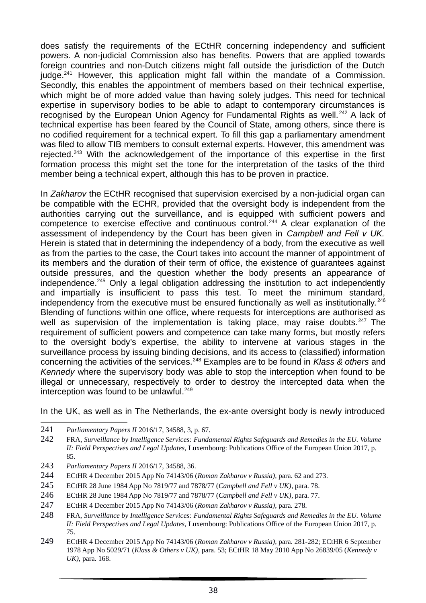does satisfy the requirements of the ECtHR concerning independency and sufficient powers. A non-judicial Commission also has benefits. Powers that are applied towards foreign countries and non-Dutch citizens might fall outside the jurisdiction of the Dutch iudge. $241$  However, this application might fall within the mandate of a Commission. Secondly, this enables the appointment of members based on their technical expertise, which might be of more added value than having solely judges. This need for technical expertise in supervisory bodies to be able to adapt to contemporary circumstances is recognised by the European Union Agency for Fundamental Rights as well.<sup>242</sup> A lack of technical expertise has been feared by the Council of State, among others, since there is no codified requirement for a technical expert. To fill this gap a parliamentary amendment was filed to allow TIB members to consult external experts. However, this amendment was rejected.<sup>243</sup> With the acknowledgement of the importance of this expertise in the first formation process this might set the tone for the interpretation of the tasks of the third member being a technical expert, although this has to be proven in practice.

In *Zakharov* the ECtHR recognised that supervision exercised by a non-judicial organ can be compatible with the ECHR, provided that the oversight body is independent from the authorities carrying out the surveillance, and is equipped with sufficient powers and competence to exercise effective and continuous control.<sup>244</sup> A clear explanation of the assessment of independency by the Court has been given in *Campbell and Fell v UK.* Herein is stated that in determining the independency of a body, from the executive as well as from the parties to the case, the Court takes into account the manner of appointment of its members and the duration of their term of office, the existence of guarantees against outside pressures, and the question whether the body presents an appearance of independence.<sup>245</sup> Only a legal obligation addressing the institution to act independently and impartially is insufficient to pass this test. To meet the minimum standard, independency from the executive must be ensured functionally as well as institutionally.<sup>246</sup> Blending of functions within one office, where requests for interceptions are authorised as well as supervision of the implementation is taking place, may raise doubts. $247$  The requirement of sufficient powers and competence can take many forms, but mostly refers to the oversight body's expertise, the ability to intervene at various stages in the surveillance process by issuing binding decisions, and its access to (classified) information concerning the activities of the services.<sup>248</sup> Examples are to be found in *Klass & others* and *Kennedy* where the supervisory body was able to stop the interception when found to be illegal or unnecessary, respectively to order to destroy the intercepted data when the interception was found to be unlawful.<sup>249</sup>

In the UK, as well as in The Netherlands, the ex-ante oversight body is newly introduced

- 243 *Parliamentary Papers II* 2016/17, 34588, 36.
- 244 ECtHR 4 December 2015 App No 74143/06 (*Roman Zakharov v Russia)*, para. 62 and 273.
- 245 ECtHR 28 June 1984 App No 7819/77 and 7878/77 (*Campbell and Fell v UK)*, para. 78.
- 246 ECtHR 28 June 1984 App No 7819/77 and 7878/77 (*Campbell and Fell v UK)*, para. 77.
- 247 ECtHR 4 December 2015 App No 74143/06 (*Roman Zakharov v Russia)*, para. 278.
- 248 FRA, *Surveillance by Intelligence Services: Fundamental Rights Safeguards and Remedies in the EU. Volume II: Field Perspectives and Legal Updates,* Luxembourg: Publications Office of the European Union 2017, p. 75.
- 249 ECtHR 4 December 2015 App No 74143/06 (*Roman Zakharov v Russia)*, para. 281-282; ECtHR 6 September 1978 App No 5029/71 (*Klass & Others v UK)*, para. 53; ECtHR 18 May 2010 App No 26839/05 (*Kennedy v UK),* para. 168.

<sup>241</sup> *Parliamentary Papers II* 2016/17, 34588, 3, p. 67.

<sup>242</sup> FRA, *Surveillance by Intelligence Services: Fundamental Rights Safeguards and Remedies in the EU. Volume II: Field Perspectives and Legal Updates,* Luxembourg: Publications Office of the European Union 2017, p. 85.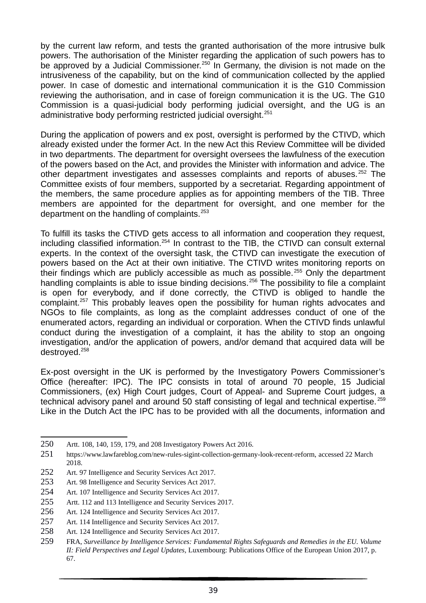by the current law reform, and tests the granted authorisation of the more intrusive bulk powers. The authorisation of the Minister regarding the application of such powers has to be approved by a Judicial Commissioner.<sup>250</sup> In Germany, the division is not made on the intrusiveness of the capability, but on the kind of communication collected by the applied power. In case of domestic and international communication it is the G10 Commission reviewing the authorisation, and in case of foreign communication it is the UG. The G10 Commission is a quasi-judicial body performing judicial oversight, and the UG is an administrative body performing restricted judicial oversight.<sup>251</sup>

During the application of powers and ex post, oversight is performed by the CTIVD, which already existed under the former Act. In the new Act this Review Committee will be divided in two departments. The department for oversight oversees the lawfulness of the execution of the powers based on the Act, and provides the Minister with information and advice. The other department investigates and assesses complaints and reports of abuses.<sup>252</sup> The Committee exists of four members, supported by a secretariat. Regarding appointment of the members, the same procedure applies as for appointing members of the TIB. Three members are appointed for the department for oversight, and one member for the department on the handling of complaints.<sup>253</sup>

To fulfill its tasks the CTIVD gets access to all information and cooperation they request, including classified information.<sup>254</sup> In contrast to the TIB, the CTIVD can consult external experts. In the context of the oversight task, the CTIVD can investigate the execution of powers based on the Act at their own initiative. The CTIVD writes monitoring reports on their findings which are publicly accessible as much as possible.<sup>255</sup> Only the department handling complaints is able to issue binding decisions.<sup>256</sup> The possibility to file a complaint is open for everybody, and if done correctly, the CTIVD is obliged to handle the complaint.<sup>257</sup> This probably leaves open the possibility for human rights advocates and NGOs to file complaints, as long as the complaint addresses conduct of one of the enumerated actors, regarding an individual or corporation. When the CTIVD finds unlawful conduct during the investigation of a complaint, it has the ability to stop an ongoing investigation, and/or the application of powers, and/or demand that acquired data will be destroyed.<sup>258</sup>

Ex-post oversight in the UK is performed by the Investigatory Powers Commissioner's Office (hereafter: IPC). The IPC consists in total of around 70 people, 15 Judicial Commissioners, (ex) High Court judges, Court of Appeal- and Supreme Court judges, a technical advisory panel and around 50 staff consisting of legal and technical expertise.<sup>259</sup> Like in the Dutch Act the IPC has to be provided with all the documents, information and

- 253 Art. 98 Intelligence and Security Services Act 2017.
- 254 Art. 107 Intelligence and Security Services Act 2017.
- 255 Artt. 112 and 113 Intelligence and Security Services 2017.
- 256 Art. 124 Intelligence and Security Services Act 2017.
- 257 Art. 114 Intelligence and Security Services Act 2017.
- 258 Art. 124 Intelligence and Security Services Act 2017.

<sup>250</sup> Artt. 108, 140, 159, 179, and 208 Investigatory Powers Act 2016.

<sup>251</sup> https://www.lawfareblog.com/new-rules-sigint-collection-germany-look-recent-reform, accessed 22 March 2018.

<sup>252</sup> Art. 97 Intelligence and Security Services Act 2017.

<sup>259</sup> FRA, *Surveillance by Intelligence Services: Fundamental Rights Safeguards and Remedies in the EU. Volume II: Field Perspectives and Legal Updates,* Luxembourg: Publications Office of the European Union 2017, p. 67.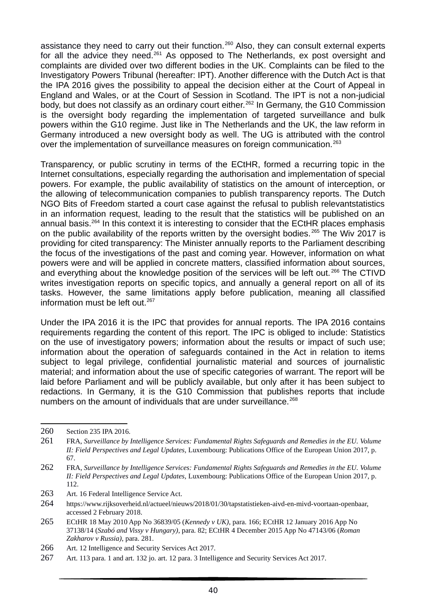assistance they need to carry out their function.<sup>260</sup> Also, they can consult external experts for all the advice they need.<sup>261</sup> As opposed to The Netherlands, ex post oversight and complaints are divided over two different bodies in the UK. Complaints can be filed to the Investigatory Powers Tribunal (hereafter: IPT). Another difference with the Dutch Act is that the IPA 2016 gives the possibility to appeal the decision either at the Court of Appeal in England and Wales, or at the Court of Session in Scotland. The IPT is not a non-judicial body, but does not classify as an ordinary court either.<sup>262</sup> In Germany, the G10 Commission is the oversight body regarding the implementation of targeted surveillance and bulk powers within the G10 regime. Just like in The Netherlands and the UK, the law reform in Germany introduced a new oversight body as well. The UG is attributed with the control over the implementation of surveillance measures on foreign communication.<sup>263</sup>

Transparency, or public scrutiny in terms of the ECtHR, formed a recurring topic in the Internet consultations, especially regarding the authorisation and implementation of special powers. For example, the public availability of statistics on the amount of interception, or the allowing of telecommunication companies to publish transparency reports. The Dutch NGO Bits of Freedom started a court case against the refusal to publish relevantstatistics in an information request, leading to the result that the statistics will be published on an annual basis.<sup>264</sup> In this context it is interesting to consider that the ECtHR places emphasis on the public availability of the reports written by the oversight bodies.<sup>265</sup> The Wiv 2017 is providing for cited transparency: The Minister annually reports to the Parliament describing the focus of the investigations of the past and coming year. However, information on what powers were and will be applied in concrete matters, classified information about sources, and everything about the knowledge position of the services will be left out.<sup>266</sup> The CTIVD writes investigation reports on specific topics, and annually a general report on all of its tasks. However, the same limitations apply before publication, meaning all classified information must be left out. $267$ 

Under the IPA 2016 it is the IPC that provides for annual reports. The IPA 2016 contains requirements regarding the content of this report. The IPC is obliged to include: Statistics on the use of investigatory powers; information about the results or impact of such use; information about the operation of safeguards contained in the Act in relation to items subject to legal privilege, confidential journalistic material and sources of journalistic material; and information about the use of specific categories of warrant. The report will be laid before Parliament and will be publicly available, but only after it has been subject to redactions. In Germany, it is the G10 Commission that publishes reports that include numbers on the amount of individuals that are under surveillance.<sup>268</sup>

266 Art. 12 Intelligence and Security Services Act 2017.

<sup>260</sup> Section 235 IPA 2016.

<sup>261</sup> FRA, *Surveillance by Intelligence Services: Fundamental Rights Safeguards and Remedies in the EU. Volume II: Field Perspectives and Legal Updates,* Luxembourg: Publications Office of the European Union 2017, p. 67.

<sup>262</sup> FRA, *Surveillance by Intelligence Services: Fundamental Rights Safeguards and Remedies in the EU. Volume II: Field Perspectives and Legal Updates,* Luxembourg: Publications Office of the European Union 2017, p. 112.

<sup>263</sup> Art. 16 Federal Intelligence Service Act.

<sup>264</sup> https://www.rijksoverheid.nl/actueel/nieuws/2018/01/30/tapstatistieken-aivd-en-mivd-voortaan-openbaar, accessed 2 February 2018.

<sup>265</sup> ECtHR 18 May 2010 App No 36839/05 (*Kennedy v UK)*, para. 166; ECtHR 12 January 2016 App No 37138/14 (*Szabó and Vissy v Hungary)*, para. 82; ECtHR 4 December 2015 App No 47143/06 (*Roman Zakharov v Russia)*, para. 281.

<sup>267</sup> Art. 113 para. 1 and art. 132 jo. art. 12 para. 3 Intelligence and Security Services Act 2017.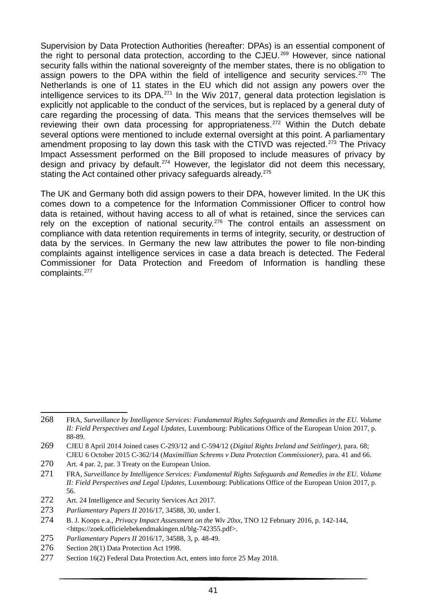Supervision by Data Protection Authorities (hereafter: DPAs) is an essential component of the right to personal data protection, according to the CJEU.<sup>269</sup> However, since national security falls within the national sovereignty of the member states, there is no obligation to assign powers to the DPA within the field of intelligence and security services.<sup>270</sup> The Netherlands is one of 11 states in the EU which did not assign any powers over the intelligence services to its DPA. $^{271}$  In the Wiv 2017, general data protection legislation is explicitly not applicable to the conduct of the services, but is replaced by a general duty of care regarding the processing of data. This means that the services themselves will be reviewing their own data processing for appropriateness.<sup>272</sup> Within the Dutch debate several options were mentioned to include external oversight at this point. A parliamentary amendment proposing to lay down this task with the CTIVD was rejected.<sup>273</sup> The Privacy Impact Assessment performed on the Bill proposed to include measures of privacy by design and privacy by default.<sup>274</sup> However, the legislator did not deem this necessary, stating the Act contained other privacy safeguards already.<sup>275</sup>

The UK and Germany both did assign powers to their DPA, however limited. In the UK this comes down to a competence for the Information Commissioner Officer to control how data is retained, without having access to all of what is retained, since the services can rely on the exception of national security.<sup>276</sup> The control entails an assessment on compliance with data retention requirements in terms of integrity, security, or destruction of data by the services. In Germany the new law attributes the power to file non-binding complaints against intelligence services in case a data breach is detected. The Federal Commissioner for Data Protection and Freedom of Information is handling these complaints.<sup>277</sup>

<sup>268</sup> FRA, *Surveillance by Intelligence Services: Fundamental Rights Safeguards and Remedies in the EU. Volume II: Field Perspectives and Legal Updates,* Luxembourg: Publications Office of the European Union 2017, p. 88-89.

<sup>269</sup> CJEU 8 April 2014 Joined cases C-293/12 and C-594/12 (*Digital Rights Ireland and Seitlinger)*, para. 68; CJEU 6 October 2015 C-362/14 (*Maximillian Schrems v Data Protection Commissioner)*, para. 41 and 66.

<sup>270</sup> Art. 4 par. 2, par. 3 Treaty on the European Union.

<sup>271</sup> FRA, *Surveillance by Intelligence Services: Fundamental Rights Safeguards and Remedies in the EU. Volume II: Field Perspectives and Legal Updates,* Luxembourg: Publications Office of the European Union 2017, p. 56.

<sup>272</sup> Art. 24 Intelligence and Security Services Act 2017.

<sup>273</sup> *Parliamentary Papers II* 2016/17, 34588, 30, under I.

<sup>274</sup> B. J. Koops e.a., *Privacy Impact Assessment on the Wiv 20xx*, TNO 12 February 2016, p. 142-144, <https://zoek.officielebekendmakingen.nl/blg-742355.pdf>.

<sup>275</sup> *Parliamentary Papers II* 2016/17, 34588, 3, p. 48-49.

<sup>276</sup> Section 28(1) Data Protection Act 1998.

<sup>277</sup> Section 16(2) Federal Data Protection Act, enters into force 25 May 2018.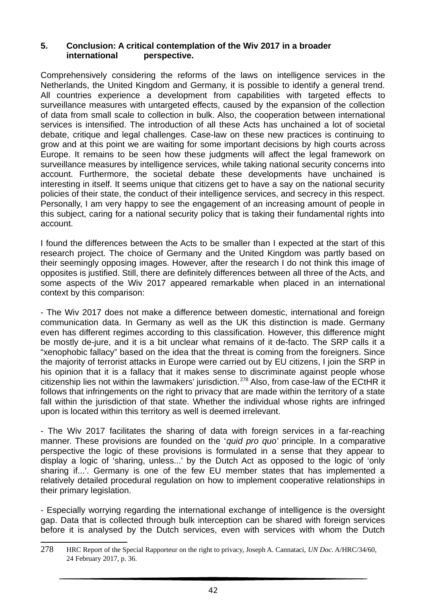#### **5. Conclusion: A critical contemplation of the Wiv 2017 in a broader international perspective.**

Comprehensively considering the reforms of the laws on intelligence services in the Netherlands, the United Kingdom and Germany, it is possible to identify a general trend. All countries experience a development from capabilities with targeted effects to surveillance measures with untargeted effects, caused by the expansion of the collection of data from small scale to collection in bulk. Also, the cooperation between international services is intensified. The introduction of all these Acts has unchained a lot of societal debate, critique and legal challenges. Case-law on these new practices is continuing to grow and at this point we are waiting for some important decisions by high courts across Europe. It remains to be seen how these judgments will affect the legal framework on surveillance measures by intelligence services, while taking national security concerns into account. Furthermore, the societal debate these developments have unchained is interesting in itself. It seems unique that citizens get to have a say on the national security policies of their state, the conduct of their intelligence services, and secrecy in this respect. Personally, I am very happy to see the engagement of an increasing amount of people in this subject, caring for a national security policy that is taking their fundamental rights into account.

I found the differences between the Acts to be smaller than I expected at the start of this research project. The choice of Germany and the United Kingdom was partly based on their seemingly opposing images. However, after the research I do not think this image of opposites is justified. Still, there are definitely differences between all three of the Acts, and some aspects of the Wiv 2017 appeared remarkable when placed in an international context by this comparison:

- The Wiv 2017 does not make a difference between domestic, international and foreign communication data. In Germany as well as the UK this distinction is made. Germany even has different regimes according to this classification. However, this difference might be mostly de-jure, and it is a bit unclear what remains of it de-facto. The SRP calls it a "xenophobic fallacy" based on the idea that the threat is coming from the foreigners. Since the majority of terrorist attacks in Europe were carried out by EU citizens, I join the SRP in his opinion that it is a fallacy that it makes sense to discriminate against people whose citizenship lies not within the lawmakers' jurisdiction.<sup>278</sup> Also, from case-law of the ECtHR it follows that infringements on the right to privacy that are made within the territory of a state fall within the jurisdiction of that state. Whether the individual whose rights are infringed upon is located within this territory as well is deemed irrelevant.

- The Wiv 2017 facilitates the sharing of data with foreign services in a far-reaching manner. These provisions are founded on the '*quid pro quo'* principle. In a comparative perspective the logic of these provisions is formulated in a sense that they appear to display a logic of 'sharing, unless...' by the Dutch Act as opposed to the logic of 'only sharing if...'. Germany is one of the few EU member states that has implemented a relatively detailed procedural regulation on how to implement cooperative relationships in their primary legislation.

- Especially worrying regarding the international exchange of intelligence is the oversight gap. Data that is collected through bulk interception can be shared with foreign services before it is analysed by the Dutch services, even with services with whom the Dutch

<sup>278</sup> HRC Report of the Special Rapporteur on the right to privacy, Joseph A. Cannataci, *UN Doc*. A/HRC/34/60, 24 February 2017, p. 36.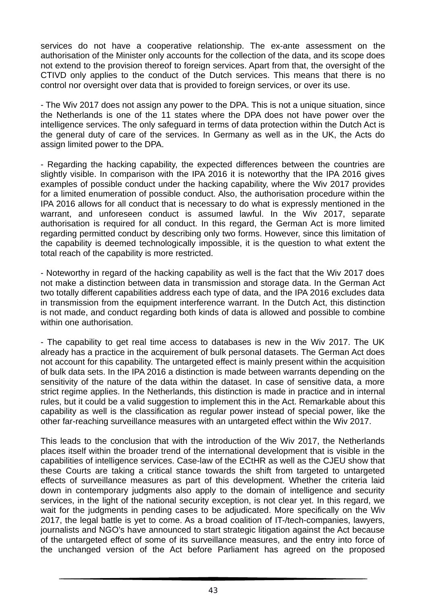services do not have a cooperative relationship. The ex-ante assessment on the authorisation of the Minister only accounts for the collection of the data, and its scope does not extend to the provision thereof to foreign services. Apart from that, the oversight of the CTIVD only applies to the conduct of the Dutch services. This means that there is no control nor oversight over data that is provided to foreign services, or over its use.

- The Wiv 2017 does not assign any power to the DPA. This is not a unique situation, since the Netherlands is one of the 11 states where the DPA does not have power over the intelligence services. The only safeguard in terms of data protection within the Dutch Act is the general duty of care of the services. In Germany as well as in the UK, the Acts do assign limited power to the DPA.

- Regarding the hacking capability, the expected differences between the countries are slightly visible. In comparison with the IPA 2016 it is noteworthy that the IPA 2016 gives examples of possible conduct under the hacking capability, where the Wiv 2017 provides for a limited enumeration of possible conduct. Also, the authorisation procedure within the IPA 2016 allows for all conduct that is necessary to do what is expressly mentioned in the warrant, and unforeseen conduct is assumed lawful. In the Wiv 2017, separate authorisation is required for all conduct. In this regard, the German Act is more limited regarding permitted conduct by describing only two forms. However, since this limitation of the capability is deemed technologically impossible, it is the question to what extent the total reach of the capability is more restricted.

- Noteworthy in regard of the hacking capability as well is the fact that the Wiv 2017 does not make a distinction between data in transmission and storage data. In the German Act two totally different capabilities address each type of data, and the IPA 2016 excludes data in transmission from the equipment interference warrant. In the Dutch Act, this distinction is not made, and conduct regarding both kinds of data is allowed and possible to combine within one authorisation.

- The capability to get real time access to databases is new in the Wiv 2017. The UK already has a practice in the acquirement of bulk personal datasets. The German Act does not account for this capability. The untargeted effect is mainly present within the acquisition of bulk data sets. In the IPA 2016 a distinction is made between warrants depending on the sensitivity of the nature of the data within the dataset. In case of sensitive data, a more strict regime applies. In the Netherlands, this distinction is made in practice and in internal rules, but it could be a valid suggestion to implement this in the Act. Remarkable about this capability as well is the classification as regular power instead of special power, like the other far-reaching surveillance measures with an untargeted effect within the Wiv 2017.

This leads to the conclusion that with the introduction of the Wiv 2017, the Netherlands places itself within the broader trend of the international development that is visible in the capabilities of intelligence services. Case-law of the ECtHR as well as the CJEU show that these Courts are taking a critical stance towards the shift from targeted to untargeted effects of surveillance measures as part of this development. Whether the criteria laid down in contemporary judgments also apply to the domain of intelligence and security services, in the light of the national security exception, is not clear yet. In this regard, we wait for the judgments in pending cases to be adjudicated. More specifically on the Wiv 2017, the legal battle is yet to come. As a broad coalition of IT-/tech-companies, lawyers, journalists and NGO's have announced to start strategic litigation against the Act because of the untargeted effect of some of its surveillance measures, and the entry into force of the unchanged version of the Act before Parliament has agreed on the proposed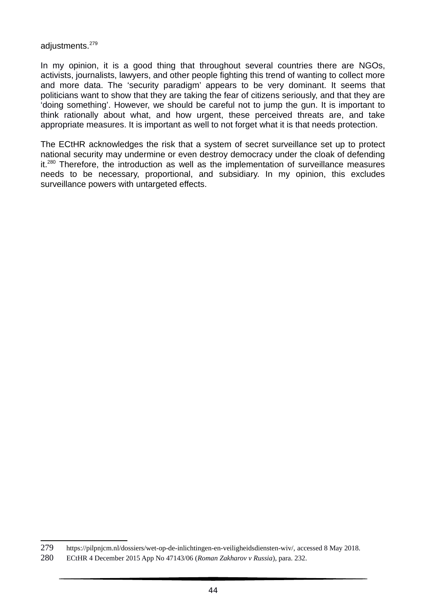adjustments.<sup>279</sup>

In my opinion, it is a good thing that throughout several countries there are NGOs, activists, journalists, lawyers, and other people fighting this trend of wanting to collect more and more data. The 'security paradigm' appears to be very dominant. It seems that politicians want to show that they are taking the fear of citizens seriously, and that they are 'doing something'. However, we should be careful not to jump the gun. It is important to think rationally about what, and how urgent, these perceived threats are, and take appropriate measures. It is important as well to not forget what it is that needs protection.

The ECtHR acknowledges the risk that a system of secret surveillance set up to protect national security may undermine or even destroy democracy under the cloak of defending it.<sup>280</sup> Therefore, the introduction as well as the implementation of surveillance measures needs to be necessary, proportional, and subsidiary. In my opinion, this excludes surveillance powers with untargeted effects.

<sup>279</sup> https://pilpnjcm.nl/dossiers/wet-op-de-inlichtingen-en-veiligheidsdiensten-wiv/, accessed 8 May 2018.

<sup>280</sup> ECtHR 4 December 2015 App No 47143/06 (*Roman Zakharov v Russia*), para. 232.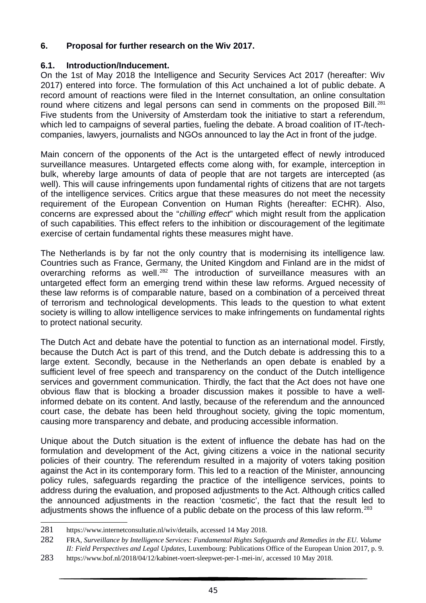### **6. Proposal for further research on the Wiv 2017.**

## **6.1. Introduction/Inducement.**

On the 1st of May 2018 the Intelligence and Security Services Act 2017 (hereafter: Wiv 2017) entered into force. The formulation of this Act unchained a lot of public debate. A record amount of reactions were filed in the Internet consultation, an online consultation round where citizens and legal persons can send in comments on the proposed Bill.<sup>281</sup> Five students from the University of Amsterdam took the initiative to start a referendum, which led to campaigns of several parties, fueling the debate. A broad coalition of IT-/techcompanies, lawyers, journalists and NGOs announced to lay the Act in front of the judge.

Main concern of the opponents of the Act is the untargeted effect of newly introduced surveillance measures. Untargeted effects come along with, for example, interception in bulk, whereby large amounts of data of people that are not targets are intercepted (as well). This will cause infringements upon fundamental rights of citizens that are not targets of the intelligence services. Critics argue that these measures do not meet the necessity requirement of the European Convention on Human Rights (hereafter: ECHR). Also, concerns are expressed about the "*chilling effect*" which might result from the application of such capabilities. This effect refers to the inhibition or discouragement of the legitimate exercise of certain fundamental rights these measures might have.

The Netherlands is by far not the only country that is modernising its intelligence law. Countries such as France, Germany, the United Kingdom and Finland are in the midst of overarching reforms as well.<sup>282</sup> The introduction of surveillance measures with an untargeted effect form an emerging trend within these law reforms. Argued necessity of these law reforms is of comparable nature, based on a combination of a perceived threat of terrorism and technological developments. This leads to the question to what extent society is willing to allow intelligence services to make infringements on fundamental rights to protect national security.

The Dutch Act and debate have the potential to function as an international model. Firstly, because the Dutch Act is part of this trend, and the Dutch debate is addressing this to a large extent. Secondly, because in the Netherlands an open debate is enabled by a sufficient level of free speech and transparency on the conduct of the Dutch intelligence services and government communication. Thirdly, the fact that the Act does not have one obvious flaw that is blocking a broader discussion makes it possible to have a wellinformed debate on its content. And lastly, because of the referendum and the announced court case, the debate has been held throughout society, giving the topic momentum, causing more transparency and debate, and producing accessible information.

Unique about the Dutch situation is the extent of influence the debate has had on the formulation and development of the Act, giving citizens a voice in the national security policies of their country. The referendum resulted in a majority of voters taking position against the Act in its contemporary form. This led to a reaction of the Minister, announcing policy rules, safeguards regarding the practice of the intelligence services, points to address during the evaluation, and proposed adjustments to the Act. Although critics called the announced adjustments in the reaction 'cosmetic', the fact that the result led to adjustments shows the influence of a public debate on the process of this law reform.<sup>283</sup>

<sup>281</sup> https://www.internetconsultatie.nl/wiv/details, accessed 14 May 2018.

<sup>282</sup> FRA, *Surveillance by Intelligence Services: Fundamental Rights Safeguards and Remedies in the EU. Volume II: Field Perspectives and Legal Updates,* Luxembourg: Publications Office of the European Union 2017, p. 9.

<sup>283</sup> https://www.bof.nl/2018/04/12/kabinet-voert-sleepwet-per-1-mei-in/, accessed 10 May 2018.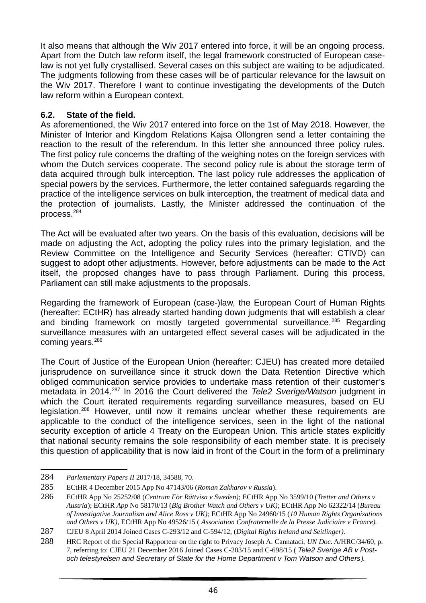It also means that although the Wiv 2017 entered into force, it will be an ongoing process. Apart from the Dutch law reform itself, the legal framework constructed of European caselaw is not yet fully crystallised. Several cases on this subject are waiting to be adjudicated. The judgments following from these cases will be of particular relevance for the lawsuit on the Wiv 2017. Therefore I want to continue investigating the developments of the Dutch law reform within a European context.

#### **6.2. State of the field.**

As aforementioned, the Wiv 2017 entered into force on the 1st of May 2018. However, the Minister of Interior and Kingdom Relations Kajsa Ollongren send a letter containing the reaction to the result of the referendum. In this letter she announced three policy rules. The first policy rule concerns the drafting of the weighing notes on the foreign services with whom the Dutch services cooperate. The second policy rule is about the storage term of data acquired through bulk interception. The last policy rule addresses the application of special powers by the services. Furthermore, the letter contained safeguards regarding the practice of the intelligence services on bulk interception, the treatment of medical data and the protection of journalists. Lastly, the Minister addressed the continuation of the process.<sup>284</sup>

The Act will be evaluated after two years. On the basis of this evaluation, decisions will be made on adjusting the Act, adopting the policy rules into the primary legislation, and the Review Committee on the Intelligence and Security Services (hereafter: CTIVD) can suggest to adopt other adjustments. However, before adjustments can be made to the Act itself, the proposed changes have to pass through Parliament. During this process, Parliament can still make adjustments to the proposals.

Regarding the framework of European (case-)law, the European Court of Human Rights (hereafter: ECtHR) has already started handing down judgments that will establish a clear and binding framework on mostly targeted governmental surveillance.<sup>285</sup> Regarding surveillance measures with an untargeted effect several cases will be adjudicated in the coming years.<sup>286</sup>

The Court of Justice of the European Union (hereafter: CJEU) has created more detailed jurisprudence on surveillance since it struck down the Data Retention Directive which obliged communication service provides to undertake mass retention of their customer's metadata in 2014.<sup>287</sup> In 2016 the Court delivered the *Tele2 Sverige/Watson* judgment in which the Court iterated requirements regarding surveillance measures, based on EU legislation.<sup>288</sup> However, until now it remains unclear whether these requirements are applicable to the conduct of the intelligence services, seen in the light of the national security exception of article 4 Treaty on the European Union. This article states explicitly that national security remains the sole responsibility of each member state. It is precisely this question of applicability that is now laid in front of the Court in the form of a preliminary

<sup>284</sup> *Parlementary Papers II* 2017/18, 34588, 70.

<sup>285</sup> ECtHR 4 December 2015 App No 47143/06 (*Roman Zakharov v Russia*).

<sup>286</sup> ECtHR App No 25252/08 (*Centrum För Rättvisa v Sweden)*; ECtHR App No 3599/10 (*Tretter and Others v Austria*); ECtHR *App* No 58170/13 (*Big Brother Watch and Others v UK)*; ECtHR App No 62322/14 (*Bureau of Investigative Journalism and Alice Ross v UK)*; ECtHR App No 24960/15 (*10 Human Rights Organizations and Others v UK)*, ECtHR App No 49526/15 ( *Association Confraternelle de la Presse Judiciaire v France).*

<sup>287</sup> CJEU 8 April 2014 Joined Cases C-293/12 and C-594/12, (*Digital Rights Ireland and Seitlinger).*

<sup>288</sup> HRC Report of the Special Rapporteur on the right to Privacy Joseph A. Cannataci, *UN Doc*. A/HRC/34/60, p. 7, referring to: CJEU 21 December 2016 Joined Cases C-203/15 and C-698/15 ( *Tele2 Sverige AB v Postoch telestyrelsen and Secretary of State for the Home Department v Tom Watson and Others).*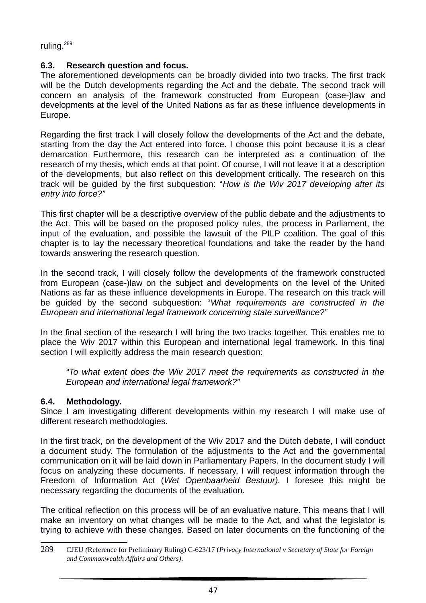ruling.<sup>289</sup>

### **6.3. Research question and focus.**

The aforementioned developments can be broadly divided into two tracks. The first track will be the Dutch developments regarding the Act and the debate. The second track will concern an analysis of the framework constructed from European (case-)law and developments at the level of the United Nations as far as these influence developments in Europe.

Regarding the first track I will closely follow the developments of the Act and the debate, starting from the day the Act entered into force. I choose this point because it is a clear demarcation Furthermore, this research can be interpreted as a continuation of the research of my thesis, which ends at that point. Of course, I will not leave it at a description of the developments, but also reflect on this development critically. The research on this track will be guided by the first subquestion: "*How is the Wiv 2017 developing after its entry into force?"*

This first chapter will be a descriptive overview of the public debate and the adjustments to the Act. This will be based on the proposed policy rules, the process in Parliament, the input of the evaluation, and possible the lawsuit of the PILP coalition. The goal of this chapter is to lay the necessary theoretical foundations and take the reader by the hand towards answering the research question.

In the second track, I will closely follow the developments of the framework constructed from European (case-)law on the subject and developments on the level of the United Nations as far as these influence developments in Europe. The research on this track will be guided by the second subquestion: "*What requirements are constructed in the European and international legal framework concerning state surveillance?"*

In the final section of the research I will bring the two tracks together. This enables me to place the Wiv 2017 within this European and international legal framework. In this final section I will explicitly address the main research question:

*"To what extent does the Wiv 2017 meet the requirements as constructed in the European and international legal framework?"*

#### **6.4. Methodology.**

Since I am investigating different developments within my research I will make use of different research methodologies.

In the first track, on the development of the Wiv 2017 and the Dutch debate, I will conduct a document study. The formulation of the adjustments to the Act and the governmental communication on it will be laid down in Parliamentary Papers. In the document study I will focus on analyzing these documents. If necessary, I will request information through the Freedom of Information Act (*Wet Openbaarheid Bestuur).* I foresee this might be necessary regarding the documents of the evaluation.

The critical reflection on this process will be of an evaluative nature. This means that I will make an inventory on what changes will be made to the Act, and what the legislator is trying to achieve with these changes. Based on later documents on the functioning of the

<sup>289</sup> CJEU *(*Reference for Preliminary Ruling) C-623/17 (*Privacy International v Secretary of State for Foreign and Commonwealth Affairs and Others)*.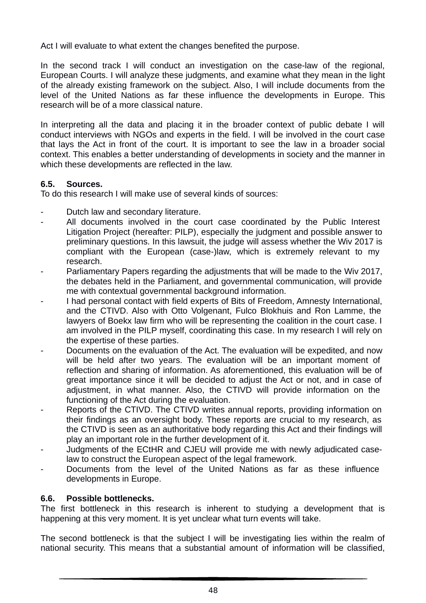Act I will evaluate to what extent the changes benefited the purpose.

In the second track I will conduct an investigation on the case-law of the regional, European Courts. I will analyze these judgments, and examine what they mean in the light of the already existing framework on the subject. Also, I will include documents from the level of the United Nations as far these influence the developments in Europe. This research will be of a more classical nature.

In interpreting all the data and placing it in the broader context of public debate I will conduct interviews with NGOs and experts in the field. I will be involved in the court case that lays the Act in front of the court. It is important to see the law in a broader social context. This enables a better understanding of developments in society and the manner in which these developments are reflected in the law.

#### **6.5. Sources.**

To do this research I will make use of several kinds of sources:

- Dutch law and secondary literature.
- All documents involved in the court case coordinated by the Public Interest Litigation Project (hereafter: PILP), especially the judgment and possible answer to preliminary questions. In this lawsuit, the judge will assess whether the Wiv 2017 is compliant with the European (case-)law, which is extremely relevant to my research.
- Parliamentary Papers regarding the adjustments that will be made to the Wiv 2017, the debates held in the Parliament, and governmental communication, will provide me with contextual governmental background information.
- I had personal contact with field experts of Bits of Freedom, Amnesty International, and the CTIVD. Also with Otto Volgenant, Fulco Blokhuis and Ron Lamme, the lawyers of Boekx law firm who will be representing the coalition in the court case. I am involved in the PILP myself, coordinating this case. In my research I will rely on the expertise of these parties.
- Documents on the evaluation of the Act. The evaluation will be expedited, and now will be held after two years. The evaluation will be an important moment of reflection and sharing of information. As aforementioned, this evaluation will be of great importance since it will be decided to adjust the Act or not, and in case of adjustment, in what manner. Also, the CTIVD will provide information on the functioning of the Act during the evaluation.
- Reports of the CTIVD. The CTIVD writes annual reports, providing information on their findings as an oversight body. These reports are crucial to my research, as the CTIVD is seen as an authoritative body regarding this Act and their findings will play an important role in the further development of it.
- Judgments of the ECtHR and CJEU will provide me with newly adjudicated caselaw to construct the European aspect of the legal framework.
- Documents from the level of the United Nations as far as these influence developments in Europe.

#### **6.6. Possible bottlenecks.**

The first bottleneck in this research is inherent to studying a development that is happening at this very moment. It is yet unclear what turn events will take.

The second bottleneck is that the subject I will be investigating lies within the realm of national security. This means that a substantial amount of information will be classified,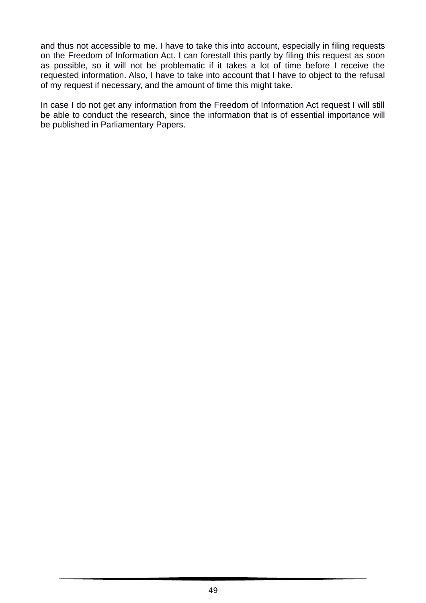and thus not accessible to me. I have to take this into account, especially in filing requests on the Freedom of Information Act. I can forestall this partly by filing this request as soon as possible, so it will not be problematic if it takes a lot of time before I receive the requested information. Also, I have to take into account that I have to object to the refusal of my request if necessary, and the amount of time this might take.

In case I do not get any information from the Freedom of Information Act request I will still be able to conduct the research, since the information that is of essential importance will be published in Parliamentary Papers.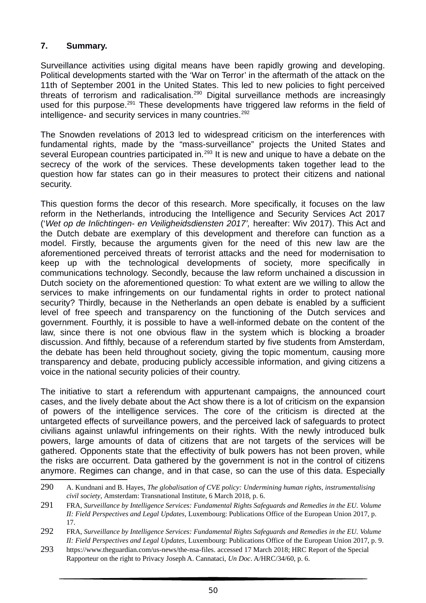#### **7. Summary.**

Surveillance activities using digital means have been rapidly growing and developing. Political developments started with the 'War on Terror' in the aftermath of the attack on the 11th of September 2001 in the United States. This led to new policies to fight perceived threats of terrorism and radicalisation.<sup>290</sup> Digital surveillance methods are increasingly used for this purpose.<sup>291</sup> These developments have triggered law reforms in the field of intelligence- and security services in many countries.<sup>292</sup>

The Snowden revelations of 2013 led to widespread criticism on the interferences with fundamental rights, made by the "mass-surveillance" projects the United States and several European countries participated in.<sup>293</sup> It is new and unique to have a debate on the secrecy of the work of the services. These developments taken together lead to the question how far states can go in their measures to protect their citizens and national security.

This question forms the decor of this research. More specifically, it focuses on the law reform in the Netherlands, introducing the Intelligence and Security Services Act 2017 ('*Wet op de Inlichtingen- en Veiligheidsdiensten 2017',* hereafter: Wiv 2017). This Act and the Dutch debate are exemplary of this development and therefore can function as a model. Firstly, because the arguments given for the need of this new law are the aforementioned perceived threats of terrorist attacks and the need for modernisation to keep up with the technological developments of society, more specifically in communications technology. Secondly, because the law reform unchained a discussion in Dutch society on the aforementioned question: To what extent are we willing to allow the services to make infringements on our fundamental rights in order to protect national security? Thirdly, because in the Netherlands an open debate is enabled by a sufficient level of free speech and transparency on the functioning of the Dutch services and government. Fourthly, it is possible to have a well-informed debate on the content of the law, since there is not one obvious flaw in the system which is blocking a broader discussion. And fifthly, because of a referendum started by five students from Amsterdam, the debate has been held throughout society, giving the topic momentum, causing more transparency and debate, producing publicly accessible information, and giving citizens a voice in the national security policies of their country.

The initiative to start a referendum with appurtenant campaigns, the announced court cases, and the lively debate about the Act show there is a lot of criticism on the expansion of powers of the intelligence services. The core of the criticism is directed at the untargeted effects of surveillance powers, and the perceived lack of safeguards to protect civilians against unlawful infringements on their rights. With the newly introduced bulk powers, large amounts of data of citizens that are not targets of the services will be gathered. Opponents state that the effectivity of bulk powers has not been proven, while the risks are occurrent. Data gathered by the government is not in the control of citizens anymore. Regimes can change, and in that case, so can the use of this data. Especially

<sup>290</sup> A. Kundnani and B. Hayes, *The globalisation of CVE policy: Undermining human rights, instrumentalising civil society,* Amsterdam: Transnational Institute, 6 March 2018, p. 6.

<sup>291</sup> FRA, *Surveillance by Intelligence Services: Fundamental Rights Safeguards and Remedies in the EU. Volume II: Field Perspectives and Legal Updates,* Luxembourg: Publications Office of the European Union 2017, p. 17.

<sup>292</sup> FRA, *Surveillance by Intelligence Services: Fundamental Rights Safeguards and Remedies in the EU. Volume II: Field Perspectives and Legal Updates,* Luxembourg: Publications Office of the European Union 2017, p. 9.

<sup>293</sup> https://www.theguardian.com/us-news/the-nsa-files. accessed 17 March 2018; HRC Report of the Special Rapporteur on the right to Privacy Joseph A. Cannataci, *Un Doc*. A/HRC/34/60, p. 6.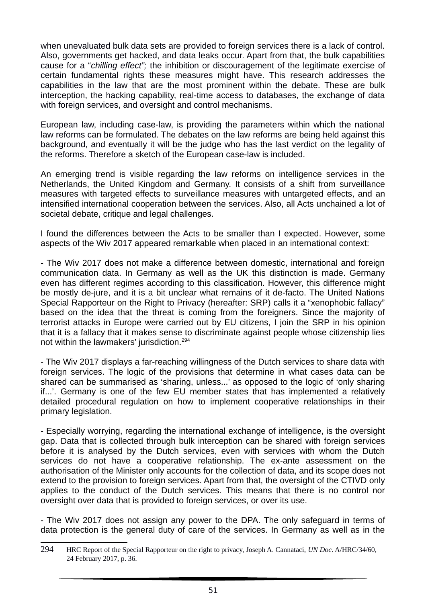when unevaluated bulk data sets are provided to foreign services there is a lack of control. Also, governments get hacked, and data leaks occur. Apart from that, the bulk capabilities cause for a "*chilling effect";* the inhibition or discouragement of the legitimate exercise of certain fundamental rights these measures might have. This research addresses the capabilities in the law that are the most prominent within the debate. These are bulk interception, the hacking capability, real-time access to databases, the exchange of data with foreign services, and oversight and control mechanisms.

European law, including case-law, is providing the parameters within which the national law reforms can be formulated. The debates on the law reforms are being held against this background, and eventually it will be the judge who has the last verdict on the legality of the reforms. Therefore a sketch of the European case-law is included.

An emerging trend is visible regarding the law reforms on intelligence services in the Netherlands, the United Kingdom and Germany. It consists of a shift from surveillance measures with targeted effects to surveillance measures with untargeted effects, and an intensified international cooperation between the services. Also, all Acts unchained a lot of societal debate, critique and legal challenges.

I found the differences between the Acts to be smaller than I expected. However, some aspects of the Wiv 2017 appeared remarkable when placed in an international context:

- The Wiv 2017 does not make a difference between domestic, international and foreign communication data. In Germany as well as the UK this distinction is made. Germany even has different regimes according to this classification. However, this difference might be mostly de-jure, and it is a bit unclear what remains of it de-facto. The United Nations Special Rapporteur on the Right to Privacy (hereafter: SRP) calls it a "xenophobic fallacy" based on the idea that the threat is coming from the foreigners. Since the majority of terrorist attacks in Europe were carried out by EU citizens, I join the SRP in his opinion that it is a fallacy that it makes sense to discriminate against people whose citizenship lies not within the lawmakers' jurisdiction.<sup>294</sup>

- The Wiv 2017 displays a far-reaching willingness of the Dutch services to share data with foreign services. The logic of the provisions that determine in what cases data can be shared can be summarised as 'sharing, unless...' as opposed to the logic of 'only sharing if...'. Germany is one of the few EU member states that has implemented a relatively detailed procedural regulation on how to implement cooperative relationships in their primary legislation.

- Especially worrying, regarding the international exchange of intelligence, is the oversight gap. Data that is collected through bulk interception can be shared with foreign services before it is analysed by the Dutch services, even with services with whom the Dutch services do not have a cooperative relationship. The ex-ante assessment on the authorisation of the Minister only accounts for the collection of data, and its scope does not extend to the provision to foreign services. Apart from that, the oversight of the CTIVD only applies to the conduct of the Dutch services. This means that there is no control nor oversight over data that is provided to foreign services, or over its use.

- The Wiv 2017 does not assign any power to the DPA. The only safeguard in terms of data protection is the general duty of care of the services. In Germany as well as in the

<sup>294</sup> HRC Report of the Special Rapporteur on the right to privacy, Joseph A. Cannataci, *UN Doc*. A/HRC/34/60, 24 February 2017, p. 36.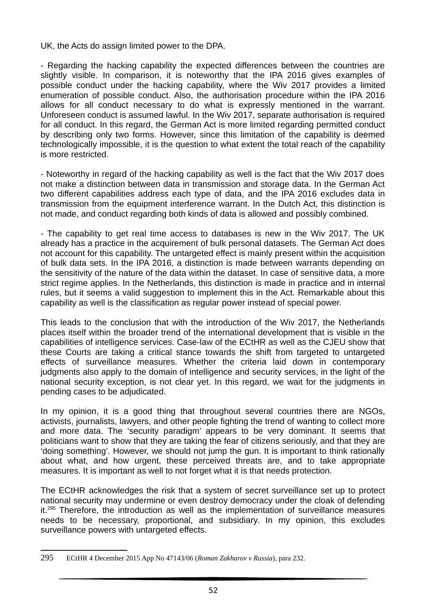UK, the Acts do assign limited power to the DPA.

- Regarding the hacking capability the expected differences between the countries are slightly visible. In comparison, it is noteworthy that the IPA 2016 gives examples of possible conduct under the hacking capability, where the Wiv 2017 provides a limited enumeration of possible conduct. Also, the authorisation procedure within the IPA 2016 allows for all conduct necessary to do what is expressly mentioned in the warrant. Unforeseen conduct is assumed lawful. In the Wiv 2017, separate authorisation is required for all conduct. In this regard, the German Act is more limited regarding permitted conduct by describing only two forms. However, since this limitation of the capability is deemed technologically impossible, it is the question to what extent the total reach of the capability is more restricted.

- Noteworthy in regard of the hacking capability as well is the fact that the Wiv 2017 does not make a distinction between data in transmission and storage data. In the German Act two different capabilities address each type of data, and the IPA 2016 excludes data in transmission from the equipment interference warrant. In the Dutch Act, this distinction is not made, and conduct regarding both kinds of data is allowed and possibly combined.

- The capability to get real time access to databases is new in the Wiv 2017. The UK already has a practice in the acquirement of bulk personal datasets. The German Act does not account for this capability. The untargeted effect is mainly present within the acquisition of bulk data sets. In the IPA 2016, a distinction is made between warrants depending on the sensitivity of the nature of the data within the dataset. In case of sensitive data, a more strict regime applies. In the Netherlands, this distinction is made in practice and in internal rules, but it seems a valid suggestion to implement this in the Act. Remarkable about this capability as well is the classification as regular power instead of special power.

This leads to the conclusion that with the introduction of the Wiv 2017, the Netherlands places itself within the broader trend of the international development that is visible in the capabilities of intelligence services. Case-law of the ECtHR as well as the CJEU show that these Courts are taking a critical stance towards the shift from targeted to untargeted effects of surveillance measures. Whether the criteria laid down in contemporary judgments also apply to the domain of intelligence and security services, in the light of the national security exception, is not clear yet. In this regard, we wait for the judgments in pending cases to be adjudicated.

In my opinion, it is a good thing that throughout several countries there are NGOs, activists, journalists, lawyers, and other people fighting the trend of wanting to collect more and more data. The 'security paradigm' appears to be very dominant. It seems that politicians want to show that they are taking the fear of citizens seriously, and that they are 'doing something'. However, we should not jump the gun. It is important to think rationally about what, and how urgent, these perceived threats are, and to take appropriate measures. It is important as well to not forget what it is that needs protection.

The ECtHR acknowledges the risk that a system of secret surveillance set up to protect national security may undermine or even destroy democracy under the cloak of defending it.<sup>295</sup> Therefore, the introduction as well as the implementation of surveillance measures needs to be necessary, proportional, and subsidiary. In my opinion, this excludes surveillance powers with untargeted effects.

<sup>295</sup> ECtHR 4 December 2015 App No 47143/06 (*Roman Zakharov v Russia*), para 232.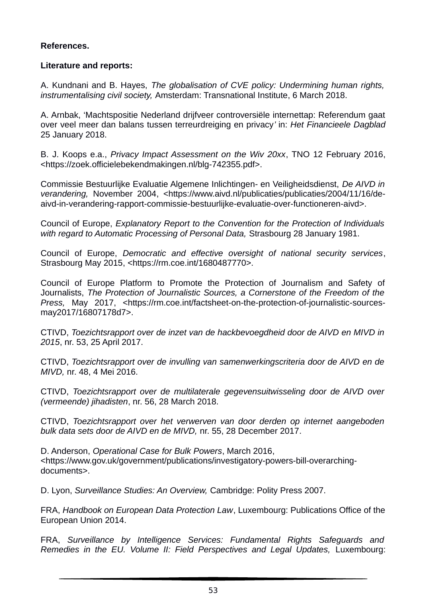#### **References.**

#### **Literature and reports:**

A. Kundnani and B. Hayes, *The globalisation of CVE policy: Undermining human rights, instrumentalising civil society,* Amsterdam: Transnational Institute, 6 March 2018.

A. Arnbak, 'Machtspositie Nederland drijfveer controversiële internettap: Referendum gaat over veel meer dan balans tussen terreurdreiging en privacy*'* in: *Het Financieele Dagblad* 25 January 2018.

B. J. Koops e.a., *Privacy Impact Assessment on the Wiv 20xx*, TNO 12 February 2016, <https://zoek.officielebekendmakingen.nl/blg-742355.pdf>.

Commissie Bestuurlijke Evaluatie Algemene Inlichtingen- en Veiligheidsdienst, *De AIVD in verandering,* November 2004, <https://www.aivd.nl/publicaties/publicaties/2004/11/16/deaivd-in-verandering-rapport-commissie-bestuurlijke-evaluatie-over-functioneren-aivd>.

Council of Europe, *Explanatory Report to the Convention for the Protection of Individuals with regard to Automatic Processing of Personal Data,* Strasbourg 28 January 1981.

Council of Europe, *Democratic and effective oversight of national security services*, Strasbourg May 2015, <https://rm.coe.int/1680487770>.

Council of Europe Platform to Promote the Protection of Journalism and Safety of Journalists, *The Protection of Journalistic Sources, a Cornerstone of the Freedom of the Press,* May 2017, <https://rm.coe.int/factsheet-on-the-protection-of-journalistic-sourcesmay2017/16807178d7>.

CTIVD, *Toezichtsrapport over de inzet van de hackbevoegdheid door de AIVD en MIVD in 2015*, nr. 53, 25 April 2017.

CTIVD, *Toezichtsrapport over de invulling van samenwerkingscriteria door de AIVD en de MIVD,* nr. 48, 4 Mei 2016.

CTIVD, *Toezichtsrapport over de multilaterale gegevensuitwisseling door de AIVD over (vermeende) jihadisten*, nr. 56, 28 March 2018.

CTIVD, *Toezichtsrapport over het verwerven van door derden op internet aangeboden bulk data sets door de AIVD en de MIVD,* nr. 55, 28 December 2017.

D. Anderson, *Operational Case for Bulk Powers*, March 2016, <https://www.gov.uk/government/publications/investigatory-powers-bill-overarchingdocuments>.

D. Lyon, *Surveillance Studies: An Overview,* Cambridge: Polity Press 2007.

FRA, *Handbook on European Data Protection Law*, Luxembourg: Publications Office of the European Union 2014.

FRA, *Surveillance by Intelligence Services: Fundamental Rights Safeguards and Remedies in the EU. Volume II: Field Perspectives and Legal Updates, Luxembourg:*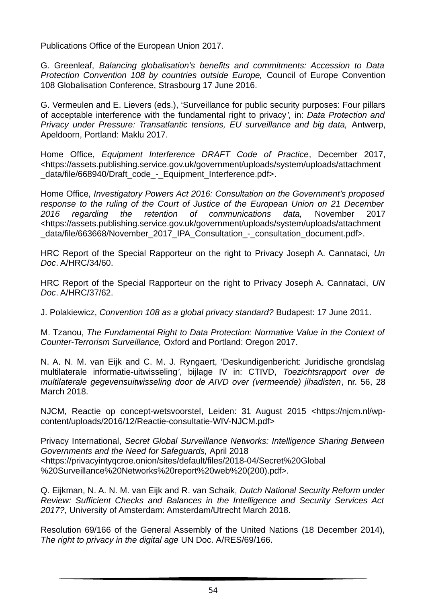Publications Office of the European Union 2017.

G. Greenleaf, *Balancing globalisation's benefits and commitments: Accession to Data Protection Convention 108 by countries outside Europe,* Council of Europe Convention 108 Globalisation Conference, Strasbourg 17 June 2016.

G. Vermeulen and E. Lievers (eds.), 'Surveillance for public security purposes: Four pillars of acceptable interference with the fundamental right to privacy*',* in: *Data Protection and Privacy under Pressure: Transatlantic tensions, EU surveillance and big data,* Antwerp, Apeldoorn, Portland: Maklu 2017.

Home Office, *Equipment Interference DRAFT Code of Practice*, December 2017, <https://assets.publishing.service.gov.uk/government/uploads/system/uploads/attachment data/file/668940/Draft\_code - Equipment\_Interference.pdf>.

Home Office, *Investigatory Powers Act 2016: Consultation on the Government's proposed response to the ruling of the Court of Justice of the European Union on 21 December 2016 regarding the retention of communications data,* November 2017 <https://assets.publishing.service.gov.uk/government/uploads/system/uploads/attachment data/file/663668/November 2017 IPA Consultation - consultation document.pdf>.

HRC Report of the Special Rapporteur on the right to Privacy Joseph A. Cannataci, *Un Doc*. A/HRC/34/60.

HRC Report of the Special Rapporteur on the right to Privacy Joseph A. Cannataci, *UN Doc*. A/HRC/37/62.

J. Polakiewicz, *Convention 108 as a global privacy standard?* Budapest: 17 June 2011.

M. Tzanou, *The Fundamental Right to Data Protection: Normative Value in the Context of Counter-Terrorism Surveillance,* Oxford and Portland: Oregon 2017.

N. A. N. M. van Eijk and C. M. J. Ryngaert, 'Deskundigenbericht: Juridische grondslag multilaterale informatie-uitwisseling*'*, bijlage IV in: CTIVD, *Toezichtsrapport over de multilaterale gegevensuitwisseling door de AIVD over (vermeende) jihadisten*, nr. 56, 28 March 2018.

NJCM, Reactie op concept-wetsvoorstel, Leiden: 31 August 2015 <https://njcm.nl/wpcontent/uploads/2016/12/Reactie-consultatie-WIV-NJCM.pdf>

Privacy International, *Secret Global Surveillance Networks: Intelligence Sharing Between Governments and the Need for Safeguards,* April 2018 <https://privacyintyqcroe.onion/sites/default/files/2018-04/Secret%20Global %20Surveillance%20Networks%20report%20web%20(200).pdf>.

Q. Eijkman, N. A. N. M. van Eijk and R. van Schaik, *Dutch National Security Reform under Review: Sufficient Checks and Balances in the Intelligence and Security Services Act 2017?,* University of Amsterdam: Amsterdam/Utrecht March 2018.

Resolution 69/166 of the General Assembly of the United Nations (18 December 2014), *The right to privacy in the digital age* UN Doc. A/RES/69/166.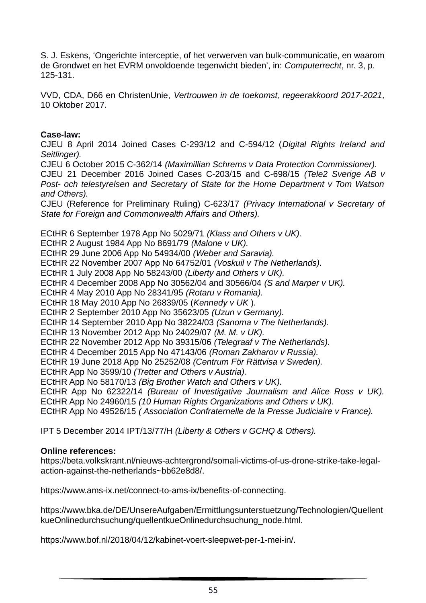S. J. Eskens, 'Ongerichte interceptie, of het verwerven van bulk-communicatie, en waarom de Grondwet en het EVRM onvoldoende tegenwicht bieden', in: *Computerrecht*, nr. 3, p. 125-131.

VVD, CDA, D66 en ChristenUnie, *Vertrouwen in de toekomst, regeerakkoord 2017-2021,* 10 Oktober 2017.

#### **Case-law:**

CJEU 8 April 2014 Joined Cases C-293/12 and C-594/12 (*Digital Rights Ireland and Seitlinger).*

CJEU 6 October 2015 C-362/14 *(Maximillian Schrems v Data Protection Commissioner).*

CJEU 21 December 2016 Joined Cases C-203/15 and C-698/15 *(Tele2 Sverige AB v Post- och telestyrelsen and Secretary of State for the Home Department v Tom Watson and Others).*

CJEU (Reference for Preliminary Ruling) C-623/17 *(Privacy International v Secretary of State for Foreign and Commonwealth Affairs and Others).*

ECtHR 6 September 1978 App No 5029/71 *(Klass and Others v UK).*

ECtHR 2 August 1984 App No 8691/79 *(Malone v UK).*

ECtHR 29 June 2006 App No 54934/00 *(Weber and Saravia).*

ECtHR 22 November 2007 App No 64752/01 *(Voskuil v The Netherlands).*

ECtHR 1 July 2008 App No 58243/00 *(Liberty and Others v UK).*

ECtHR 4 December 2008 App No 30562/04 and 30566/04 *(S and Marper v UK).*

ECtHR 4 May 2010 App No 28341/95 *(Rotaru v Romania).*

ECtHR 18 May 2010 App No 26839/05 (*Kennedy v UK* ).

ECtHR 2 September 2010 App No 35623/05 *(Uzun v Germany).*

ECtHR 14 September 2010 App No 38224/03 *(Sanoma v The Netherlands).*

ECtHR 13 November 2012 App No 24029/07 *(M. M. v UK).*

ECtHR 22 November 2012 App No 39315/06 *(Telegraaf v The Netherlands).* 

ECtHR 4 December 2015 App No 47143/06 *(Roman Zakharov v Russia).*

ECtHR 19 June 2018 App No 25252/08 *(Centrum För Rättvisa v Sweden).*

ECtHR App No 3599/10 *(Tretter and Others v Austria).* 

ECtHR App No 58170/13 *(Big Brother Watch and Others v UK).*

ECtHR App No 62322/14 *(Bureau of Investigative Journalism and Alice Ross v UK).* ECtHR App No 24960/15 *(10 Human Rights Organizations and Others v UK).* 

ECtHR App No 49526/15 *( Association Confraternelle de la Presse Judiciaire v France).*

IPT 5 December 2014 IPT/13/77/H *(Liberty & Others v GCHQ & Others).*

#### **Online references:**

https://beta.volkskrant.nl/nieuws-achtergrond/somali-victims-of-us-drone-strike-take-legalaction-against-the-netherlands~bb62e8d8/.

https://www.ams-ix.net/connect-to-ams-ix/benefits-of-connecting.

https://www.bka.de/DE/UnsereAufgaben/Ermittlungsunterstuetzung/Technologien/Quellent kueOnlinedurchsuchung/quellentkueOnlinedurchsuchung\_node.html.

https://www.bof.nl/2018/04/12/kabinet-voert-sleepwet-per-1-mei-in/.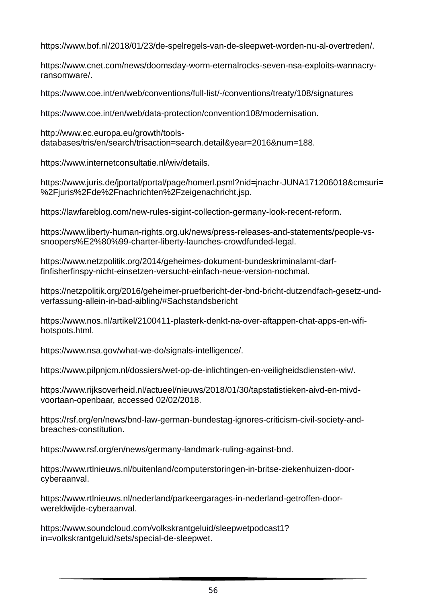https://www.bof.nl/2018/01/23/de-spelregels-van-de-sleepwet-worden-nu-al-overtreden/.

https://www.cnet.com/news/doomsday-worm-eternalrocks-seven-nsa-exploits-wannacryransomware/.

https://www.coe.int/en/web/conventions/full-list/-/conventions/treaty/108/signatures

https://www.coe.int/en/web/data-protection/convention108/modernisation.

http://www.ec.europa.eu/growth/toolsdatabases/tris/en/search/trisaction=search.detail&year=2016&num=188.

https://www.internetconsultatie.nl/wiv/details.

https://www.juris.de/jportal/portal/page/homerl.psml?nid=jnachr-JUNA171206018&cmsuri= %2Fiuris%2Fde%2Fnachrichten%2Fzeigenachricht.jsp.

https://lawfareblog.com/new-rules-sigint-collection-germany-look-recent-reform.

https://www.liberty-human-rights.org.uk/news/press-releases-and-statements/people-vssnoopers%E2%80%99-charter-liberty-launches-crowdfunded-legal.

https://www.netzpolitik.org/2014/geheimes-dokument-bundeskriminalamt-darffinfisherfinspy-nicht-einsetzen-versucht-einfach-neue-version-nochmal.

https://netzpolitik.org/2016/geheimer-pruefbericht-der-bnd-bricht-dutzendfach-gesetz-undverfassung-allein-in-bad-aibling/#Sachstandsbericht

https://www.nos.nl/artikel/2100411-plasterk-denkt-na-over-aftappen-chat-apps-en-wifihotspots.html.

https://www.nsa.gov/what-we-do/signals-intelligence/.

https://www.pilpnjcm.nl/dossiers/wet-op-de-inlichtingen-en-veiligheidsdiensten-wiv/.

https://www.rijksoverheid.nl/actueel/nieuws/2018/01/30/tapstatistieken-aivd-en-mivdvoortaan-openbaar, accessed 02/02/2018.

https://rsf.org/en/news/bnd-law-german-bundestag-ignores-criticism-civil-society-andbreaches-constitution.

https://www.rsf.org/en/news/germany-landmark-ruling-against-bnd.

https://www.rtlnieuws.nl/buitenland/computerstoringen-in-britse-ziekenhuizen-doorcyberaanval.

https://www.rtlnieuws.nl/nederland/parkeergarages-in-nederland-getroffen-doorwereldwijde-cyberaanval.

https://www.soundcloud.com/volkskrantgeluid/sleepwetpodcast1? in=volkskrantgeluid/sets/special-de-sleepwet.